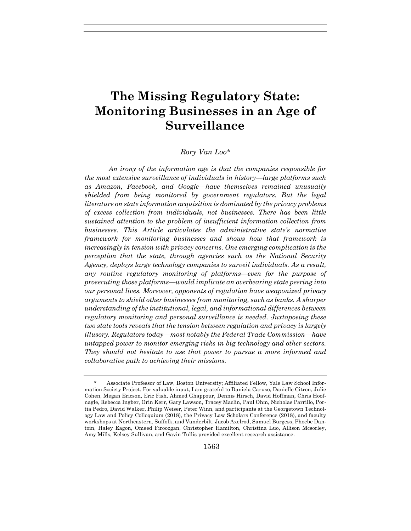# **The Missing Regulatory State: Monitoring Businesses in an Age of Surveillance**

#### *Rory Van Loo\**

*An irony of the information age is that the companies responsible for the most extensive surveillance of individuals in history—large platforms such as Amazon, Facebook, and Google—have themselves remained unusually shielded from being monitored by government regulators. But the legal literature on state information acquisition is dominated by the privacy problems of excess collection from individuals, not businesses. There has been little sustained attention to the problem of insufficient information collection from businesses. This Article articulates the administrative state's normative framework for monitoring businesses and shows how that framework is increasingly in tension with privacy concerns. One emerging complication is the perception that the state, through agencies such as the National Security Agency, deploys large technology companies to surveil individuals. As a result, any routine regulatory monitoring of platforms—even for the purpose of prosecuting those platforms—would implicate an overbearing state peering into our personal lives. Moreover, opponents of regulation have weaponized privacy arguments to shield other businesses from monitoring, such as banks. A sharper understanding of the institutional, legal, and informational differences between regulatory monitoring and personal surveillance is needed. Juxtaposing these two state tools reveals that the tension between regulation and privacy is largely illusory. Regulators today—most notably the Federal Trade Commission—have untapped power to monitor emerging risks in big technology and other sectors. They should not hesitate to use that power to pursue a more informed and collaborative path to achieving their missions.* 

 <sup>\*</sup> Associate Professor of Law, Boston University; Affiliated Fellow, Yale Law School Information Society Project. For valuable input, I am grateful to Daniela Caruso, Danielle Citron, Julie Cohen, Megan Ericson, Eric Fish, Ahmed Ghappour, Dennis Hirsch, David Hoffman, Chris Hoofnagle, Rebecca Ingber, Orin Kerr, Gary Lawson, Tracey Maclin, Paul Ohm, Nicholas Parrillo, Portia Pedro, David Walker, Philip Weiser, Peter Winn, and participants at the Georgetown Technology Law and Policy Colloquium (2018), the Privacy Law Scholars Conference (2018), and faculty workshops at Northeastern, Suffolk, and Vanderbilt. Jacob Axelrod, Samuel Burgess, Phoebe Dantoin, Haley Eagon, Omeed Firoozgan, Christopher Hamilton, Christina Luo, Allison Mcsorley, Amy Mills, Kelsey Sullivan, and Gavin Tullis provided excellent research assistance.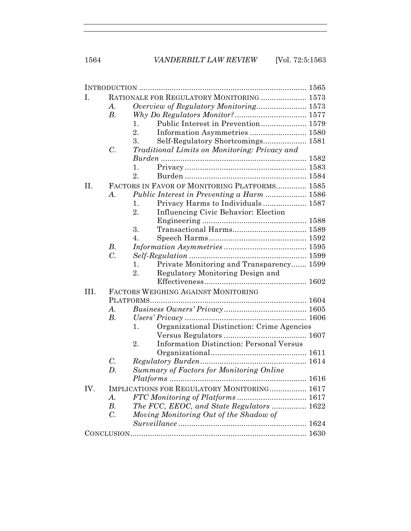| RATIONALE FOR REGULATORY MONITORING  1573<br>I.<br>A.<br>$B_{\cdot}$<br>Public Interest in Prevention 1579<br>1.<br>$\overline{2}$ .<br>3.<br>Self-Regulatory Shortcomings 1581<br>$C$ .<br>Traditional Limits on Monitoring: Privacy and<br>1.<br>2.<br>II.<br>FACTORS IN FAVOR OF MONITORING PLATFORMS 1585<br><i>Public Interest in Preventing a Harm </i> 1586<br>A.<br>Privacy Harms to Individuals 1587<br>1.<br>2.<br>Influencing Civic Behavior: Election<br>3.<br>$\overline{4}$ .<br>В.<br>$\overline{C}$ .<br>1.<br>Private Monitoring and Transparency 1599<br>Regulatory Monitoring Design and<br>2.<br>FACTORS WEIGHING AGAINST MONITORING<br>$A$ .<br>$B$ .<br>Organizational Distinction: Crime Agencies<br>1.<br><b>Information Distinction: Personal Versus</b><br>2.<br>$C$ .<br><b>Summary of Factors for Monitoring Online</b><br>D.<br>IMPLICATIONS FOR REGULATORY MONITORING 1617<br>A.<br>The FCC, EEOC, and State Regulators  1622<br>$B$ .<br>$C$ .<br>Moving Monitoring Out of the Shadow of |      |  |  |  |  |  |
|-------------------------------------------------------------------------------------------------------------------------------------------------------------------------------------------------------------------------------------------------------------------------------------------------------------------------------------------------------------------------------------------------------------------------------------------------------------------------------------------------------------------------------------------------------------------------------------------------------------------------------------------------------------------------------------------------------------------------------------------------------------------------------------------------------------------------------------------------------------------------------------------------------------------------------------------------------------------------------------------------------------------------|------|--|--|--|--|--|
|                                                                                                                                                                                                                                                                                                                                                                                                                                                                                                                                                                                                                                                                                                                                                                                                                                                                                                                                                                                                                         |      |  |  |  |  |  |
|                                                                                                                                                                                                                                                                                                                                                                                                                                                                                                                                                                                                                                                                                                                                                                                                                                                                                                                                                                                                                         |      |  |  |  |  |  |
|                                                                                                                                                                                                                                                                                                                                                                                                                                                                                                                                                                                                                                                                                                                                                                                                                                                                                                                                                                                                                         |      |  |  |  |  |  |
|                                                                                                                                                                                                                                                                                                                                                                                                                                                                                                                                                                                                                                                                                                                                                                                                                                                                                                                                                                                                                         |      |  |  |  |  |  |
|                                                                                                                                                                                                                                                                                                                                                                                                                                                                                                                                                                                                                                                                                                                                                                                                                                                                                                                                                                                                                         |      |  |  |  |  |  |
|                                                                                                                                                                                                                                                                                                                                                                                                                                                                                                                                                                                                                                                                                                                                                                                                                                                                                                                                                                                                                         |      |  |  |  |  |  |
|                                                                                                                                                                                                                                                                                                                                                                                                                                                                                                                                                                                                                                                                                                                                                                                                                                                                                                                                                                                                                         |      |  |  |  |  |  |
|                                                                                                                                                                                                                                                                                                                                                                                                                                                                                                                                                                                                                                                                                                                                                                                                                                                                                                                                                                                                                         |      |  |  |  |  |  |
|                                                                                                                                                                                                                                                                                                                                                                                                                                                                                                                                                                                                                                                                                                                                                                                                                                                                                                                                                                                                                         |      |  |  |  |  |  |
|                                                                                                                                                                                                                                                                                                                                                                                                                                                                                                                                                                                                                                                                                                                                                                                                                                                                                                                                                                                                                         |      |  |  |  |  |  |
|                                                                                                                                                                                                                                                                                                                                                                                                                                                                                                                                                                                                                                                                                                                                                                                                                                                                                                                                                                                                                         |      |  |  |  |  |  |
|                                                                                                                                                                                                                                                                                                                                                                                                                                                                                                                                                                                                                                                                                                                                                                                                                                                                                                                                                                                                                         |      |  |  |  |  |  |
|                                                                                                                                                                                                                                                                                                                                                                                                                                                                                                                                                                                                                                                                                                                                                                                                                                                                                                                                                                                                                         |      |  |  |  |  |  |
|                                                                                                                                                                                                                                                                                                                                                                                                                                                                                                                                                                                                                                                                                                                                                                                                                                                                                                                                                                                                                         |      |  |  |  |  |  |
|                                                                                                                                                                                                                                                                                                                                                                                                                                                                                                                                                                                                                                                                                                                                                                                                                                                                                                                                                                                                                         |      |  |  |  |  |  |
|                                                                                                                                                                                                                                                                                                                                                                                                                                                                                                                                                                                                                                                                                                                                                                                                                                                                                                                                                                                                                         |      |  |  |  |  |  |
|                                                                                                                                                                                                                                                                                                                                                                                                                                                                                                                                                                                                                                                                                                                                                                                                                                                                                                                                                                                                                         |      |  |  |  |  |  |
|                                                                                                                                                                                                                                                                                                                                                                                                                                                                                                                                                                                                                                                                                                                                                                                                                                                                                                                                                                                                                         |      |  |  |  |  |  |
|                                                                                                                                                                                                                                                                                                                                                                                                                                                                                                                                                                                                                                                                                                                                                                                                                                                                                                                                                                                                                         |      |  |  |  |  |  |
|                                                                                                                                                                                                                                                                                                                                                                                                                                                                                                                                                                                                                                                                                                                                                                                                                                                                                                                                                                                                                         |      |  |  |  |  |  |
|                                                                                                                                                                                                                                                                                                                                                                                                                                                                                                                                                                                                                                                                                                                                                                                                                                                                                                                                                                                                                         |      |  |  |  |  |  |
|                                                                                                                                                                                                                                                                                                                                                                                                                                                                                                                                                                                                                                                                                                                                                                                                                                                                                                                                                                                                                         |      |  |  |  |  |  |
|                                                                                                                                                                                                                                                                                                                                                                                                                                                                                                                                                                                                                                                                                                                                                                                                                                                                                                                                                                                                                         | III. |  |  |  |  |  |
|                                                                                                                                                                                                                                                                                                                                                                                                                                                                                                                                                                                                                                                                                                                                                                                                                                                                                                                                                                                                                         |      |  |  |  |  |  |
|                                                                                                                                                                                                                                                                                                                                                                                                                                                                                                                                                                                                                                                                                                                                                                                                                                                                                                                                                                                                                         |      |  |  |  |  |  |
|                                                                                                                                                                                                                                                                                                                                                                                                                                                                                                                                                                                                                                                                                                                                                                                                                                                                                                                                                                                                                         |      |  |  |  |  |  |
|                                                                                                                                                                                                                                                                                                                                                                                                                                                                                                                                                                                                                                                                                                                                                                                                                                                                                                                                                                                                                         |      |  |  |  |  |  |
|                                                                                                                                                                                                                                                                                                                                                                                                                                                                                                                                                                                                                                                                                                                                                                                                                                                                                                                                                                                                                         |      |  |  |  |  |  |
|                                                                                                                                                                                                                                                                                                                                                                                                                                                                                                                                                                                                                                                                                                                                                                                                                                                                                                                                                                                                                         |      |  |  |  |  |  |
|                                                                                                                                                                                                                                                                                                                                                                                                                                                                                                                                                                                                                                                                                                                                                                                                                                                                                                                                                                                                                         |      |  |  |  |  |  |
|                                                                                                                                                                                                                                                                                                                                                                                                                                                                                                                                                                                                                                                                                                                                                                                                                                                                                                                                                                                                                         |      |  |  |  |  |  |
|                                                                                                                                                                                                                                                                                                                                                                                                                                                                                                                                                                                                                                                                                                                                                                                                                                                                                                                                                                                                                         |      |  |  |  |  |  |
|                                                                                                                                                                                                                                                                                                                                                                                                                                                                                                                                                                                                                                                                                                                                                                                                                                                                                                                                                                                                                         |      |  |  |  |  |  |
|                                                                                                                                                                                                                                                                                                                                                                                                                                                                                                                                                                                                                                                                                                                                                                                                                                                                                                                                                                                                                         | IV.  |  |  |  |  |  |
|                                                                                                                                                                                                                                                                                                                                                                                                                                                                                                                                                                                                                                                                                                                                                                                                                                                                                                                                                                                                                         |      |  |  |  |  |  |
|                                                                                                                                                                                                                                                                                                                                                                                                                                                                                                                                                                                                                                                                                                                                                                                                                                                                                                                                                                                                                         |      |  |  |  |  |  |
|                                                                                                                                                                                                                                                                                                                                                                                                                                                                                                                                                                                                                                                                                                                                                                                                                                                                                                                                                                                                                         |      |  |  |  |  |  |
|                                                                                                                                                                                                                                                                                                                                                                                                                                                                                                                                                                                                                                                                                                                                                                                                                                                                                                                                                                                                                         |      |  |  |  |  |  |
|                                                                                                                                                                                                                                                                                                                                                                                                                                                                                                                                                                                                                                                                                                                                                                                                                                                                                                                                                                                                                         |      |  |  |  |  |  |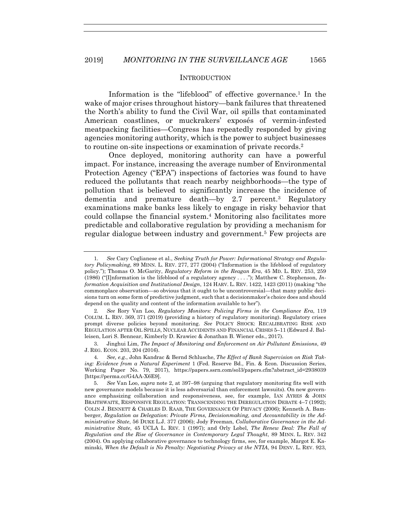# **INTRODUCTION**

Information is the "lifeblood" of effective governance.<sup>1</sup> In the wake of major crises throughout history—bank failures that threatened the North's ability to fund the Civil War, oil spills that contaminated American coastlines, or muckrakers' exposés of vermin-infested meatpacking facilities—Congress has repeatedly responded by giving agencies monitoring authority, which is the power to subject businesses to routine on-site inspections or examination of private records.2

Once deployed, monitoring authority can have a powerful impact. For instance, increasing the average number of Environmental Protection Agency ("EPA") inspections of factories was found to have reduced the pollutants that reach nearby neighborhoods—the type of pollution that is believed to significantly increase the incidence of dementia and premature death—by 2.7 percent.3 Regulatory examinations make banks less likely to engage in risky behavior that could collapse the financial system.4 Monitoring also facilitates more predictable and collaborative regulation by providing a mechanism for regular dialogue between industry and government.5 Few projects are

2*. See* Rory Van Loo, *Regulatory Monitors: Policing Firms in the Compliance Era*, 119 COLUM. L. REV. 369, 371 (2019) (providing a history of regulatory monitoring). Regulatory crises prompt diverse policies beyond monitoring. *See* POLICY SHOCK: RECALIBRATING RISK AND REGULATION AFTER OIL SPILLS, NUCLEAR ACCIDENTS AND FINANCIAL CRISES 5–11 (Edward J. Balleisen, Lori S. Bennear, Kimberly D. Krawiec & Jonathan B. Wiener eds., 2017).

<sup>1</sup>*. See* Cary Coglianese et al., *Seeking Truth for Power: Informational Strategy and Regulatory Policymaking*, 89 MINN. L. REV. 277, 277 (2004) ("Information is the lifeblood of regulatory policy."); Thomas O. McGarity, *Regulatory Reform in the Reagan Era*, 45 MD. L. REV. 253, 259 (1986) ("[I]nformation is the lifeblood of a regulatory agency . . . ."); Matthew C. Stephenson, *Information Acquisition and Institutional Design*, 124 HARV. L. REV. 1422, 1423 (2011) (making "the commonplace observation—so obvious that it ought to be uncontroversial—that many public decisions turn on some form of predictive judgment, such that a decisionmaker's choice does and should depend on the quality and content of the information available to her").

 <sup>3.</sup> Jinghui Lim, *The Impact of Monitoring and Enforcement on Air Pollutant Emissions*, 49 J. REG. ECON. 203, 204 (2016).

<sup>4</sup>*. See, e.g.*, John Kandrac & Bernd Schlusche, *The Effect of Bank Supervision on Risk Taking: Evidence from a Natural Experiment* 1 (Fed. Reserve Bd., Fin. & Econ. Discussion Series, Working Paper No. 79, 2017), https://papers.ssrn.com/sol3/papers.cfm?abstract\_id=2938039 [https://perma.cc/G4AA-X6E9].

 <sup>5.</sup> *See* Van Loo, *supra* note 2, at 397–98 (arguing that regulatory monitoring fits well with new governance models because it is less adversarial than enforcement lawsuits). On new governance emphasizing collaboration and responsiveness, see, for example, IAN AYRES & JOHN BRAITHWAITE, RESPONSIVE REGULATION: TRANSCENDING THE DEREGULATION DEBATE 4–7 (1992); COLIN J. BENNETT & CHARLES D. RAAB, THE GOVERNANCE OF PRIVACY (2006); Kenneth A. Bamberger, *Regulation as Delegation*: *Private Firms, Decisionmaking, and Accountability in the Administrative State*, 56 DUKE L.J. 377 (2006); Jody Freeman, *Collaborative Governance in the Administrative State*, 45 UCLA L. REV. 1 (1997); and Orly Lobel, *The Renew Deal: The Fall of Regulation and the Rise of Governance in Contemporary Legal Thought*, 89 MINN. L. REV. 342 (2004). On applying collaborative governance to technology firms, see, for example, Margot E. Kaminski, *When the Default is No Penalty: Negotiating Privacy at the NTIA*, 94 DENV. L. REV. 923,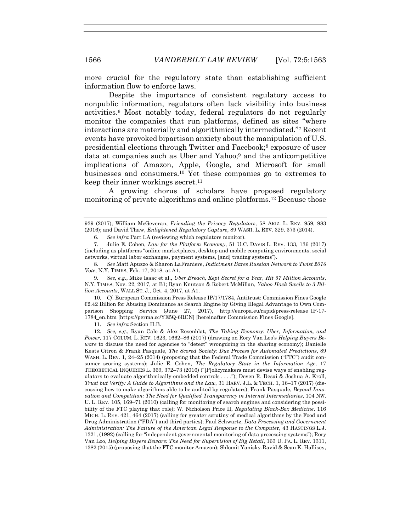more crucial for the regulatory state than establishing sufficient information flow to enforce laws.

Despite the importance of consistent regulatory access to nonpublic information, regulators often lack visibility into business activities.6 Most notably today, federal regulators do not regularly monitor the companies that run platforms, defined as sites "where interactions are materially and algorithmically intermediated."7 Recent events have provoked bipartisan anxiety about the manipulation of U.S. presidential elections through Twitter and Facebook;8 exposure of user data at companies such as Uber and Yahoo;9 and the anticompetitive implications of Amazon, Apple, Google, and Microsoft for small businesses and consumers.10 Yet these companies go to extremes to keep their inner workings secret.<sup>11</sup>

A growing chorus of scholars have proposed regulatory monitoring of private algorithms and online platforms.12 Because those

10*. Cf.* European Commission Press Release IP/17/1784, Antitrust: Commission Fines Google €2.42 Billion for Abusing Dominance as Search Engine by Giving Illegal Advantage to Own Comparison Shopping Service (June 27, 2017), http://europa.eu/rapid/press-release\_IP-17- 1784\_en.htm [https://perma.cc/YE5Q-6RCN] [hereinafter Commission Fines Google].

11*. See infra* Section II.B.

12*. See, e.g.*, Ryan Calo & Alex Rosenblat, *The Taking Economy: Uber, Information, and Power*, 117 COLUM. L. REV. 1623, 1662–86 (2017) (drawing on Rory Van Loo's *Helping Buyers Beware* to discuss the need for agencies to "detect" wrongdoing in the sharing economy); Danielle Keats Citron & Frank Pasquale, *The Scored Society: Due Process for Automated Predictions*, 89 WASH. L. REV. 1, 24–25 (2014) (proposing that the Federal Trade Commission ("FTC") audit consumer scoring systems); Julie E. Cohen, *The Regulatory State in the Information Age*, 17 THEORETICAL INQUIRIES L. 369, 372–73 (2016) ("[P]olicymakers must devise ways of enabling regulators to evaluate algorithmically-embedded controls . . . ."); Deven R. Desai & Joshua A. Kroll, *Trust but Verify: A Guide to Algorithms and the Law*, 31 HARV. J.L. & TECH. 1, 16–17 (2017) (discussing how to make algorithms able to be audited by regulators); Frank Pasquale, *Beyond Innovation and Competition: The Need for Qualified Transparency in Internet Intermediaries*, 104 NW. U. L. REV. 105, 169–71 (2010) (calling for monitoring of search engines and considering the possibility of the FTC playing that role); W. Nicholson Price II, *Regulating Black-Box Medicine*, 116 MICH. L. REV. 421, 464 (2017) (calling for greater scrutiny of medical algorithms by the Food and Drug Administration ("FDA") and third parties); Paul Schwartz, *Data Processing and Government Administration: The Failure of the American Legal Response to the Compute*r, 43 HASTINGS L.J. 1321, (1992) (calling for "independent governmental monitoring of data processing systems"); Rory Van Loo, *Helping Buyers Beware: The Need for Supervision of Big Retail*, 163 U. PA. L. REV. 1311, 1382 (2015) (proposing that the FTC monitor Amazon); Shlomit Yanisky-Ravid & Sean K. Hallisey,

<sup>939 (2017);</sup> William McGeveran, *Friending the Privacy Regulators*, 58 ARIZ. L. REV. 959, 983 (2016); and David Thaw, *Enlightened Regulatory Capture*, 89 WASH. L. REV. 329, 373 (2014).

<sup>6</sup>*. See infra* Part I.A (reviewing which regulators monitor).

 <sup>7.</sup> Julie E. Cohen, *Law for the Platform Economy*, 51 U.C. DAVIS L. REV. 133, 136 (2017) (including as platforms "online marketplaces, desktop and mobile computing environments, social networks, virtual labor exchanges, payment systems, [and] trading systems").

<sup>8</sup>*. See* Matt Apuzzo & Sharon LaFraniere, *Indictment Bares Russian Network to Twist 2016 Vote*, N.Y. TIMES, Feb. 17, 2018, at A1.

<sup>9</sup>*. See, e.g.*, Mike Isaac et al., *Uber Breach, Kept Secret for a Year, Hit 57 Million Accounts*, N.Y. TIMES, Nov. 22, 2017, at B1; Ryan Knutson & Robert McMillan, *Yahoo Hack Swells to 3 Billion Accounts*, WALL ST. J., Oct. 4, 2017, at A1.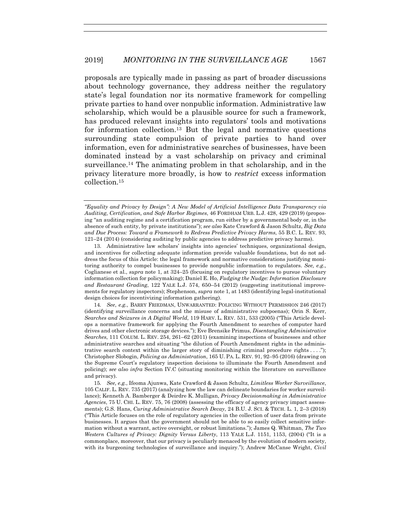proposals are typically made in passing as part of broader discussions about technology governance, they address neither the regulatory state's legal foundation nor its normative framework for compelling private parties to hand over nonpublic information. Administrative law scholarship, which would be a plausible source for such a framework, has produced relevant insights into regulators' tools and motivations for information collection.<sup>13</sup> But the legal and normative questions surrounding state compulsion of private parties to hand over information, even for administrative searches of businesses, have been dominated instead by a vast scholarship on privacy and criminal surveillance.14 The animating problem in that scholarship, and in the privacy literature more broadly, is how to *restrict* excess information collection.15

 13. Administrative law scholars' insights into agencies' techniques, organizational design, and incentives for collecting adequate information provide valuable foundations, but do not address the focus of this Article: the legal framework and normative considerations justifying monitoring authority to compel businesses to provide nonpublic information to regulators. *See, e.g.*, Coglianese et al., *supra* note 1, at 324–25 (focusing on regulatory incentives to pursue voluntary information collection for policymaking); Daniel E. Ho, *Fudging the Nudge: Information Disclosure and Restaurant Grading*, 122 YALE L.J. 574, 650–54 (2012) (suggesting institutional improvements for regulatory inspectors); Stephenson, *supra* note 1, at 1483 (identifying legal-institutional design choices for incentivizing information gathering).

14*. See*, *e.g.*, BARRY FRIEDMAN, UNWARRANTED: POLICING WITHOUT PERMISSION 246 (2017) (identifying surveillance concerns and the misuse of administrative subpoenas); Orin S. Kerr, *Searches and Seizures in A Digital World*, 119 HARV. L. REV. 531, 533 (2005) ("This Article develops a normative framework for applying the Fourth Amendment to searches of computer hard drives and other electronic storage devices."); Eve Brensike Primus, *Disentangling Administrative Searches*, 111 COLUM. L. REV. 254, 261–62 (2011) (examining inspections of businesses and other administrative searches and situating "the dilution of Fourth Amendment rights in the administrative search context within the larger story of diminishing criminal procedure rights . . . ."); Christopher Slobogin, *Policing as Administration*, 165 U. PA. L. REV. 91, 92–95 (2016) (drawing on the Supreme Court's regulatory inspection decisions to illuminate the Fourth Amendment and policing); *see also infra* Section IV.C (situating monitoring within the literature on surveillance and privacy).

15*. See, e.g.*, Ifeoma Ajunwa, Kate Crawford & Jason Schultz, *Limitless Worker Surveillance*, 105 CALIF. L. REV. 735 (2017) (analyzing how the law can delineate boundaries for worker surveillance); Kenneth A. Bamberger & Deirdre K. Mulligan, *Privacy Decisionmaking in Administrative Agencies*, 75 U. CHI. L. REV. 75, 76 (2008) (assessing the efficacy of agency privacy impact assessments); G.S. Hans, *Curing Administrative Search Decay*, 24 B.U. J. SCI. & TECH. L. 1, 2–3 (2018) ("This Article focuses on the role of regulatory agencies in the collection of user data from private businesses. It argues that the government should not be able to so easily collect sensitive information without a warrant, active oversight, or robust limitations."); James Q. Whitman, *The Two Western Cultures of Privacy: Dignity Versus Liberty*, 113 YALE L.J. 1151, 1153, (2004) ("It is a commonplace, moreover, that our privacy is peculiarly menaced by the evolution of modern society, with its burgeoning technologies of surveillance and inquiry."); Andrew McCanse Wright, *Civil* 

*<sup>&</sup>quot;Equality and Privacy by Design": A New Model of Artificial Intelligence Data Transparency via Auditing, Certification, and Safe Harbor Regimes*, 46 FORDHAM URB. L.J. 428, 429 (2019) (proposing "an auditing regime and a certification program, run either by a governmental body or, in the absence of such entity, by private institutions"); *see also* Kate Crawford & Jason Schultz, *Big Data and Due Process: Toward a Framework to Redress Predictive Privacy Harms*, 55 B.C. L. REV. 93, 121–24 (2014) (considering auditing by public agencies to address predictive privacy harms).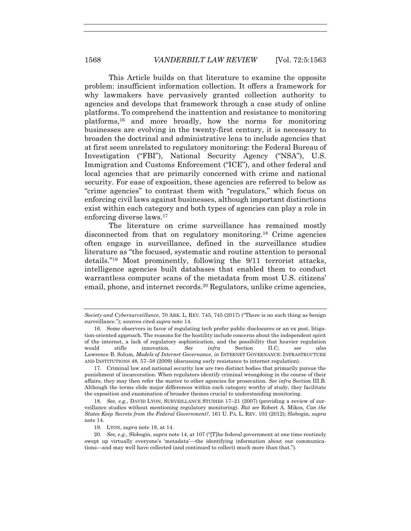This Article builds on that literature to examine the opposite problem: insufficient information collection. It offers a framework for why lawmakers have pervasively granted collection authority to agencies and develops that framework through a case study of online platforms. To comprehend the inattention and resistance to monitoring platforms,16 and more broadly, how the norms for monitoring businesses are evolving in the twenty-first century, it is necessary to broaden the doctrinal and administrative lens to include agencies that at first seem unrelated to regulatory monitoring: the Federal Bureau of Investigation ("FBI"), National Security Agency ("NSA"), U.S. Immigration and Customs Enforcement ("ICE"), and other federal and local agencies that are primarily concerned with crime and national security. For ease of exposition, these agencies are referred to below as "crime agencies" to contrast them with "regulators," which focus on enforcing civil laws against businesses, although important distinctions exist within each category and both types of agencies can play a role in enforcing diverse laws.17

The literature on crime surveillance has remained mostly disconnected from that on regulatory monitoring.18 Crime agencies often engage in surveillance, defined in the surveillance studies literature as "the focused, systematic and routine attention to personal details."19 Most prominently, following the 9/11 terrorist attacks, intelligence agencies built databases that enabled them to conduct warrantless computer scans of the metadata from most U.S. citizens' email, phone, and internet records.20 Regulators, unlike crime agencies,

*Society and Cybersurveillance*, 70 ARK. L. REV. 745, 745 (2017) ("There is no such thing as benign surveillance."); sources cited *supra* note 14.

 <sup>16.</sup> Some observers in favor of regulating tech prefer public disclosures or an ex post, litigation-oriented approach. The reasons for the hostility include concerns about the independent spirit of the internet, a lack of regulatory sophistication, and the possibility that heavier regulation would stifle innovation. *See infra* Section II.C; *see also*  Lawrence B. Solum, *Models of Internet Governance*, *in* INTERNET GOVERNANCE: INFRASTRUCTURE AND INSTITUTIONS 48, 57–58 (2009) (discussing early resistance to internet regulation).

 <sup>17.</sup> Criminal law and national security law are two distinct bodies that primarily pursue the punishment of incarceration. When regulators identify criminal wrongdoing in the course of their affairs, they may then refer the matter to other agencies for prosecution. *See infra* Section III.B. Although the terms elide major differences within each category worthy of study, they facilitate the exposition and examination of broader themes crucial to understanding monitoring.

<sup>18</sup>*. See, e.g.*, DAVID LYON, SURVEILLANCE STUDIES 17–21 (2007) (providing a review of surveillance studies without mentioning regulatory monitoring). *But see* Robert A. Mikos, *Can the States Keep Secrets from the Federal Government?*, 161 U. PA. L. REV. 103 (2012); Slobogin, *supra*  note 14.

 <sup>19.</sup> LYON, *supra* note 18, at 14.

<sup>20</sup>*. See, e.g.*, Slobogin, *supra* note 14, at 107 ("[T]he federal government at one time routinely swept up virtually everyone's 'metadata'—the identifying information about our communications—and may well have collected (and continued to collect) much more than that.").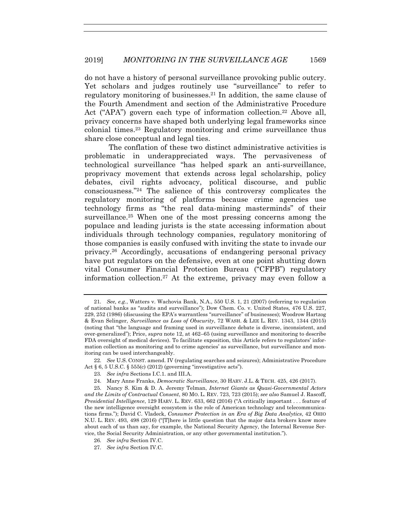do not have a history of personal surveillance provoking public outcry. Yet scholars and judges routinely use "surveillance" to refer to regulatory monitoring of businesses.21 In addition, the same clause of the Fourth Amendment and section of the Administrative Procedure Act ("APA") govern each type of information collection.<sup>22</sup> Above all, privacy concerns have shaped both underlying legal frameworks since colonial times.23 Regulatory monitoring and crime surveillance thus share close conceptual and legal ties.

The conflation of these two distinct administrative activities is problematic in underappreciated ways. The pervasiveness of technological surveillance "has helped spark an anti-surveillance, proprivacy movement that extends across legal scholarship, policy debates, civil rights advocacy, political discourse, and public consciousness."24 The salience of this controversy complicates the regulatory monitoring of platforms because crime agencies use technology firms as "the real data-mining masterminds" of their surveillance.25 When one of the most pressing concerns among the populace and leading jurists is the state accessing information about individuals through technology companies, regulatory monitoring of those companies is easily confused with inviting the state to invade our privacy.26 Accordingly, accusations of endangering personal privacy have put regulators on the defensive, even at one point shutting down vital Consumer Financial Protection Bureau ("CFPB") regulatory information collection.27 At the extreme, privacy may even follow a

<sup>21</sup>*. See, e.g.*, Watters v. Wachovia Bank, N.A., 550 U.S. 1, 21 (2007) (referring to regulation of national banks as "audits and surveillance"); Dow Chem. Co. v. United States*,* 476 U.S. 227, 229, 252 (1986) (discussing the EPA's warrantless "surveillance" of businesses); Woodrow Hartzog & Evan Selinger, *Surveillance as Loss of Obscurity*, 72 WASH. & LEE L. REV. 1343, 1344 (2015) (noting that "the language and framing used in surveillance debate is diverse, inconsistent, and over-generalized"); Price, *supra* note 12, at 462–65 (using surveillance and monitoring to describe FDA oversight of medical devices). To facilitate exposition, this Article refers to regulators' information collection as monitoring and to crime agencies' as surveillance, but surveillance and monitoring can be used interchangeably.

<sup>22</sup>*. See* U.S. CONST. amend. IV (regulating searches and seizures); Administrative Procedure Act § 6, 5 U.S.C. § 555(c) (2012) (governing "investigative acts").

<sup>23</sup>*. See infra* Sections I.C.1. and III.A.

 <sup>24.</sup> Mary Anne Franks, *Democratic Surveillance*, 30 HARV. J.L. & TECH. 425, 426 (2017).

 <sup>25.</sup> Nancy S. Kim & D. A. Jeremy Telman, *Internet Giants as Quasi-Governmental Actors and the Limits of Contractual Consent*, 80 MO. L. REV. 723, 723 (2015); *see also* Samuel J. Rascoff, *Presidential Intelligence*, 129 HARV. L. REV. 633, 662 (2016) ("A critically important . . . feature of the new intelligence oversight ecosystem is the role of American technology and telecommunications firms."); David C. Vladeck, *Consumer Protection in an Era of Big Data Analytics*, 42 OHIO N.U. L. REV. 493, 498 (2016) ("[T]here is little question that the major data brokers know more about each of us than say, for example, the National Security Agency, the Internal Revenue Service, the Social Security Administration, or any other governmental institution.").

<sup>26</sup>*. See infra* Section IV.C.

<sup>27</sup>*. See infra* Section IV.C.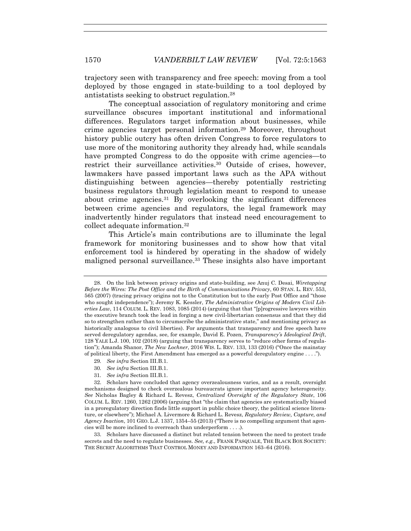trajectory seen with transparency and free speech: moving from a tool deployed by those engaged in state-building to a tool deployed by antistatists seeking to obstruct regulation.28

The conceptual association of regulatory monitoring and crime surveillance obscures important institutional and informational differences. Regulators target information about businesses, while crime agencies target personal information.29 Moreover, throughout history public outcry has often driven Congress to force regulators to use more of the monitoring authority they already had, while scandals have prompted Congress to do the opposite with crime agencies—to restrict their surveillance activities.<sup>30</sup> Outside of crises, however, lawmakers have passed important laws such as the APA without distinguishing between agencies—thereby potentially restricting business regulators through legislation meant to respond to unease about crime agencies.31 By overlooking the significant differences between crime agencies and regulators, the legal framework may inadvertently hinder regulators that instead need encouragement to collect adequate information.32

This Article's main contributions are to illuminate the legal framework for monitoring businesses and to show how that vital enforcement tool is hindered by operating in the shadow of widely maligned personal surveillance.33 These insights also have important

- 29*. See infra* Section III.B.1.
- 30*. See infra* Section III.B.1.
- 31*. See infra* Section III.B.1.

 <sup>28.</sup> On the link between privacy origins and state-building, see Anuj C. Desai, *Wiretapping Before the Wires: The Post Office and the Birth of Communications Privacy*, 60 STAN. L. REV. 553, 565 (2007) (tracing privacy origins not to the Constitution but to the early Post Office and "those who sought independence"); Jeremy K. Kessler, *The Administrative Origins of Modern Civil Liberties Law*, 114 COLUM. L. REV. 1083, 1085 (2014) (arguing that that "[p]rogressive lawyers within the executive branch took the lead in forging a new civil-libertarian consensus and that they did so to strengthen rather than to circumscribe the administrative state," and mentioning privacy as historically analogous to civil liberties). For arguments that transparency and free speech have served deregulatory agendas, see, for example, David E. Pozen, *Transparency's Ideological Drift*, 128 YALE L.J. 100, 102 (2018) (arguing that transparency serves to "reduce other forms of regulation"); Amanda Shanor, *The New Lochner*, 2016 WIS. L. REV. 133, 133 (2016) ("Once the mainstay of political liberty, the First Amendment has emerged as a powerful deregulatory engine . . . .").

 <sup>32.</sup> Scholars have concluded that agency overzealousness varies, and as a result, oversight mechanisms designed to check overzealous bureaucrats ignore important agency heterogeneity. *See* Nicholas Bagley & Richard L. Revesz, *Centralized Oversight of the Regulatory State*, 106 COLUM. L. REV. 1260, 1262 (2006) (arguing that "the claim that agencies are systematically biased in a proregulatory direction finds little support in public choice theory, the political science literature, or elsewhere"); Michael A. Livermore & Richard L. Revesz, *Regulatory Review, Capture, and Agency Inaction*, 101 GEO. L.J. 1337, 1354–55 (2013) ("There is no compelling argument that agencies will be more inclined to overreach than underperform . . . .).

 <sup>33.</sup> Scholars have discussed a distinct but related tension between the need to protect trade secrets and the need to regulate businesses. *See, e.g.*, FRANK PASQUALE, THE BLACK BOX SOCIETY: THE SECRET ALGORITHMS THAT CONTROL MONEY AND INFORMATION 163–64 (2016).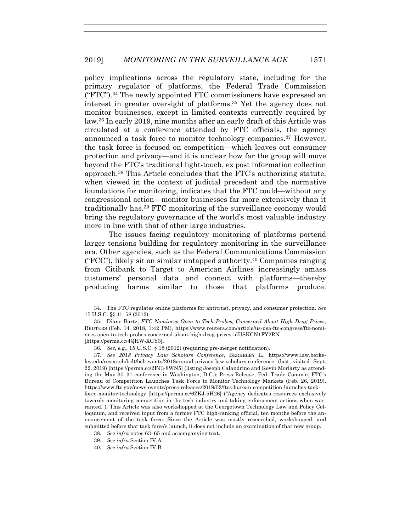policy implications across the regulatory state, including for the primary regulator of platforms, the Federal Trade Commission ("FTC").34 The newly appointed FTC commissioners have expressed an interest in greater oversight of platforms.35 Yet the agency does not monitor businesses, except in limited contexts currently required by law.36 In early 2019, nine months after an early draft of this Article was circulated at a conference attended by FTC officials, the agency announced a task force to monitor technology companies.37 However, the task force is focused on competition—which leaves out consumer protection and privacy—and it is unclear how far the group will move beyond the FTC's traditional light-touch, ex post information collection approach.38 This Article concludes that the FTC's authorizing statute, when viewed in the context of judicial precedent and the normative foundations for monitoring, indicates that the FTC could—without any congressional action—monitor businesses far more extensively than it traditionally has.39 FTC monitoring of the surveillance economy would bring the regulatory governance of the world's most valuable industry more in line with that of other large industries.

The issues facing regulatory monitoring of platforms portend larger tensions building for regulatory monitoring in the surveillance era. Other agencies, such as the Federal Communications Commission ("FCC"), likely sit on similar untapped authority.<sup>40</sup> Companies ranging from Citibank to Target to American Airlines increasingly amass customers' personal data and connect with platforms—thereby producing harms similar to those that platforms produce.

- 39*. See infra* Section IV.A.
- 40*. See infra* Section IV.B.

 <sup>34.</sup> The FTC regulates online platforms for antitrust, privacy, and consumer protection. *See*  15 U.S.C. §§ 41–58 (2012).

 <sup>35.</sup> Diane Bartz, *FTC Nominees Open to Tech Probes, Concerned About High Drug Prices*, REUTERS (Feb. 14, 2018, 1:42 PM), https://www.reuters.com/article/us-usa-ftc-congress/ftc-nominees-open-to-tech-probes-concerned-about-high-drug-prices-idUSKCN1FY2RN [https://perma.cc/4QHW-XGY3].

<sup>36</sup>*. See, e.g.*, 15 U.S.C. § 18 (2012) (requiring pre-merger notification).

<sup>37</sup>*. See 2018 Privacy Law Scholars Conference*, BERKELEY L., https://www.law.berkeley.edu/research/bclt/bcltevents/2018annual-privacy-law-scholars-conference (last visited Sept. 22, 2019) [https://perma.cc/2FJ3-8WN5] (listing Joseph Calandrino and Kevin Moriarty as attending the May 30–31 conference in Washington, D.C.); Press Release, Fed. Trade Comm'n, FTC's Bureau of Competition Launches Task Force to Monitor Technology Markets (Feb. 26, 2019), https://www.ftc.gov/news-events/press-releases/2019/02/ftcs-bureau-competition-launches-taskforce-monitor-technology [https://perma.cc/6ZKJ-5H26] ("Agency dedicates resources exclusively towards monitoring competition in the tech industry and taking enforcement actions when warranted."). This Article was also workshopped at the Georgetown Technology Law and Policy Colloquium, and received input from a former FTC high-ranking official, ten months before the announcement of the task force. Since the Article was mostly researched, workshopped, and submitted before that task force's launch, it does not include an examination of that new group.

<sup>38</sup>*. See infra* notes 63–65 and accompanying text.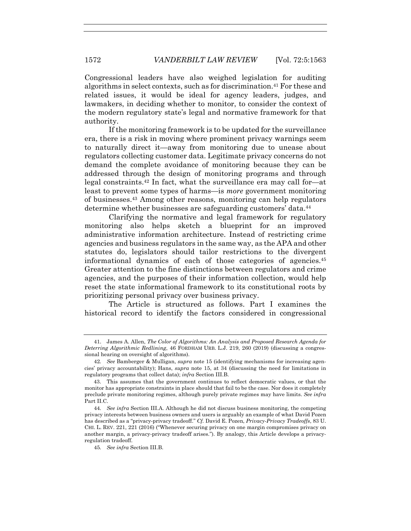Congressional leaders have also weighed legislation for auditing algorithms in select contexts, such as for discrimination.41 For these and related issues, it would be ideal for agency leaders, judges, and lawmakers, in deciding whether to monitor, to consider the context of the modern regulatory state's legal and normative framework for that authority.

If the monitoring framework is to be updated for the surveillance era, there is a risk in moving where prominent privacy warnings seem to naturally direct it—away from monitoring due to unease about regulators collecting customer data. Legitimate privacy concerns do not demand the complete avoidance of monitoring because they can be addressed through the design of monitoring programs and through legal constraints.42 In fact, what the surveillance era may call for—at least to prevent some types of harms—is *more* government monitoring of businesses.43 Among other reasons, monitoring can help regulators determine whether businesses are safeguarding customers' data.<sup>44</sup>

Clarifying the normative and legal framework for regulatory monitoring also helps sketch a blueprint for an improved administrative information architecture. Instead of restricting crime agencies and business regulators in the same way, as the APA and other statutes do, legislators should tailor restrictions to the divergent informational dynamics of each of those categories of agencies.45 Greater attention to the fine distinctions between regulators and crime agencies, and the purposes of their information collection, would help reset the state informational framework to its constitutional roots by prioritizing personal privacy over business privacy.

The Article is structured as follows. Part I examines the historical record to identify the factors considered in congressional

 <sup>41.</sup> James A. Allen, *The Color of Algorithms: An Analysis and Proposed Research Agenda for Deterring Algorithmic Redlining*, 46 FORDHAM URB. L.J. 219, 260 (2019) (discussing a congressional hearing on oversight of algorithms).

<sup>42</sup>*. See* Bamberger & Mulligan, *supra* note 15 (identifying mechanisms for increasing agencies' privacy accountability); Hans, *supra* note 15, at 34 (discussing the need for limitations in regulatory programs that collect data); *infra* Section III.B.

 <sup>43.</sup> This assumes that the government continues to reflect democratic values, or that the monitor has appropriate constraints in place should that fail to be the case. Nor does it completely preclude private monitoring regimes, although purely private regimes may have limits. *See infra*  Part II.C.

<sup>44</sup>*. See infra* Section III.A. Although he did not discuss business monitoring, the competing privacy interests between business owners and users is arguably an example of what David Pozen has described as a "privacy-privacy tradeoff." *Cf.* David E. Pozen, *Privacy-Privacy Tradeoffs*, 83 U. CHI. L. REV. 221, 221 (2016) ("Whenever securing privacy on one margin compromises privacy on another margin, a privacy-privacy tradeoff arises."). By analogy, this Article develops a privacyregulation tradeoff.

<sup>45</sup>*. See infra* Section III.B.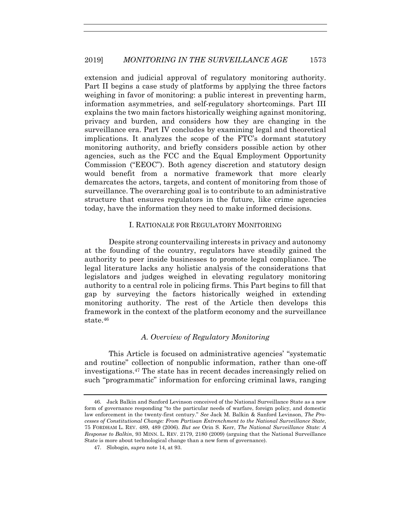extension and judicial approval of regulatory monitoring authority. Part II begins a case study of platforms by applying the three factors weighing in favor of monitoring: a public interest in preventing harm, information asymmetries, and self-regulatory shortcomings. Part III explains the two main factors historically weighing against monitoring, privacy and burden, and considers how they are changing in the surveillance era. Part IV concludes by examining legal and theoretical implications. It analyzes the scope of the FTC's dormant statutory monitoring authority, and briefly considers possible action by other agencies, such as the FCC and the Equal Employment Opportunity Commission ("EEOC"). Both agency discretion and statutory design would benefit from a normative framework that more clearly demarcates the actors, targets, and content of monitoring from those of surveillance. The overarching goal is to contribute to an administrative structure that ensures regulators in the future, like crime agencies today, have the information they need to make informed decisions.

#### I. RATIONALE FOR REGULATORY MONITORING

Despite strong countervailing interests in privacy and autonomy at the founding of the country, regulators have steadily gained the authority to peer inside businesses to promote legal compliance. The legal literature lacks any holistic analysis of the considerations that legislators and judges weighed in elevating regulatory monitoring authority to a central role in policing firms. This Part begins to fill that gap by surveying the factors historically weighed in extending monitoring authority. The rest of the Article then develops this framework in the context of the platform economy and the surveillance state.46

#### *A. Overview of Regulatory Monitoring*

This Article is focused on administrative agencies' "systematic and routine" collection of nonpublic information, rather than one-off investigations.47 The state has in recent decades increasingly relied on such "programmatic" information for enforcing criminal laws, ranging

 <sup>46.</sup> Jack Balkin and Sanford Levinson conceived of the National Surveillance State as a new form of governance responding "to the particular needs of warfare, foreign policy, and domestic law enforcement in the twenty-first century." *See* Jack M. Balkin & Sanford Levinson, *The Processes of Constitutional Change: From Partisan Entrenchment to the National Surveillance State*, 75 FORDHAM L. REV. 489, 489 (2006). *But see* Orin S. Kerr, *The National Surveillance State: A Response to Balkin*, 93 MINN. L. REV. 2179, 2180 (2009) (arguing that the National Surveillance State is more about technological change than a new form of governance).

 <sup>47.</sup> Slobogin, *supra* note 14, at 93.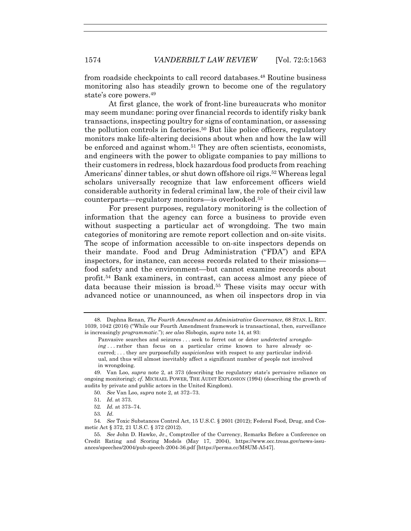from roadside checkpoints to call record databases.48 Routine business monitoring also has steadily grown to become one of the regulatory state's core powers.49

At first glance, the work of front-line bureaucrats who monitor may seem mundane: poring over financial records to identify risky bank transactions, inspecting poultry for signs of contamination, or assessing the pollution controls in factories.50 But like police officers, regulatory monitors make life-altering decisions about when and how the law will be enforced and against whom.51 They are often scientists, economists, and engineers with the power to obligate companies to pay millions to their customers in redress, block hazardous food products from reaching Americans' dinner tables, or shut down offshore oil rigs.<sup>52</sup> Whereas legal scholars universally recognize that law enforcement officers wield considerable authority in federal criminal law, the role of their civil law counterparts—regulatory monitors—is overlooked.53

For present purposes, regulatory monitoring is the collection of information that the agency can force a business to provide even without suspecting a particular act of wrongdoing. The two main categories of monitoring are remote report collection and on-site visits. The scope of information accessible to on-site inspectors depends on their mandate. Food and Drug Administration ("FDA") and EPA inspectors, for instance, can access records related to their missions food safety and the environment—but cannot examine records about profit.54 Bank examiners, in contrast, can access almost any piece of data because their mission is broad.55 These visits may occur with advanced notice or unannounced, as when oil inspectors drop in via

 <sup>48.</sup> Daphna Renan, *The Fourth Amendment as Administrative Governance*, 68 STAN. L. REV. 1039, 1042 (2016) ("While our Fourth Amendment framework is transactional, then, surveillance is increasingly *programmatic*."); *see also* Slobogin, *supra* note 14, at 93:

Panvasive searches and seizures . . . seek to ferret out or deter *undetected wrongdoing* . . . rather than focus on a particular crime known to have already occurred; . . . they are purposefully *suspicionless* with respect to any particular individual, and thus will almost inevitably affect a significant number of people not involved in wrongdoing.

 <sup>49.</sup> Van Loo, *supra* note 2, at 373 (describing the regulatory state's pervasive reliance on ongoing monitoring); *cf.* MICHAEL POWER, THE AUDIT EXPLOSION (1994) (describing the growth of audits by private and public actors in the United Kingdom).

<sup>50</sup>*. See* Van Loo, *supra* note 2, at 372–73.

<sup>51</sup>*. Id*. at 373.

<sup>52</sup>*. Id.* at 373–74.

<sup>53</sup>*. Id*.

<sup>54</sup>*. See* Toxic Substances Control Act, 15 U.S.C. § 2601 (2012); Federal Food, Drug, and Cosmetic Act § 372, 21 U.S.C. § 372 (2012).

<sup>55</sup>*. See* John D. Hawke, Jr., Comptroller of the Currency, Remarks Before a Conference on Credit Rating and Scoring Models (May 17, 2004), https://www.occ.treas.gov/news-issuances/speeches/2004/pub-speech-2004-36.pdf [https://perma.cc/M8UM-A547].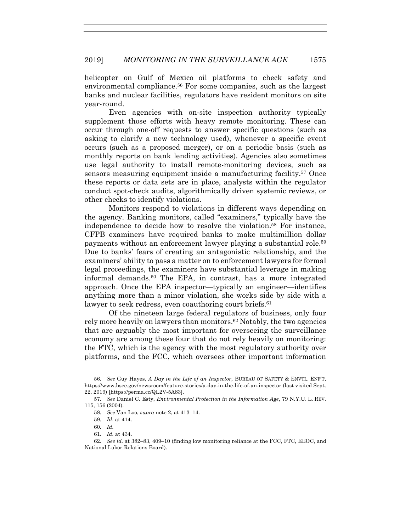helicopter on Gulf of Mexico oil platforms to check safety and environmental compliance.<sup>56</sup> For some companies, such as the largest banks and nuclear facilities, regulators have resident monitors on site year-round.

Even agencies with on-site inspection authority typically supplement those efforts with heavy remote monitoring. These can occur through one-off requests to answer specific questions (such as asking to clarify a new technology used), whenever a specific event occurs (such as a proposed merger), or on a periodic basis (such as monthly reports on bank lending activities). Agencies also sometimes use legal authority to install remote-monitoring devices, such as sensors measuring equipment inside a manufacturing facility.57 Once these reports or data sets are in place, analysts within the regulator conduct spot-check audits, algorithmically driven systemic reviews, or other checks to identify violations.

Monitors respond to violations in different ways depending on the agency. Banking monitors, called "examiners," typically have the independence to decide how to resolve the violation.58 For instance, CFPB examiners have required banks to make multimillion dollar payments without an enforcement lawyer playing a substantial role.59 Due to banks' fears of creating an antagonistic relationship, and the examiners' ability to pass a matter on to enforcement lawyers for formal legal proceedings, the examiners have substantial leverage in making informal demands.60 The EPA, in contrast, has a more integrated approach. Once the EPA inspector—typically an engineer—identifies anything more than a minor violation, she works side by side with a lawyer to seek redress, even coauthoring court briefs.<sup>61</sup>

Of the nineteen large federal regulators of business, only four rely more heavily on lawyers than monitors.62 Notably, the two agencies that are arguably the most important for overseeing the surveillance economy are among these four that do not rely heavily on monitoring: the FTC, which is the agency with the most regulatory authority over platforms, and the FCC, which oversees other important information

<sup>56</sup>*. See* Guy Hayes, *A Day in the Life of an Inspector*, BUREAU OF SAFETY & ENVTL. ENF'T, https://www.bsee.gov/newsroom/feature-stories/a-day-in-the-life-of-an-inspector (last visited Sept. 22, 2019) [https://perma.cc/QL2V-5A83].

<sup>57</sup>*. See* Daniel C. Esty, *Environmental Protection in the Information Age*, 79 N.Y.U. L. REV. 115, 156 (2004).

<sup>58</sup>*. See* Van Loo, *supra* note 2, at 413–14.

<sup>59</sup>*. Id*. at 414.

<sup>60</sup>*. Id*.

<sup>61</sup>*. Id*. at 434.

<sup>62</sup>*. See id.* at 382–83, 409–10 (finding low monitoring reliance at the FCC, FTC, EEOC, and National Labor Relations Board).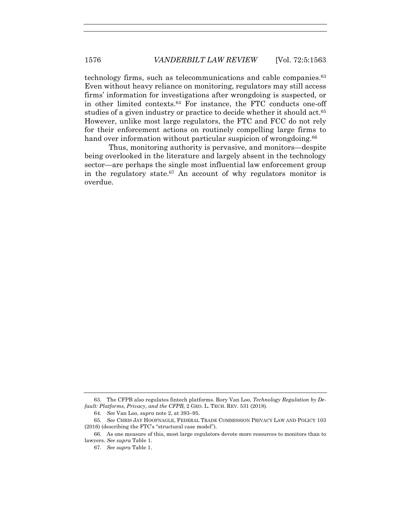technology firms, such as telecommunications and cable companies.63 Even without heavy reliance on monitoring, regulators may still access firms' information for investigations after wrongdoing is suspected, or in other limited contexts.64 For instance, the FTC conducts one-off studies of a given industry or practice to decide whether it should act.<sup>65</sup> However, unlike most large regulators, the FTC and FCC do not rely for their enforcement actions on routinely compelling large firms to hand over information without particular suspicion of wrongdoing.<sup>66</sup>

Thus, monitoring authority is pervasive, and monitors—despite being overlooked in the literature and largely absent in the technology sector—are perhaps the single most influential law enforcement group in the regulatory state.<sup>67</sup> An account of why regulators monitor is overdue.

 <sup>63.</sup> The CFPB also regulates fintech platforms. Rory Van Loo, *Technology Regulation by Default: Platforms, Privacy, and the CFPB,* 2 GEO. L. TECH. REV. 531 (2018).

<sup>64</sup>*. See* Van Loo, *supra* note 2, at 393–95.

<sup>65</sup>*. See* CHRIS JAY HOOFNAGLE, FEDERAL TRADE COMMISSION PRIVACY LAW AND POLICY 103 (2016) (describing the FTC's "structural case model").

 <sup>66.</sup> As one measure of this, most large regulators devote more resources to monitors than to lawyers. *See supra* Table 1.

<sup>67</sup>*. See supra* Table 1.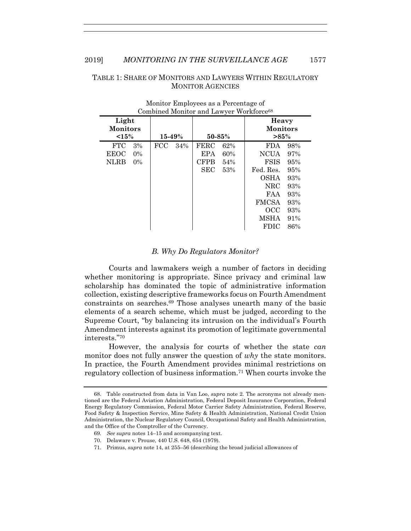# TABLE 1: SHARE OF MONITORS AND LAWYERS WITHIN REGULATORY MONITOR AGENCIES

| Combined Monitor and Lawyer workforce <sup></sup> |            |                    |                                     |  |  |  |  |
|---------------------------------------------------|------------|--------------------|-------------------------------------|--|--|--|--|
| Light<br><b>Monitors</b><br><15%                  | $15 - 49%$ | $50 - 85%$         | Heavy<br><b>Monitors</b><br>$>85\%$ |  |  |  |  |
| <b>FTC</b><br>3%                                  | FCC<br>34% | <b>FERC</b><br>62% | 98%<br><b>FDA</b>                   |  |  |  |  |
| <b>EEOC</b><br>$0\%$                              |            | <b>EPA</b><br>60%  | <b>NCUA</b><br>97%                  |  |  |  |  |
| NLRB<br>$0\%$                                     |            | <b>CFPB</b><br>54% | FSIS<br>95%                         |  |  |  |  |
|                                                   |            | <b>SEC</b><br>53%  | Fed. Res.<br>95%                    |  |  |  |  |
|                                                   |            |                    | <b>OSHA</b><br>93%                  |  |  |  |  |
|                                                   |            |                    | NRC<br>93%                          |  |  |  |  |
|                                                   |            |                    | 93%<br>FAA                          |  |  |  |  |
|                                                   |            |                    | <b>FMCSA</b><br>93%                 |  |  |  |  |
|                                                   |            |                    | OCC<br>93%                          |  |  |  |  |
|                                                   |            |                    | MSHA<br>91%                         |  |  |  |  |
|                                                   |            |                    | FDIC<br>86%                         |  |  |  |  |

#### Monitor Employees as a Percentage of Combined Monitor and Lawyer Workforce<sup>68</sup>

# *B. Why Do Regulators Monitor?*

Courts and lawmakers weigh a number of factors in deciding whether monitoring is appropriate. Since privacy and criminal law scholarship has dominated the topic of administrative information collection, existing descriptive frameworks focus on Fourth Amendment constraints on searches.69 Those analyses unearth many of the basic elements of a search scheme, which must be judged, according to the Supreme Court, "by balancing its intrusion on the individual's Fourth Amendment interests against its promotion of legitimate governmental interests."70

However, the analysis for courts of whether the state *can*  monitor does not fully answer the question of *why* the state monitors. In practice, the Fourth Amendment provides minimal restrictions on regulatory collection of business information.71 When courts invoke the

 <sup>68.</sup> Table constructed from data in Van Loo, *supra* note 2. The acronyms not already mentioned are the Federal Aviation Administration, Federal Deposit Insurance Corporation, Federal Energy Regulatory Commission, Federal Motor Carrier Safety Administration, Federal Reserve, Food Safety & Inspection Service, Mine Safety & Health Administration, National Credit Union Administration, the Nuclear Regulatory Council, Occupational Safety and Health Administration, and the Office of the Comptroller of the Currency.

<sup>69</sup>*. See supra* notes 14–15 and accompanying text.

 <sup>70.</sup> Delaware v. Prouse, 440 U.S. 648, 654 (1979).

 <sup>71.</sup> Primus, *supra* note 14, at 255–56 (describing the broad judicial allowances of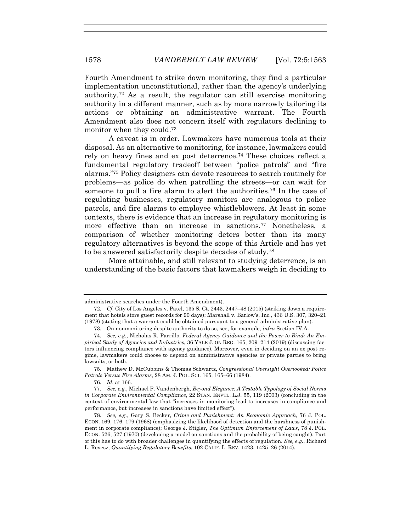Fourth Amendment to strike down monitoring, they find a particular implementation unconstitutional, rather than the agency's underlying authority.72 As a result, the regulator can still exercise monitoring authority in a different manner, such as by more narrowly tailoring its actions or obtaining an administrative warrant. The Fourth Amendment also does not concern itself with regulators declining to monitor when they could.<sup>73</sup>

A caveat is in order. Lawmakers have numerous tools at their disposal. As an alternative to monitoring, for instance, lawmakers could rely on heavy fines and ex post deterrence.74 These choices reflect a fundamental regulatory tradeoff between "police patrols" and "fire alarms."75 Policy designers can devote resources to search routinely for problems—as police do when patrolling the streets—or can wait for someone to pull a fire alarm to alert the authorities.76 In the case of regulating businesses, regulatory monitors are analogous to police patrols, and fire alarms to employee whistleblowers. At least in some contexts, there is evidence that an increase in regulatory monitoring is more effective than an increase in sanctions.77 Nonetheless, a comparison of whether monitoring deters better than its many regulatory alternatives is beyond the scope of this Article and has yet to be answered satisfactorily despite decades of study.78

More attainable, and still relevant to studying deterrence, is an understanding of the basic factors that lawmakers weigh in deciding to

 75. Mathew D. McCubbins & Thomas Schwartz, *Congressional Oversight Overlooked: Police Patrols Versus Fire Alarms*, 28 AM. J. POL. SCI. 165, 165–66 (1984).

administrative searches under the Fourth Amendment).

<sup>72</sup>*. Cf.* City of Los Angeles v. Patel, 135 S. Ct. 2443, 2447–48 (2015) (striking down a requirement that hotels store guest records for 90 days); Marshall v. Barlow's, Inc., 436 U.S. 307, 320–21 (1978) (stating that a warrant could be obtained pursuant to a general administrative plan).

 <sup>73.</sup> On nonmonitoring despite authority to do so, see, for example, *infra* Section IV.A.

<sup>74</sup>*. See, e.g.*, Nicholas R. Parrillo, *Federal Agency Guidance and the Power to Bind: An Empirical Study of Agencies and Industries*, 36 YALE J. ON REG. 165, 209–214 (2019) (discussing factors influencing compliance with agency guidance). Moreover, even in deciding on an ex post regime, lawmakers could choose to depend on administrative agencies or private parties to bring lawsuits, or both.

<sup>76</sup>*. Id*. at 166.

 <sup>77.</sup> *See, e.g.*, Michael P. Vandenbergh, *Beyond Elegance: A Testable Typology of Social Norms in Corporate Environmental Compliance*, 22 STAN. ENVTL. L.J. 55, 119 (2003) (concluding in the context of environmental law that "increases in monitoring lead to increases in compliance and performance, but increases in sanctions have limited effect").

<sup>78</sup>*. See, e.g.*, Gary S. Becker, *Crime and Punishment: An Economic Approach*, 76 J. POL. ECON. 169, 176, 179 (1968) (emphasizing the likelihood of detection and the harshness of punishment in corporate compliance); George J. Stigler, *The Optimum Enforcement of Laws*, 78 J. POL. ECON. 526, 527 (1970) (developing a model on sanctions and the probability of being caught). Part of this has to do with broader challenges in quantifying the effects of regulation. *See, e.g.*, Richard L. Revesz, *Quantifying Regulatory Benefits*, 102 CALIF. L. REV. 1423, 1425–26 (2014).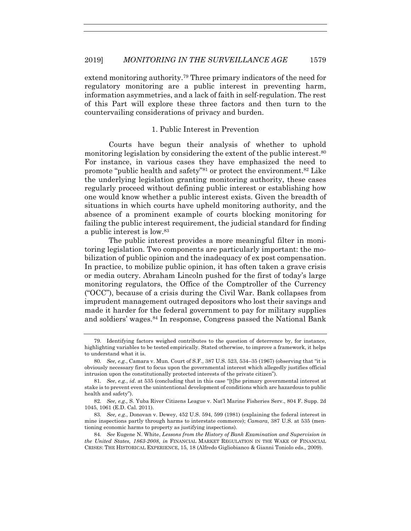extend monitoring authority.79 Three primary indicators of the need for regulatory monitoring are a public interest in preventing harm, information asymmetries, and a lack of faith in self-regulation. The rest of this Part will explore these three factors and then turn to the countervailing considerations of privacy and burden.

# 1. Public Interest in Prevention

Courts have begun their analysis of whether to uphold monitoring legislation by considering the extent of the public interest.<sup>80</sup> For instance, in various cases they have emphasized the need to promote "public health and safety"81 or protect the environment.82 Like the underlying legislation granting monitoring authority, these cases regularly proceed without defining public interest or establishing how one would know whether a public interest exists. Given the breadth of situations in which courts have upheld monitoring authority, and the absence of a prominent example of courts blocking monitoring for failing the public interest requirement, the judicial standard for finding a public interest is low.83

The public interest provides a more meaningful filter in monitoring legislation. Two components are particularly important: the mobilization of public opinion and the inadequacy of ex post compensation. In practice, to mobilize public opinion, it has often taken a grave crisis or media outcry. Abraham Lincoln pushed for the first of today's large monitoring regulators, the Office of the Comptroller of the Currency ("OCC"), because of a crisis during the Civil War. Bank collapses from imprudent management outraged depositors who lost their savings and made it harder for the federal government to pay for military supplies and soldiers' wages.84 In response, Congress passed the National Bank

 <sup>79.</sup> Identifying factors weighed contributes to the question of deterrence by, for instance, highlighting variables to be tested empirically. Stated otherwise, to improve a framework, it helps to understand what it is.

<sup>80</sup>*. See, e.g.*, Camara v. Mun. Court of S.F., 387 U.S. 523, 534–35 (1967) (observing that "it is obviously necessary first to focus upon the governmental interest which allegedly justifies official intrusion upon the constitutionally protected interests of the private citizen").

<sup>81</sup>*. See*, *e.g.*, *id*. at 535 (concluding that in this case "[t]he primary governmental interest at stake is to prevent even the unintentional development of conditions which are hazardous to public health and safety").

<sup>82</sup>*. See, e.g.,* S. Yuba River Citizens League v. Nat'l Marine Fisheries Serv., 804 F. Supp. 2d 1045, 1061 (E.D. Cal. 2011).

<sup>83</sup>*. See, e.g.*, Donovan v. Dewey, 452 U.S. 594, 599 (1981) (explaining the federal interest in mine inspections partly through harms to interstate commerce); *Camara*, 387 U.S. at 535 (mentioning economic harms to property as justifying inspections).

<sup>84</sup>*. See* Eugene N. White, *Lessons from the History of Bank Examination and Supervision in the United States, 1863-2008*, *in* FINANCIAL MARKET REGULATION IN THE WAKE OF FINANCIAL CRISES: THE HISTORICAL EXPERIENCE, 15, 18 (Alfredo Gigliobianco & Gianni Toniolo eds., 2009).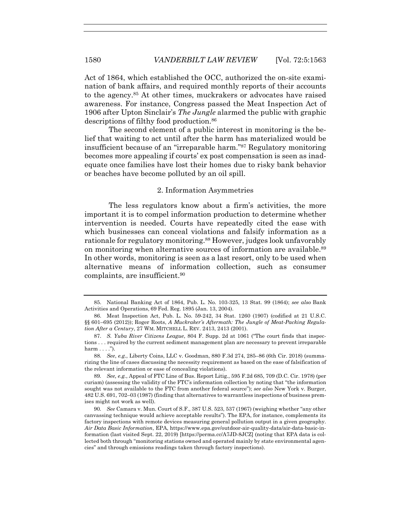Act of 1864, which established the OCC, authorized the on-site examination of bank affairs, and required monthly reports of their accounts to the agency.85 At other times, muckrakers or advocates have raised awareness. For instance, Congress passed the Meat Inspection Act of 1906 after Upton Sinclair's *The Jungle* alarmed the public with graphic descriptions of filthy food production.<sup>86</sup>

The second element of a public interest in monitoring is the belief that waiting to act until after the harm has materialized would be insufficient because of an "irreparable harm."87 Regulatory monitoring becomes more appealing if courts' ex post compensation is seen as inadequate once families have lost their homes due to risky bank behavior or beaches have become polluted by an oil spill.

#### 2. Information Asymmetries

The less regulators know about a firm's activities, the more important it is to compel information production to determine whether intervention is needed. Courts have repeatedly cited the ease with which businesses can conceal violations and falsify information as a rationale for regulatory monitoring.88 However, judges look unfavorably on monitoring when alternative sources of information are available.89 In other words, monitoring is seen as a last resort, only to be used when alternative means of information collection, such as consumer complaints, are insufficient.90

 <sup>85.</sup> National Banking Act of 1864, Pub. L. No. 103-325, 13 Stat. 99 (1864); *see also* Bank Activities and Operations, 69 Fed. Reg. 1895 (Jan. 13, 2004).

 <sup>86.</sup> Meat Inspection Act, Pub. L. No. 59-242, 34 Stat. 1260 (1907) (codified at 21 U.S.C. §§ 601–695 (2012)); Roger Roots, *A Muckraker's Aftermath: The Jungle of Meat-Packing Regulation After a Century*, 27 WM. MITCHELL L. REV. 2413, 2413 (2001).

 <sup>87.</sup> *S. Yuba River Citizens League*, 804 F. Supp. 2d at 1061 ("The court finds that inspections . . . required by the current sediment management plan are necessary to prevent irreparable  $harm \ldots$ .").

<sup>88</sup>*. See*, *e.g.*, Liberty Coins, LLC v. Goodman, 880 F.3d 274, 285–86 (6th Cir. 2018) (summarizing the line of cases discussing the necessity requirement as based on the ease of falsification of the relevant information or ease of concealing violations).

<sup>89</sup>*. See, e.g.*, Appeal of FTC Line of Bus. Report Litig., 595 F.2d 685, 709 (D.C. Cir. 1978) (per curiam) (assessing the validity of the FTC's information collection by noting that "the information sought was not available to the FTC from another federal source"); *see also* New York v. Burger, 482 U.S. 691, 702–03 (1987) (finding that alternatives to warrantless inspections of business premises might not work as well).

<sup>90</sup>*. See* Camara v. Mun. Court of S.F., 387 U.S. 523, 537 (1967) (weighing whether "any other canvassing technique would achieve acceptable results"). The EPA, for instance, complements its factory inspections with remote devices measuring general pollution output in a given geography. *Air Data Basic Information*, EPA, https://www.epa.gov/outdoor-air-quality-data/air-data-basic-information (last visited Sept. 22, 2019) [https://perma.cc/A7JD-8JCZ] (noting that EPA data is collected both through "monitoring stations owned and operated mainly by state environmental agencies" and through emissions readings taken through factory inspections).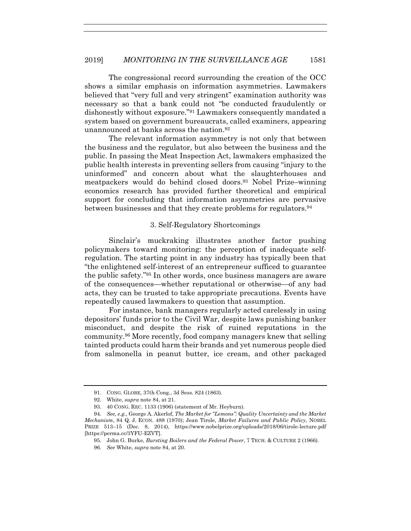The congressional record surrounding the creation of the OCC shows a similar emphasis on information asymmetries. Lawmakers believed that "very full and very stringent" examination authority was necessary so that a bank could not "be conducted fraudulently or dishonestly without exposure."91 Lawmakers consequently mandated a system based on government bureaucrats, called examiners, appearing unannounced at banks across the nation  $92$ 

The relevant information asymmetry is not only that between the business and the regulator, but also between the business and the public. In passing the Meat Inspection Act, lawmakers emphasized the public health interests in preventing sellers from causing "injury to the uninformed" and concern about what the slaughterhouses and meatpackers would do behind closed doors.93 Nobel Prize–winning economics research has provided further theoretical and empirical support for concluding that information asymmetries are pervasive between businesses and that they create problems for regulators.<sup>94</sup>

# 3. Self-Regulatory Shortcomings

Sinclair's muckraking illustrates another factor pushing policymakers toward monitoring: the perception of inadequate selfregulation. The starting point in any industry has typically been that "the enlightened self-interest of an entrepreneur sufficed to guarantee the public safety."95 In other words, once business managers are aware of the consequences—whether reputational or otherwise—of any bad acts, they can be trusted to take appropriate precautions. Events have repeatedly caused lawmakers to question that assumption.

For instance, bank managers regularly acted carelessly in using depositors' funds prior to the Civil War, despite laws punishing banker misconduct, and despite the risk of ruined reputations in the community.96 More recently, food company managers knew that selling tainted products could harm their brands and yet numerous people died from salmonella in peanut butter, ice cream, and other packaged

 <sup>91.</sup> CONG. GLOBE, 37th Cong., 3d Sess. 824 (1863).

 <sup>92.</sup> White, *supra* note 84, at 21.

 <sup>93. 40</sup> CONG. REC. 1133 (1906) (statement of Mr. Heyburn).

<sup>94</sup>*. See, e.g.*, George A. Akerlof, *The Market for "Lemons": Quality Uncertainty and the Market Mechanism*, 84 Q. J. ECON. 488 (1970); Jean Tirole, *Market Failures and Public Policy*, NOBEL PRIZE 513–15 (Dec. 8, 2014), https://www.nobelprize.org/uploads/2018/06/tirole-lecture.pdf [https://perma.cc/3YFU-EZVT].

 <sup>95.</sup> John G. Burke, *Bursting Boilers and the Federal Power*, 7 TECH. & CULTURE 2 (1966).

<sup>96</sup>*. See* White, *supra* note 84, at 20.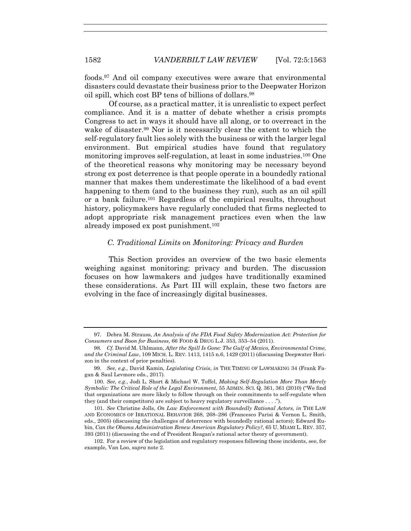foods.97 And oil company executives were aware that environmental disasters could devastate their business prior to the Deepwater Horizon oil spill, which cost BP tens of billions of dollars.98

Of course, as a practical matter, it is unrealistic to expect perfect compliance. And it is a matter of debate whether a crisis prompts Congress to act in ways it should have all along, or to overreact in the wake of disaster.99 Nor is it necessarily clear the extent to which the self-regulatory fault lies solely with the business or with the larger legal environment. But empirical studies have found that regulatory monitoring improves self-regulation, at least in some industries.100 One of the theoretical reasons why monitoring may be necessary beyond strong ex post deterrence is that people operate in a boundedly rational manner that makes them underestimate the likelihood of a bad event happening to them (and to the business they run), such as an oil spill or a bank failure.101 Regardless of the empirical results, throughout history, policymakers have regularly concluded that firms neglected to adopt appropriate risk management practices even when the law already imposed ex post punishment.102

#### *C. Traditional Limits on Monitoring: Privacy and Burden*

This Section provides an overview of the two basic elements weighing against monitoring: privacy and burden. The discussion focuses on how lawmakers and judges have traditionally examined these considerations. As Part III will explain, these two factors are evolving in the face of increasingly digital businesses.

 <sup>97.</sup> Debra M. Strauss, *An Analysis of the FDA Food Safety Modernization Act: Protection for Consumers and Boon for Business*, 66 FOOD & DRUG L.J. 353, 353–54 (2011).

<sup>98</sup>*. Cf.* David M. Uhlmann, *After the Spill Is Gone: The Gulf of Mexico, Environmental Crime, and the Criminal Law*, 109 MICH. L. REV. 1413, 1415 n.6, 1429 (2011) (discussing Deepwater Horizon in the context of prior penalties).

<sup>99</sup>*. See, e.g.*, David Kamin, *Legislating Crisis*, *in* THE TIMING OF LAWMAKING 34 (Frank Fagan & Saul Levmore eds., 2017).

<sup>100</sup>*. See, e.g.*, Jodi L. Short & Michael W. Toffel, *Making Self-Regulation More Than Merely Symbolic: The Critical Role of the Legal Environment*, 55 ADMIN. SCI. Q. 361, 361 (2010) ("We find that organizations are more likely to follow through on their commitments to self-regulate when they (and their competitors) are subject to heavy regulatory surveillance . . . .").

<sup>101</sup>*. See* Christine Jolls, *On Law Enforcement with Boundedly Rational Actors, in* THE LAW AND ECONOMICS OF IRRATIONAL BEHAVIOR 268, 268–286 (Francesco Parisi & Vernon L. Smith, eds., 2005) (discussing the challenges of deterrence with boundedly rational actors); Edward Rubin, *Can the Obama Administration Renew American Regulatory Policy?*, 65 U. MIAMI L. REV. 357, 393 (2011) (discussing the end of President Reagan's rational actor theory of government).

 <sup>102.</sup> For a review of the legislation and regulatory responses following these incidents, see, for example, Van Loo, *supra* note 2.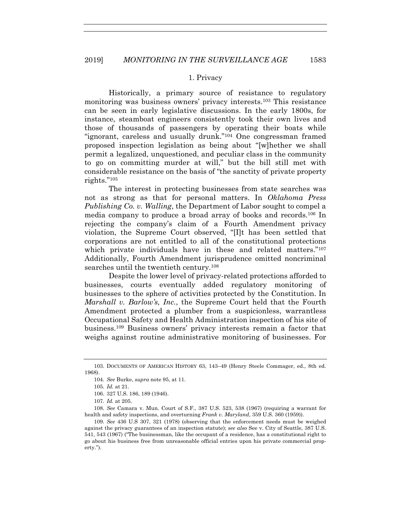#### 1. Privacy

Historically, a primary source of resistance to regulatory monitoring was business owners' privacy interests.103 This resistance can be seen in early legislative discussions. In the early 1800s, for instance, steamboat engineers consistently took their own lives and those of thousands of passengers by operating their boats while "ignorant, careless and usually drunk."104 One congressman framed proposed inspection legislation as being about "[w]hether we shall permit a legalized, unquestioned, and peculiar class in the community to go on committing murder at will," but the bill still met with considerable resistance on the basis of "the sanctity of private property rights."105

The interest in protecting businesses from state searches was not as strong as that for personal matters. In *Oklahoma Press Publishing Co. v. Walling*, the Department of Labor sought to compel a media company to produce a broad array of books and records.106 In rejecting the company's claim of a Fourth Amendment privacy violation, the Supreme Court observed, "[I]t has been settled that corporations are not entitled to all of the constitutional protections which private individuals have in these and related matters."107 Additionally, Fourth Amendment jurisprudence omitted noncriminal searches until the twentieth century.<sup>108</sup>

Despite the lower level of privacy-related protections afforded to businesses, courts eventually added regulatory monitoring of businesses to the sphere of activities protected by the Constitution. In *Marshall v. Barlow's, Inc.*, the Supreme Court held that the Fourth Amendment protected a plumber from a suspicionless, warrantless Occupational Safety and Health Administration inspection of his site of business.109 Business owners' privacy interests remain a factor that weighs against routine administrative monitoring of businesses. For

108*. See* Camara v. Mun. Court of S.F., 387 U.S. 523, 538 (1967) (requiring a warrant for health and safety inspections, and overturning *Frank v. Maryland*, 359 U.S. 360 (1959)).

 <sup>103.</sup> DOCUMENTS OF AMERICAN HISTORY 63, 143–49 (Henry Steele Commager, ed., 8th ed. 1968).

<sup>104</sup>*. See* Burke, *supra* note 95, at 11.

<sup>105</sup>*. Id.* at 21.

 <sup>106. 327</sup> U.S. 186, 189 (1946).

<sup>107</sup>*. Id.* at 205.

<sup>109</sup>*. See* 436 U.S 307, 321 (1978) (observing that the enforcement needs must be weighed against the privacy guarantees of an inspection statute); *see also* See v. City of Seattle, 387 U.S. 541, 543 (1967) ("The businessman, like the occupant of a residence, has a constitutional right to go about his business free from unreasonable official entries upon his private commercial property.").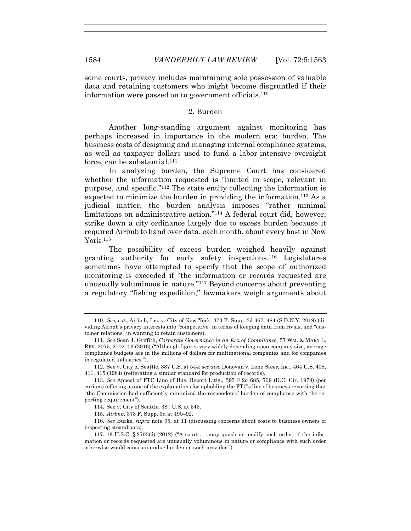some courts, privacy includes maintaining sole possession of valuable data and retaining customers who might become disgruntled if their information were passed on to government officials.110

# 2. Burden

Another long-standing argument against monitoring has perhaps increased in importance in the modern era: burden. The business costs of designing and managing internal compliance systems, as well as taxpayer dollars used to fund a labor-intensive oversight force, can be substantial.<sup>111</sup>

In analyzing burden, the Supreme Court has considered whether the information requested is "limited in scope, relevant in purpose, and specific."112 The state entity collecting the information is expected to minimize the burden in providing the information.113 As a judicial matter, the burden analysis imposes "rather minimal limitations on administrative action."114 A federal court did, however, strike down a city ordinance largely due to excess burden because it required Airbnb to hand over data, each month, about every host in New York 115

The possibility of excess burden weighed heavily against granting authority for early safety inspections.116 Legislatures sometimes have attempted to specify that the scope of authorized monitoring is exceeded if "the information or records requested are unusually voluminous in nature."117 Beyond concerns about preventing a regulatory "fishing expedition," lawmakers weigh arguments about

<sup>110</sup>*. See, e.g.*, Airbnb, Inc. v. City of New York, 373 F. Supp. 3d 467, 484 (S.D.N.Y. 2019) (dividing Airbnb's privacy interests into "competitive" in terms of keeping data from rivals, and "customer relations" in wanting to retain customers).

<sup>111</sup>*. See* Sean J. Griffith, *Corporate Governance in an Era of Compliance*, 57 WM. & MARY L. REV. 2075, 2102–03 (2016) ("Although figures vary widely depending upon company size, average compliance budgets are in the millions of dollars for multinational companies and for companies in regulated industries.").

 <sup>112.</sup> See v. City of Seattle, 387 U.S. at 544; *see also* Donovan v. Lone Steer, Inc., 464 U.S. 408, 411, 415 (1984) (reiterating a similar standard for production of records).

<sup>113</sup>*. See* Appeal of FTC Line of Bus. Report Litig., 595 F.2d 685, 709 (D.C. Cir. 1978) (per curiam) (offering as one of the explanations for upholding the FTC's line of business reporting that "the Commission had sufficiently minimized the respondents' burden of compliance with the reporting requirement").

 <sup>114.</sup> See v. City of Seattle, 387 U.S. at 545.

<sup>115</sup>*. Airbnb*, 373 F. Supp. 3d at 490–92.

<sup>116</sup>*. See* Burke, *supra* note 95, at 11 (discussing concerns about costs to business owners of inspecting steamboats).

<sup>117. 18</sup> U.S.C. § 2703(d) (2012) ("A court  $\dots$  may quash or modify such order, if the information or records requested are unusually voluminous in nature or compliance with such order otherwise would cause an undue burden on such provider.").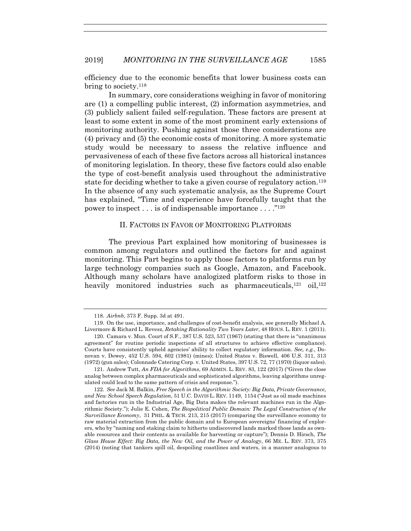efficiency due to the economic benefits that lower business costs can bring to society.118

In summary, core considerations weighing in favor of monitoring are (1) a compelling public interest, (2) information asymmetries, and (3) publicly salient failed self-regulation. These factors are present at least to some extent in some of the most prominent early extensions of monitoring authority. Pushing against those three considerations are (4) privacy and (5) the economic costs of monitoring. A more systematic study would be necessary to assess the relative influence and pervasiveness of each of these five factors across all historical instances of monitoring legislation. In theory, these five factors could also enable the type of cost-benefit analysis used throughout the administrative state for deciding whether to take a given course of regulatory action.119 In the absence of any such systematic analysis, as the Supreme Court has explained, "Time and experience have forcefully taught that the power to inspect . . . is of indispensable importance . . . ."120

# II. FACTORS IN FAVOR OF MONITORING PLATFORMS

The previous Part explained how monitoring of businesses is common among regulators and outlined the factors for and against monitoring. This Part begins to apply those factors to platforms run by large technology companies such as Google, Amazon, and Facebook. Although many scholars have analogized platform risks to those in heavily monitored industries such as pharmaceuticals,<sup>121</sup> oil,<sup>122</sup>

<sup>118</sup>*. Airbnb*, 373 F. Supp. 3d at 491.

 <sup>119.</sup> On the use, importance, and challenges of cost-benefit analysis, see generally Michael A. Livermore & Richard L. Revesz, *Retaking Rationality Two Years Later*, 48 HOUS. L. REV. 1 (2011).

 <sup>120.</sup> Camara v. Mun. Court of S.F., 387 U.S. 523, 537 (1967) (stating that there is "unanimous agreement" for routine periodic inspections of all structures to achieve effective compliance). Courts have consistently upheld agencies' ability to collect regulatory information. *See, e.g.*, Donovan v. Dewey, 452 U.S. 594, 602 (1981) (mines); United States v. Biswell, 406 U.S. 311, 313 (1972) (gun sales); Colonnade Catering Corp. v. United States, 397 U.S. 72, 77 (1970) (liquor sales).

 <sup>121.</sup> Andrew Tutt, *An FDA for Algorithms*, 69 ADMIN. L. REV. 83, 122 (2017) ("Given the close analog between complex pharmaceuticals and sophisticated algorithms, leaving algorithms unregulated could lead to the same pattern of crisis and response.").

<sup>122</sup>*. See* Jack M. Balkin, *Free Speech in the Algorithmic Society: Big Data, Private Governance, and New School Speech Regulation*, 51 U.C. DAVIS L. REV. 1149, 1154 ("Just as oil made machines and factories run in the Industrial Age, Big Data makes the relevant machines run in the Algorithmic Society."); Julie E. Cohen, *The Biopolitical Public Domain: The Legal Construction of the Surveillance Economy*, 31 PHIL. & TECH. 213, 215 (2017) (comparing the surveillance economy to raw material extraction from the public domain and to European sovereigns' financing of explorers, who by "naming and staking claim to hitherto undiscovered lands marked those lands as ownable resources and their contents as available for harvesting or capture"); Dennis D. Hirsch, *The Glass House Effect: Big Data, the New Oil, and the Power of Analogy*, 66 ME. L. REV. 373, 375 (2014) (noting that tankers spill oil, despoiling coastlines and waters, in a manner analogous to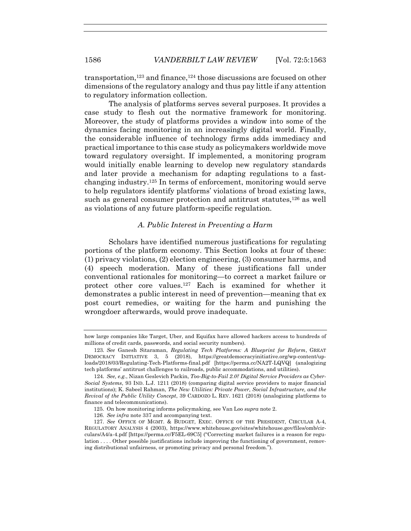transportation,<sup>123</sup> and finance,<sup>124</sup> those discussions are focused on other dimensions of the regulatory analogy and thus pay little if any attention to regulatory information collection.

The analysis of platforms serves several purposes. It provides a case study to flesh out the normative framework for monitoring. Moreover, the study of platforms provides a window into some of the dynamics facing monitoring in an increasingly digital world. Finally, the considerable influence of technology firms adds immediacy and practical importance to this case study as policymakers worldwide move toward regulatory oversight. If implemented, a monitoring program would initially enable learning to develop new regulatory standards and later provide a mechanism for adapting regulations to a fastchanging industry.<sup>125</sup> In terms of enforcement, monitoring would serve to help regulators identify platforms' violations of broad existing laws, such as general consumer protection and antitrust statutes,<sup>126</sup> as well as violations of any future platform-specific regulation.

# *A. Public Interest in Preventing a Harm*

Scholars have identified numerous justifications for regulating portions of the platform economy. This Section looks at four of these: (1) privacy violations, (2) election engineering, (3) consumer harms, and (4) speech moderation. Many of these justifications fall under conventional rationales for monitoring—to correct a market failure or protect other core values.127 Each is examined for whether it demonstrates a public interest in need of prevention—meaning that ex post court remedies, or waiting for the harm and punishing the wrongdoer afterwards, would prove inadequate.

how large companies like Target, Uber, and Equifax have allowed hackers access to hundreds of millions of credit cards, passwords, and social security numbers).

<sup>123</sup>*. See* Ganesh Sitaraman, *Regulating Tech Platforms: A Blueprint for Reform*, GREAT DEMOCRACY INITIATIVE 3, 5 (2018), https://greatdemocracyinitiative.org/wp-content/uploads/2018/03/Regulating-Tech-Platforms-final.pdf [https://perma.cc/NA2T-LQVQ] (analogizing tech platforms' antitrust challenges to railroads, public accommodations, and utilities).

<sup>124</sup>*. See, e.g.*, Nizan Geslevich Packin, *Too-Big-to-Fail 2.0? Digital Service Providers as Cyber-Social Systems*, 93 IND. L.J. 1211 (2018) (comparing digital service providers to major financial institutions); K. Sabeel Rahman, *The New Utilities: Private Power, Social Infrastructure, and the Revival of the Public Utility Concept*, 39 CARDOZO L. REV. 1621 (2018) (analogizing platforms to finance and telecommunications).

 <sup>125.</sup> On how monitoring informs policymaking, see Van Loo *supra* note 2.

 <sup>126.</sup> *See infra* note 337 and accompanying text.

 <sup>127.</sup> *See* OFFICE OF MGMT. & BUDGET, EXEC. OFFICE OF THE PRESIDENT, CIRCULAR A-4, REGULATORY ANALYSIS 4 (2003), https://www.whitehouse.gov/sites/whitehouse.gov/files/omb/circulars/A4/a-4.pdf [https://perma.cc/F5EL-69C5] ("Correcting market failures is a reason for regulation . . . . Other possible justifications include improving the functioning of government, removing distributional unfairness, or promoting privacy and personal freedom.").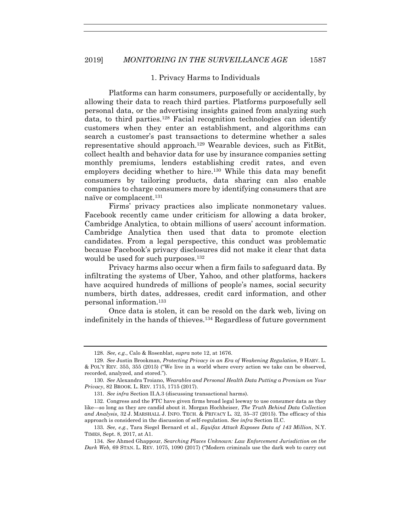#### 1. Privacy Harms to Individuals

Platforms can harm consumers, purposefully or accidentally, by allowing their data to reach third parties. Platforms purposefully sell personal data, or the advertising insights gained from analyzing such data, to third parties.128 Facial recognition technologies can identify customers when they enter an establishment, and algorithms can search a customer's past transactions to determine whether a sales representative should approach.129 Wearable devices, such as FitBit, collect health and behavior data for use by insurance companies setting monthly premiums, lenders establishing credit rates, and even employers deciding whether to hire.<sup>130</sup> While this data may benefit consumers by tailoring products, data sharing can also enable companies to charge consumers more by identifying consumers that are naïve or complacent.131

Firms' privacy practices also implicate nonmonetary values. Facebook recently came under criticism for allowing a data broker, Cambridge Analytica, to obtain millions of users' account information. Cambridge Analytica then used that data to promote election candidates. From a legal perspective, this conduct was problematic because Facebook's privacy disclosures did not make it clear that data would be used for such purposes.<sup>132</sup>

Privacy harms also occur when a firm fails to safeguard data. By infiltrating the systems of Uber, Yahoo, and other platforms, hackers have acquired hundreds of millions of people's names, social security numbers, birth dates, addresses, credit card information, and other personal information.133

Once data is stolen, it can be resold on the dark web, living on indefinitely in the hands of thieves.134 Regardless of future government

<sup>128</sup>*. See, e.g.*, Calo & Rosenblat, *supra* note 12, at 1676.

<sup>129</sup>*. See* Justin Brookman, *Protecting Privacy in an Era of Weakening Regulation*, 9 HARV. L. & POL'Y REV. 355, 355 (2015) ("We live in a world where every action we take can be observed, recorded, analyzed, and stored.").

<sup>130</sup>*. See* Alexandra Troiano, *Wearables and Personal Health Data Putting a Premium on Your Privacy*, 82 BROOK. L. REV. 1715, 1715 (2017).

<sup>131</sup>*. See infra* Section II.A.3 (discussing transactional harms).

 <sup>132.</sup> Congress and the FTC have given firms broad legal leeway to use consumer data as they like—so long as they are candid about it. Morgan Hochheiser, *The Truth Behind Data Collection and Analysis*, 32 J. MARSHALL J. INFO. TECH. & PRIVACY L. 32, 35–37 (2015). The efficacy of this approach is considered in the discussion of self-regulation. *See infra* Section II.C.

<sup>133</sup>*. See, e.g.*, Tara Siegel Bernard et al., *Equifax Attack Exposes Data of 143 Million*, N.Y. TIMES, Sept. 8, 2017, at A1.

<sup>134</sup>*. See* Ahmed Ghappour, *Searching Places Unknown: Law Enforcement Jurisdiction on the Dark Web,* 69 STAN. L. REV. 1075, 1090 (2017) ("Modern criminals use the dark web to carry out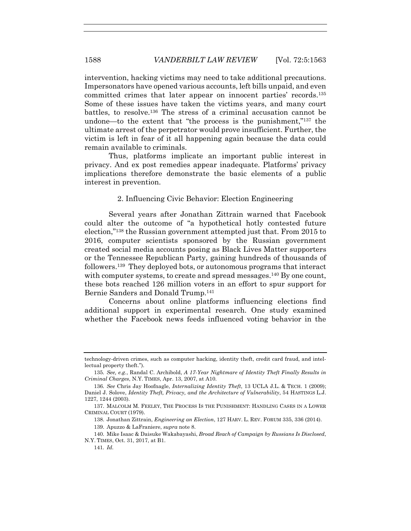intervention, hacking victims may need to take additional precautions. Impersonators have opened various accounts, left bills unpaid, and even committed crimes that later appear on innocent parties' records.135 Some of these issues have taken the victims years, and many court battles, to resolve.136 The stress of a criminal accusation cannot be undone—to the extent that "the process is the punishment,"137 the ultimate arrest of the perpetrator would prove insufficient. Further, the victim is left in fear of it all happening again because the data could remain available to criminals.

Thus, platforms implicate an important public interest in privacy. And ex post remedies appear inadequate. Platforms' privacy implications therefore demonstrate the basic elements of a public interest in prevention.

2. Influencing Civic Behavior: Election Engineering

Several years after Jonathan Zittrain warned that Facebook could alter the outcome of "a hypothetical hotly contested future election,"138 the Russian government attempted just that. From 2015 to 2016, computer scientists sponsored by the Russian government created social media accounts posing as Black Lives Matter supporters or the Tennessee Republican Party, gaining hundreds of thousands of followers.139 They deployed bots, or autonomous programs that interact with computer systems, to create and spread messages.<sup>140</sup> By one count, these bots reached 126 million voters in an effort to spur support for Bernie Sanders and Donald Trump.141

Concerns about online platforms influencing elections find additional support in experimental research. One study examined whether the Facebook news feeds influenced voting behavior in the

technology-driven crimes, such as computer hacking, identity theft, credit card fraud, and intellectual property theft.").

<sup>135</sup>*. See, e.g.*, Randal C. Archibold, *A 17-Year Nightmare of Identity Theft Finally Results in Criminal Charges*, N.Y. TIMES, Apr. 13, 2007, at A10.

<sup>136</sup>*. See* Chris Jay Hoofnagle, *Internalizing Identity Theft*, 13 UCLA J.L. & TECH. 1 (2009); Daniel J. Solove, *Identity Theft, Privacy, and the Architecture of Vulnerability*, 54 HASTINGS L.J. 1227, 1244 (2003).

 <sup>137.</sup> MALCOLM M. FEELEY, THE PROCESS IS THE PUNISHMENT: HANDLING CASES IN A LOWER CRIMINAL COURT (1979).

 <sup>138.</sup> Jonathan Zittrain, *Engineering an Election*, 127 HARV. L. REV. FORUM 335, 336 (2014).

 <sup>139.</sup> Apuzzo & LaFraniere, *supra* note 8.

 <sup>140.</sup> Mike Isaac & Daisuke Wakabayashi, *Broad Reach of Campaign by Russians Is Disclosed*, N.Y. TIMES, Oct. 31, 2017, at B1.

<sup>141</sup>*. Id*.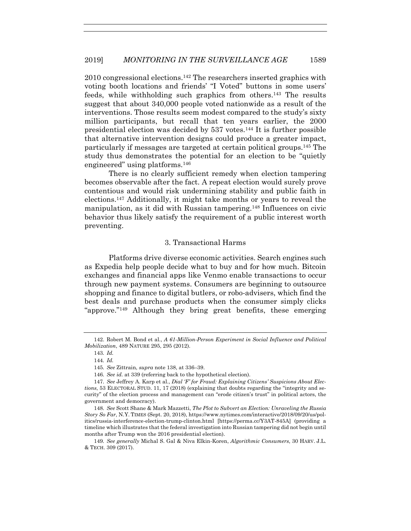2010 congressional elections.142 The researchers inserted graphics with voting booth locations and friends' "I Voted" buttons in some users' feeds, while withholding such graphics from others.143 The results suggest that about 340,000 people voted nationwide as a result of the interventions. Those results seem modest compared to the study's sixty million participants, but recall that ten years earlier, the 2000 presidential election was decided by 537 votes.144 It is further possible that alternative intervention designs could produce a greater impact, particularly if messages are targeted at certain political groups.145 The study thus demonstrates the potential for an election to be "quietly engineered" using platforms.146

There is no clearly sufficient remedy when election tampering becomes observable after the fact. A repeat election would surely prove contentious and would risk undermining stability and public faith in elections.147 Additionally, it might take months or years to reveal the manipulation, as it did with Russian tampering.148 Influences on civic behavior thus likely satisfy the requirement of a public interest worth preventing.

#### 3. Transactional Harms

Platforms drive diverse economic activities. Search engines such as Expedia help people decide what to buy and for how much. Bitcoin exchanges and financial apps like Venmo enable transactions to occur through new payment systems. Consumers are beginning to outsource shopping and finance to digital butlers, or robo-advisers, which find the best deals and purchase products when the consumer simply clicks "approve."149 Although they bring great benefits, these emerging

 <sup>142.</sup> Robert M. Bond et al., *A 61-Million-Person Experiment in Social Influence and Political Mobilization*, 489 NATURE 295, 295 (2012).

<sup>143</sup>*. Id.* 

<sup>144</sup>*. Id.* 

<sup>145</sup>*. See* Zittrain, *supra* note 138, at 336–39.

<sup>146</sup>*. See id.* at 339 (referring back to the hypothetical election).

<sup>147</sup>*. See* Jeffrey A. Karp et al., *Dial 'F' for Fraud: Explaining Citizens' Suspicions About Elections*, 53 ELECTORAL STUD. 11, 17 (2018) (explaining that doubts regarding the "integrity and security" of the election process and management can "erode citizen's trust" in political actors, the government and democracy).

<sup>148</sup>*. See* Scott Shane & Mark Mazzetti, *The Plot to Subvert an Election: Unraveling the Russia Story So Far*, N.Y. TIMES (Sept. 20, 2018), https://www.nytimes.com/interactive/2018/09/20/us/politics/russia-interference-election-trump-clinton.html [https://perma.cc/Y3AT-845A] (providing a timeline which illustrates that the federal investigation into Russian tampering did not begin until months after Trump won the 2016 presidential election).

<sup>149</sup>*. See generally* Michal S. Gal & Niva Elkin-Koren, *Algorithmic Consumers*, 30 HARV. J.L. & TECH. 309 (2017).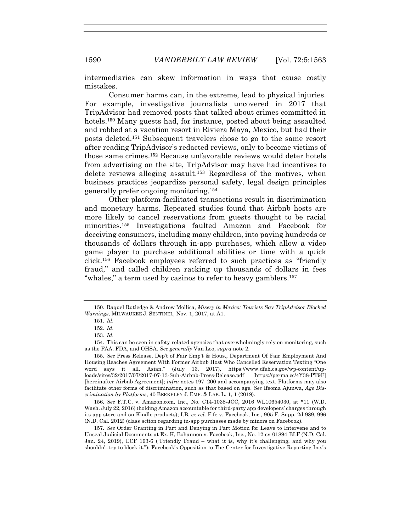intermediaries can skew information in ways that cause costly mistakes.

Consumer harms can, in the extreme, lead to physical injuries. For example, investigative journalists uncovered in 2017 that TripAdvisor had removed posts that talked about crimes committed in hotels.<sup>150</sup> Many guests had, for instance, posted about being assaulted and robbed at a vacation resort in Riviera Maya, Mexico, but had their posts deleted.151 Subsequent travelers chose to go to the same resort after reading TripAdvisor's redacted reviews, only to become victims of those same crimes.152 Because unfavorable reviews would deter hotels from advertising on the site, TripAdvisor may have had incentives to delete reviews alleging assault.153 Regardless of the motives, when business practices jeopardize personal safety, legal design principles generally prefer ongoing monitoring.154

Other platform-facilitated transactions result in discrimination and monetary harms. Repeated studies found that Airbnb hosts are more likely to cancel reservations from guests thought to be racial minorities.155 Investigations faulted Amazon and Facebook for deceiving consumers, including many children, into paying hundreds or thousands of dollars through in-app purchases, which allow a video game player to purchase additional abilities or time with a quick click.156 Facebook employees referred to such practices as "friendly fraud," and called children racking up thousands of dollars in fees "whales," a term used by casinos to refer to heavy gamblers.157

 <sup>150.</sup> Raquel Rutledge & Andrew Mollica, *Misery in Mexico: Tourists Say TripAdvisor Blocked Warnings*, MILWAUKEE J. SENTINEL, Nov. 1, 2017, at A1.

<sup>151</sup>*. Id*.

<sup>152</sup>*. Id*.

<sup>153</sup>*. Id*.

 <sup>154.</sup> This can be seen in safety-related agencies that overwhelmingly rely on monitoring, such as the FAA, FDA, and OHSA. *See generally* Van Loo, *supra* note 2.

<sup>155</sup>*. See* Press Release, Dep't of Fair Emp't & Hous., Department Of Fair Employment And Housing Reaches Agreement With Former Airbnb Host Who Cancelled Reservation Texting "One word says it all. Asian." (July 13, 2017), https://www.dfeh.ca.gov/wp-content/uploads/sites/32/2017/07/2017-07-13-Suh-Airbnb-Press-Release.pdf [https://perma.cc/4Y38-PT9F] [hereinafter Airbnb Agreement]; *infra* notes 197–200 and accompanying text. Platforms may also facilitate other forms of discrimination, such as that based on age. *See* Ifeoma Ajunwa, *Age Discrimination by Platforms*, 40 BERKELEY J. EMP. & LAB. L. 1, 1 (2019).

<sup>156</sup>*. See* F.T.C. v. Amazon.com, Inc., No. C14-1038-JCC, 2016 WL10654030, at \*11 (W.D. Wash. July 22, 2016) (holding Amazon accountable for third-party app developers' charges through its app store and on Kindle products); I.B. *ex rel.* Fife v. Facebook, Inc., 905 F. Supp. 2d 989, 996 (N.D. Cal. 2012) (class action regarding in-app purchases made by minors on Facebook).

<sup>157</sup>*. See* Order Granting in Part and Denying in Part Motion for Leave to Intervene and to Unseal Judicial Documents at Ex. K, Bohannon v. Facebook, Inc., No. 12-cv-01894-BLF (N.D. Cal. Jan. 24, 2019), ECF 193-6 ("Friendly Fraud – what it is, why it's challenging, and why you shouldn't try to block it."); Facebook's Opposition to The Center for Investigative Reporting Inc.'s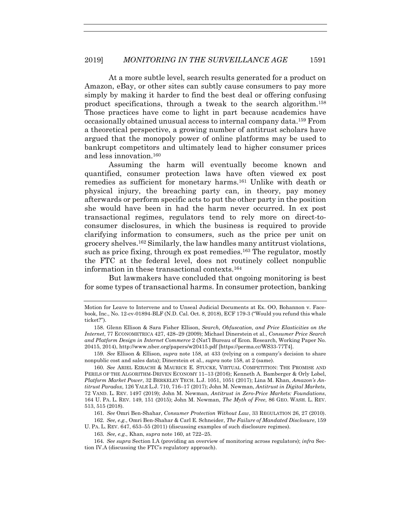At a more subtle level, search results generated for a product on Amazon, eBay, or other sites can subtly cause consumers to pay more simply by making it harder to find the best deal or offering confusing product specifications, through a tweak to the search algorithm.158 Those practices have come to light in part because academics have occasionally obtained unusual access to internal company data.159 From a theoretical perspective, a growing number of antitrust scholars have argued that the monopoly power of online platforms may be used to bankrupt competitors and ultimately lead to higher consumer prices and less innovation.160

Assuming the harm will eventually become known and quantified, consumer protection laws have often viewed ex post remedies as sufficient for monetary harms.161 Unlike with death or physical injury, the breaching party can, in theory, pay money afterwards or perform specific acts to put the other party in the position she would have been in had the harm never occurred. In ex post transactional regimes, regulators tend to rely more on direct-toconsumer disclosures, in which the business is required to provide clarifying information to consumers, such as the price per unit on grocery shelves.162 Similarly, the law handles many antitrust violations, such as price fixing, through ex post remedies.<sup>163</sup> The regulator, mostly the FTC at the federal level, does not routinely collect nonpublic information in these transactional contexts.164

But lawmakers have concluded that ongoing monitoring is best for some types of transactional harms. In consumer protection, banking

161*. See* Omri Ben-Shahar, *Consumer Protection Without Law*, 33 REGULATION 26, 27 (2010). 162*. See, e.g.*, Omri Ben-Shahar & Carl E. Schneider, *The Failure of Mandated Disclosure*, 159

U. PA. L. REV. 647, 653–55 (2011) (discussing examples of such disclosure regimes).

163*. See, e.g.*, Khan, *supra* note 160, at 722–25.

164*. See supra* Section I.A (providing an overview of monitoring across regulators); *infra* Section IV.A (discussing the FTC's regulatory approach).

Motion for Leave to Intervene and to Unseal Judicial Documents at Ex. OO, Bohannon v. Facebook, Inc., No. 12-cv-01894-BLF (N.D. Cal. Oct. 8, 2018), ECF 179-3 ("Would you refund this whale ticket?").

 <sup>158.</sup> Glenn Ellison & Sara Fisher Ellison, *Search, Obfuscation, and Price Elasticities on the Internet*, 77 ECONOMETRICA 427, 428–29 (2009); Michael Dinerstein et al., *Consumer Price Search and Platform Design in Internet Commerce* 2 (Nat'l Bureau of Econ. Research, Working Paper No. 20415, 2014), http://www.nber.org/papers/w20415.pdf [https://perma.cc/WS33-77T4].

<sup>159</sup>*. See* Ellison & Ellison, *supra* note 158, at 433 (relying on a company's decision to share nonpublic cost and sales data); Dinerstein et al., *supra* note 158, at 2 (same).

<sup>160</sup>*. See* ARIEL EZRACHI & MAURICE E. STUCKE, VIRTUAL COMPETITION: THE PROMISE AND PERILS OF THE ALGORITHM-DRIVEN ECONOMY 11–13 (2016); Kenneth A. Bamberger & Orly Lobel, *Platform Market Power*, 32 BERKELEY TECH. L.J. 1051, 1051 (2017); Lina M. Khan, *Amazon's Antitrust Paradox*, 126 YALE L.J. 710, 716–17 (2017); John M. Newman, *Antitrust in Digital Markets*, 72 VAND. L. REV. 1497 (2019); John M. Newman, *Antitrust in Zero-Price Markets: Foundations*, 164 U. PA. L. REV. 149, 151 (2015); John M. Newman, *The Myth of Free*, 86 GEO. WASH. L. REV. 513, 515 (2018).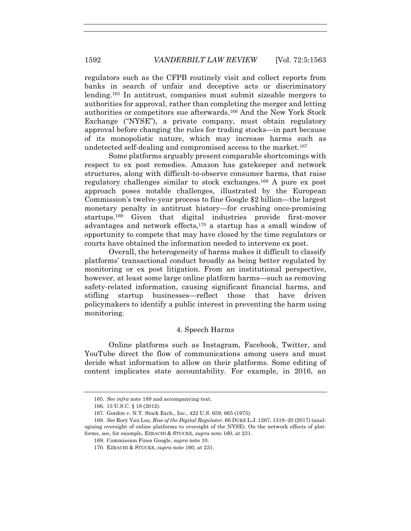regulators such as the CFPB routinely visit and collect reports from banks in search of unfair and deceptive acts or discriminatory lending.165 In antitrust, companies must submit sizeable mergers to authorities for approval, rather than completing the merger and letting authorities or competitors sue afterwards.166 And the New York Stock Exchange ("NYSE"), a private company, must obtain regulatory approval before changing the rules for trading stocks—in part because of its monopolistic nature, which may increase harms such as undetected self-dealing and compromised access to the market.167

Some platforms arguably present comparable shortcomings with respect to ex post remedies. Amazon has gatekeeper and network structures, along with difficult-to-observe consumer harms, that raise regulatory challenges similar to stock exchanges.168 A pure ex post approach poses notable challenges, illustrated by the European Commission's twelve-year process to fine Google \$2 billion—the largest monetary penalty in antitrust history—for crushing once-promising startups.169 Given that digital industries provide first-mover advantages and network effects,170 a startup has a small window of opportunity to compete that may have closed by the time regulators or courts have obtained the information needed to intervene ex post.

Overall, the heterogeneity of harms makes it difficult to classify platforms' transactional conduct broadly as being better regulated by monitoring or ex post litigation. From an institutional perspective, however, at least some large online platform harms—such as removing safety-related information, causing significant financial harms, and stifling startup businesses—reflect those that have driven policymakers to identify a public interest in preventing the harm using monitoring.

# 4. Speech Harms

Online platforms such as Instagram, Facebook, Twitter, and YouTube direct the flow of communications among users and must decide what information to allow on their platforms. Some editing of content implicates state accountability. For example, in 2016, an

<sup>165</sup>*. See infra* note 189 and accompanying text.

 <sup>166. 15</sup> U.S.C. § 18 (2012).

 <sup>167.</sup> Gordon v. N.Y. Stock Exch., Inc., 422 U.S. 659, 665 (1975).

<sup>168</sup>*. See* Rory Van Loo, *Rise of the Digital Regulator*, 66 DUKE L.J. 1267, 1319–20 (2017) (analogizing oversight of online platforms to oversight of the NYSE). On the network effects of platforms, see, for example, EZRACHI & STUCKE, *supra* note 160, at 231.

 <sup>169.</sup> Commission Fines Google, *supra* note 10.

 <sup>170.</sup> EZRACHI & STUCKE, *supra* note 160, at 231.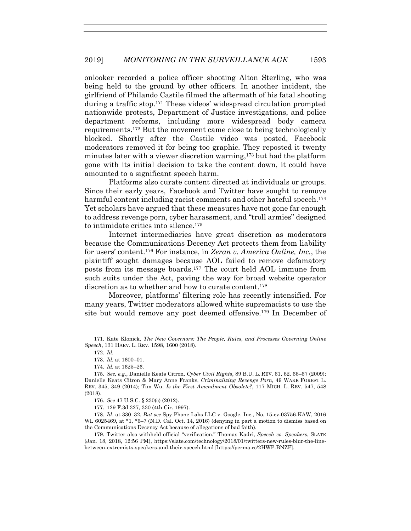onlooker recorded a police officer shooting Alton Sterling, who was being held to the ground by other officers. In another incident, the girlfriend of Philando Castile filmed the aftermath of his fatal shooting during a traffic stop.171 These videos' widespread circulation prompted nationwide protests, Department of Justice investigations, and police department reforms, including more widespread body camera requirements.172 But the movement came close to being technologically blocked. Shortly after the Castile video was posted, Facebook moderators removed it for being too graphic. They reposted it twenty minutes later with a viewer discretion warning,173 but had the platform gone with its initial decision to take the content down, it could have amounted to a significant speech harm.

Platforms also curate content directed at individuals or groups. Since their early years, Facebook and Twitter have sought to remove harmful content including racist comments and other hateful speech.<sup>174</sup> Yet scholars have argued that these measures have not gone far enough to address revenge porn, cyber harassment, and "troll armies" designed to intimidate critics into silence.175

Internet intermediaries have great discretion as moderators because the Communications Decency Act protects them from liability for users' content.176 For instance, in *Zeran v. America Online, Inc.*, the plaintiff sought damages because AOL failed to remove defamatory posts from its message boards.177 The court held AOL immune from such suits under the Act, paving the way for broad website operator discretion as to whether and how to curate content.<sup>178</sup>

Moreover, platforms' filtering role has recently intensified. For many years, Twitter moderators allowed white supremacists to use the site but would remove any post deemed offensive.179 In December of

 <sup>171.</sup> Kate Klonick, *The New Governors: The People, Rules, and Processes Governing Online Speech*, 131 HARV. L. REV. 1598, 1600 (2018).

<sup>172</sup>*. Id.* 

<sup>173</sup>*. Id.* at 1600–01.

<sup>174</sup>*. Id.* at 1625–26.

<sup>175</sup>*. See, e.g.*, Danielle Keats Citron, *Cyber Civil Rights*, 89 B.U. L. REV. 61, 62, 66–67 (2009); Danielle Keats Citron & Mary Anne Franks, *Criminalizing Revenge Porn*, 49 WAKE FOREST L. REV. 345, 349 (2014); Tim Wu, *Is the First Amendment Obsolete?*, 117 MICH. L. REV. 547, 548 (2018).

<sup>176</sup>*. See* 47 U.S.C. § 230(c) (2012).

 <sup>177. 129</sup> F.3d 327, 330 (4th Cir. 1997).

<sup>178</sup>*. Id*. at 330–32. *But see* Spy Phone Labs LLC v. Google, Inc., No. 15-cv-03756-KAW, 2016 WL 6025469, at \*1, \*6–7 (N.D. Cal. Oct. 14, 2016) (denying in part a motion to dismiss based on the Communications Decency Act because of allegations of bad faith).

 <sup>179.</sup> Twitter also withheld official "verification." Thomas Kadri, *Speech vs. Speakers*, SLATE (Jan. 18, 2018, 12:56 PM), https://slate.com/technology/2018/01/twitters-new-rules-blur-the-linebetween-extremists-speakers-and-their-speech.html [https://perma.cc/2HWP-BNZF].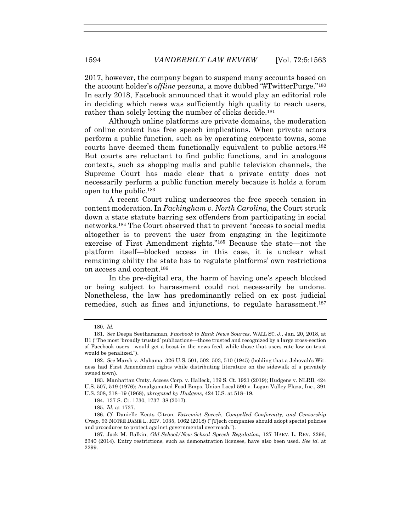2017, however, the company began to suspend many accounts based on the account holder's *offline* persona, a move dubbed "#TwitterPurge."180 In early 2018, Facebook announced that it would play an editorial role in deciding which news was sufficiently high quality to reach users, rather than solely letting the number of clicks decide.<sup>181</sup>

Although online platforms are private domains, the moderation of online content has free speech implications. When private actors perform a public function, such as by operating corporate towns, some courts have deemed them functionally equivalent to public actors.182 But courts are reluctant to find public functions, and in analogous contexts, such as shopping malls and public television channels, the Supreme Court has made clear that a private entity does not necessarily perform a public function merely because it holds a forum open to the public.183

A recent Court ruling underscores the free speech tension in content moderation. In *Packingham v. North Carolina*, the Court struck down a state statute barring sex offenders from participating in social networks.184 The Court observed that to prevent "access to social media altogether is to prevent the user from engaging in the legitimate exercise of First Amendment rights."185 Because the state—not the platform itself—blocked access in this case, it is unclear what remaining ability the state has to regulate platforms' own restrictions on access and content.186

In the pre-digital era, the harm of having one's speech blocked or being subject to harassment could not necessarily be undone. Nonetheless, the law has predominantly relied on ex post judicial remedies, such as fines and injunctions, to regulate harassment.<sup>187</sup>

<sup>180</sup>*. Id.*

<sup>181</sup>*. See* Deepa Seetharaman, *Facebook to Rank News Sources*, WALL ST. J., Jan. 20, 2018, at B1 ("The most 'broadly trusted' publications—those trusted and recognized by a large cross-section of Facebook users—would get a boost in the news feed, while those that users rate low on trust would be penalized.").

<sup>182</sup>*. See* Marsh v. Alabama, 326 U.S. 501, 502–503, 510 (1945) (holding that a Jehovah's Witness had First Amendment rights while distributing literature on the sidewalk of a privately owned town).

 <sup>183.</sup> Manhattan Cmty. Access Corp. v. Halleck, 139 S. Ct. 1921 (2019); Hudgens v. NLRB, 424 U.S. 507, 519 (1976); Amalgamated Food Emps. Union Local 590 v. Logan Valley Plaza, Inc., 391 U.S. 308, 318–19 (1968), *abrogated by Hudgens*, 424 U.S. at 518–19.

 <sup>184. 137</sup> S. Ct. 1730, 1737–38 (2017).

<sup>185</sup>*. Id.* at 1737.

<sup>186</sup>*. Cf.* Danielle Keats Citron, *Extremist Speech, Compelled Conformity, and Censorship Creep,* 93 NOTRE DAME L. REV. 1035, 1062 (2018) ("[T]ech companies should adopt special policies and procedures to protect against governmental overreach.").

 <sup>187.</sup> Jack M. Balkin, *Old-School/New-School Speech Regulation*, 127 HARV. L. REV. 2296, 2340 (2014). Entry restrictions, such as demonstration licenses, have also been used. *See id.* at 2299.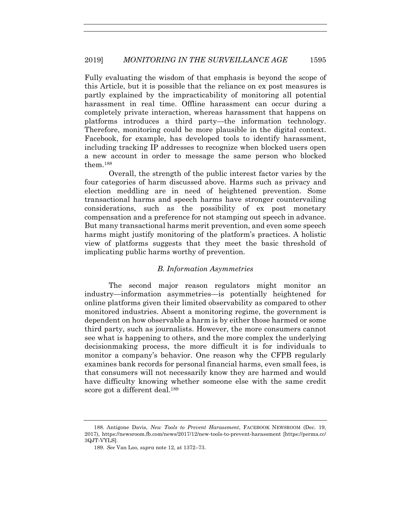Fully evaluating the wisdom of that emphasis is beyond the scope of this Article, but it is possible that the reliance on ex post measures is partly explained by the impracticability of monitoring all potential harassment in real time. Offline harassment can occur during a completely private interaction, whereas harassment that happens on platforms introduces a third party—the information technology. Therefore, monitoring could be more plausible in the digital context. Facebook, for example, has developed tools to identify harassment, including tracking IP addresses to recognize when blocked users open a new account in order to message the same person who blocked them.188

Overall, the strength of the public interest factor varies by the four categories of harm discussed above. Harms such as privacy and election meddling are in need of heightened prevention. Some transactional harms and speech harms have stronger countervailing considerations, such as the possibility of ex post monetary compensation and a preference for not stamping out speech in advance. But many transactional harms merit prevention, and even some speech harms might justify monitoring of the platform's practices. A holistic view of platforms suggests that they meet the basic threshold of implicating public harms worthy of prevention.

#### *B. Information Asymmetries*

The second major reason regulators might monitor an industry—information asymmetries—is potentially heightened for online platforms given their limited observability as compared to other monitored industries. Absent a monitoring regime, the government is dependent on how observable a harm is by either those harmed or some third party, such as journalists. However, the more consumers cannot see what is happening to others, and the more complex the underlying decisionmaking process, the more difficult it is for individuals to monitor a company's behavior. One reason why the CFPB regularly examines bank records for personal financial harms, even small fees, is that consumers will not necessarily know they are harmed and would have difficulty knowing whether someone else with the same credit score got a different deal.<sup>189</sup>

 <sup>188.</sup> Antigone Davis, *New Tools to Prevent Harassment*, FACEBOOK NEWSROOM (Dec. 19, 2017), https://newsroom.fb.com/news/2017/12/new-tools-to-prevent-harassment [https://perma.cc/ 3QJT-VYLS].

<sup>189</sup>*. See* Van Loo, *supra* note 12, at 1372–73.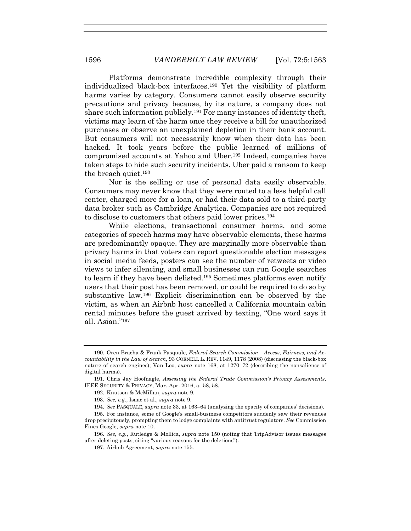Platforms demonstrate incredible complexity through their individualized black-box interfaces.190 Yet the visibility of platform harms varies by category. Consumers cannot easily observe security precautions and privacy because, by its nature, a company does not share such information publicly.191 For many instances of identity theft, victims may learn of the harm once they receive a bill for unauthorized purchases or observe an unexplained depletion in their bank account. But consumers will not necessarily know when their data has been hacked. It took years before the public learned of millions of compromised accounts at Yahoo and Uber.192 Indeed, companies have taken steps to hide such security incidents. Uber paid a ransom to keep the breach quiet.<sup>193</sup>

Nor is the selling or use of personal data easily observable. Consumers may never know that they were routed to a less helpful call center, charged more for a loan, or had their data sold to a third-party data broker such as Cambridge Analytica. Companies are not required to disclose to customers that others paid lower prices.194

While elections, transactional consumer harms, and some categories of speech harms may have observable elements, these harms are predominantly opaque. They are marginally more observable than privacy harms in that voters can report questionable election messages in social media feeds, posters can see the number of retweets or video views to infer silencing, and small businesses can run Google searches to learn if they have been delisted.195 Sometimes platforms even notify users that their post has been removed, or could be required to do so by substantive law.196 Explicit discrimination can be observed by the victim, as when an Airbnb host cancelled a California mountain cabin rental minutes before the guest arrived by texting, "One word says it all. Asian."197

 <sup>190.</sup> Oren Bracha & Frank Pasquale, *Federal Search Commission – Access, Fairness, and Accountability in the Law of Search*, 93 CORNELL L. REV. 1149, 1178 (2008) (discussing the black-box nature of search engines); Van Loo, *supra* note 168, at 1270–72 (describing the nonsalience of digital harms).

 <sup>191.</sup> Chris Jay Hoofnagle, *Assessing the Federal Trade Commission's Privacy Assessments*, IEEE SECURITY & PRIVACY, Mar.-Apr. 2016, at 58, 58.

 <sup>192.</sup> Knutson & McMillan, *supra* note 9.

<sup>193</sup>*. See, e.g.*, Isaac et al., *supra* note 9.

<sup>194</sup>*. See* PASQUALE, *supra* note 33, at 163–64 (analyzing the opacity of companies' decisions).

 <sup>195.</sup> For instance, some of Google's small-business competitors suddenly saw their revenues drop precipitously, prompting them to lodge complaints with antitrust regulators. *See* Commission Fines Google, *supra* note 10.

<sup>196</sup>*. See, e.g.*, Rutledge & Mollica, *supra* note 150 (noting that TripAdvisor issues messages after deleting posts, citing "various reasons for the deletions").

 <sup>197.</sup> Airbnb Agreement, *supra* note 155.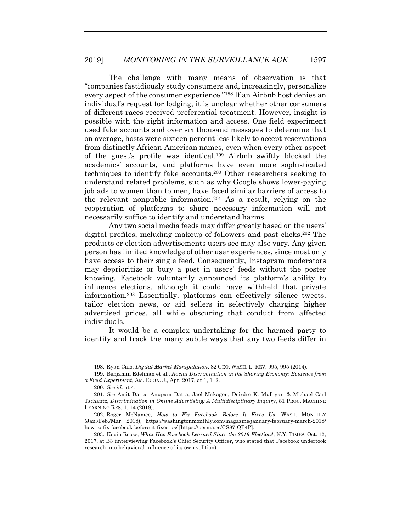The challenge with many means of observation is that "companies fastidiously study consumers and, increasingly, personalize every aspect of the consumer experience."198 If an Airbnb host denies an individual's request for lodging, it is unclear whether other consumers of different races received preferential treatment. However, insight is possible with the right information and access. One field experiment used fake accounts and over six thousand messages to determine that on average, hosts were sixteen percent less likely to accept reservations from distinctly African-American names, even when every other aspect of the guest's profile was identical.199 Airbnb swiftly blocked the academics' accounts, and platforms have even more sophisticated techniques to identify fake accounts.200 Other researchers seeking to understand related problems, such as why Google shows lower-paying job ads to women than to men, have faced similar barriers of access to the relevant nonpublic information.201 As a result, relying on the cooperation of platforms to share necessary information will not necessarily suffice to identify and understand harms.

Any two social media feeds may differ greatly based on the users' digital profiles, including makeup of followers and past clicks.202 The products or election advertisements users see may also vary. Any given person has limited knowledge of other user experiences, since most only have access to their single feed. Consequently, Instagram moderators may deprioritize or bury a post in users' feeds without the poster knowing. Facebook voluntarily announced its platform's ability to influence elections, although it could have withheld that private information.203 Essentially, platforms can effectively silence tweets, tailor election news, or aid sellers in selectively charging higher advertised prices, all while obscuring that conduct from affected individuals.

It would be a complex undertaking for the harmed party to identify and track the many subtle ways that any two feeds differ in

 <sup>198.</sup> Ryan Calo, *Digital Market Manipulation*, 82 GEO. WASH. L. REV. 995, 995 (2014).

 <sup>199.</sup> Benjamin Edelman et al., *Racial Discrimination in the Sharing Economy: Evidence from a Field Experiment*, AM. ECON. J., Apr. 2017, at 1, 1–2.

<sup>200</sup>*. See id.* at 4.

<sup>201</sup>*. See* Amit Datta, Anupam Datta, Jael Makagon, Deirdre K. Mulligan & Michael Carl Tschantz, *Discrimination in Online Advertising: A Multidisciplinary Inquiry*, 81 PROC. MACHINE LEARNING RES. 1, 14 (2018).

 <sup>202.</sup> Roger McNamee, *How to Fix Facebook—Before It Fixes Us*, WASH. MONTHLY (Jan./Feb./Mar. 2018), https://washingtonmonthly.com/magazine/january-february-march-2018/ how-to-fix-facebook-before-it-fixes-us/ [https://perma.cc/CS87-QP4P].

 <sup>203.</sup> Kevin Roose, *What Has Facebook Learned Since the 2016 Election?*, N.Y. TIMES, Oct. 12, 2017, at B3 (interviewing Facebook's Chief Security Officer, who stated that Facebook undertook research into behavioral influence of its own volition).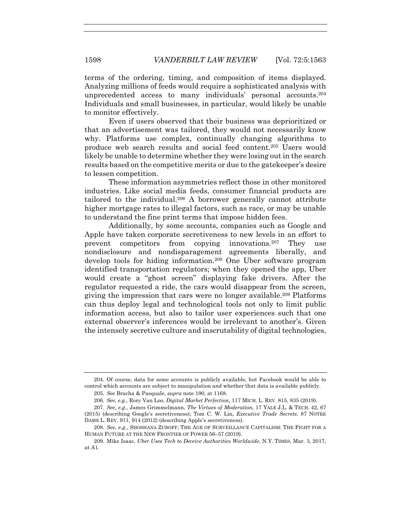terms of the ordering, timing, and composition of items displayed. Analyzing millions of feeds would require a sophisticated analysis with unprecedented access to many individuals' personal accounts.204 Individuals and small businesses, in particular, would likely be unable to monitor effectively.

Even if users observed that their business was deprioritized or that an advertisement was tailored, they would not necessarily know why. Platforms use complex, continually changing algorithms to produce web search results and social feed content.205 Users would likely be unable to determine whether they were losing out in the search results based on the competitive merits or due to the gatekeeper's desire to lessen competition.

These information asymmetries reflect those in other monitored industries. Like social media feeds, consumer financial products are tailored to the individual.206 A borrower generally cannot attribute higher mortgage rates to illegal factors, such as race, or may be unable to understand the fine print terms that impose hidden fees.

Additionally, by some accounts, companies such as Google and Apple have taken corporate secretiveness to new levels in an effort to prevent competitors from copying innovations.207 They use nondisclosure and nondisparagement agreements liberally, and develop tools for hiding information.208 One Uber software program identified transportation regulators; when they opened the app, Uber would create a "ghost screen" displaying fake drivers. After the regulator requested a ride, the cars would disappear from the screen, giving the impression that cars were no longer available.209 Platforms can thus deploy legal and technological tools not only to limit public information access, but also to tailor user experiences such that one external observer's inferences would be irrelevant to another's. Given the intensely secretive culture and inscrutability of digital technologies,

 <sup>204.</sup> Of course, data for some accounts is publicly available, but Facebook would be able to control which accounts are subject to manipulation and whether that data is available publicly.

<sup>205</sup>*. See* Bracha & Pasquale, *supra* note 190, at 1168.

<sup>206</sup>*. See, e.g.*, Rory Van Loo, *Digital Market Perfection*, 117 MICH. L. REV. 815, 835 (2019).

<sup>207</sup>*. See, e.g.*, James Grimmelmann, *The Virtues of Moderation*, 17 YALE J.L. & TECH. 42, 67

<sup>(2015) (</sup>describing Google's secretiveness); Tom C. W. Lin, *Executive Trade Secrets*, 87 NOTRE DAME L. REV. 911, 914 (2012) (describing Apple's secretiveness).

<sup>208</sup>*. See, e.g.*, SHOSHANA ZUBOFF, THE AGE OF SURVEILLANCE CAPITALISM: THE FIGHT FOR A HUMAN FUTURE AT THE NEW FRONTIER OF POWER 56–57 (2019).

 <sup>209.</sup> Mike Isaac, *Uber Uses Tech to Deceive Authorities Worldwide*, N.Y. TIMES, Mar. 3, 2017, at A1.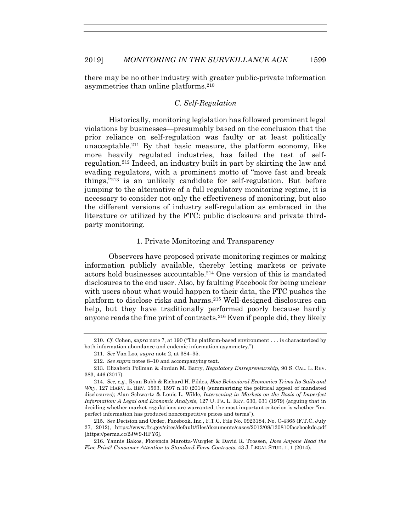there may be no other industry with greater public-private information asymmetries than online platforms.210

# *C. Self-Regulation*

Historically, monitoring legislation has followed prominent legal violations by businesses—presumably based on the conclusion that the prior reliance on self-regulation was faulty or at least politically unacceptable.<sup>211</sup> By that basic measure, the platform economy, like more heavily regulated industries, has failed the test of selfregulation.212 Indeed, an industry built in part by skirting the law and evading regulators, with a prominent motto of "move fast and break things,"213 is an unlikely candidate for self-regulation. But before jumping to the alternative of a full regulatory monitoring regime, it is necessary to consider not only the effectiveness of monitoring, but also the different versions of industry self-regulation as embraced in the literature or utilized by the FTC: public disclosure and private thirdparty monitoring.

## 1. Private Monitoring and Transparency

Observers have proposed private monitoring regimes or making information publicly available, thereby letting markets or private actors hold businesses accountable.214 One version of this is mandated disclosures to the end user. Also, by faulting Facebook for being unclear with users about what would happen to their data, the FTC pushes the platform to disclose risks and harms.215 Well-designed disclosures can help, but they have traditionally performed poorly because hardly anyone reads the fine print of contracts.216 Even if people did, they likely

<sup>210</sup>*. Cf.* Cohen, *supra* note 7, at 190 ("The platform-based environment . . . is characterized by both information abundance and endemic information asymmetry.").

<sup>211</sup>*. See* Van Loo, *supra* note 2, at 384–95.

<sup>212</sup>*. See supra* notes 8–10 and accompanying text.

 <sup>213.</sup> Elizabeth Pollman & Jordan M. Barry, *Regulatory Entrepreneurship*, 90 S. CAL. L. REV. 383, 446 (2017).

<sup>214</sup>*. See, e.g.*, Ryan Bubb & Richard H. Pildes, *How Behavioral Economics Trims Its Sails and Why*, 127 HARV. L. REV. 1593, 1597 n.10 (2014) (summarizing the political appeal of mandated disclosures); Alan Schwartz & Louis L. Wilde, *Intervening in Markets on the Basis of Imperfect Information: A Legal and Economic Analysis*, 127 U. PA. L. REV. 630, 631 (1979) (arguing that in deciding whether market regulations are warranted, the most important criterion is whether "imperfect information has produced noncompetitive prices and terms").

 <sup>215.</sup> *See* Decision and Order, Facebook, Inc., F.T.C. File No. 0923184, No. C-4365 (F.T.C. July 27, 2012), https://www.ftc.gov/sites/default/files/documents/cases/2012/08/120810facebookdo.pdf [https://perma.cc/2JW9-HPY6].

 <sup>216.</sup> Yannis Bakos, Florencia Marotta-Wurgler & David R. Trossen, *Does Anyone Read the Fine Print? Consumer Attention to Standard-Form Contracts*, 43 J. LEGAL STUD. 1, 1 (2014).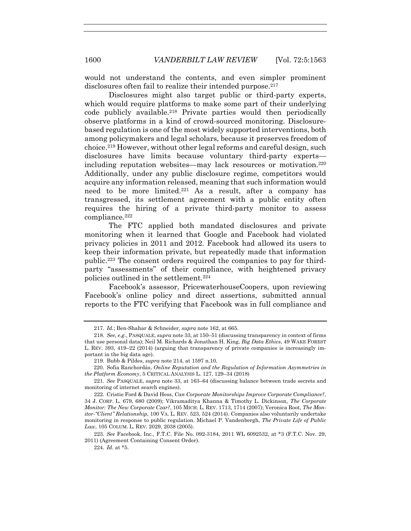would not understand the contents, and even simpler prominent disclosures often fail to realize their intended purpose.<sup>217</sup>

Disclosures might also target public or third-party experts, which would require platforms to make some part of their underlying code publicly available.218 Private parties would then periodically observe platforms in a kind of crowd-sourced monitoring. Disclosurebased regulation is one of the most widely supported interventions, both among policymakers and legal scholars, because it preserves freedom of choice.219 However, without other legal reforms and careful design, such disclosures have limits because voluntary third-party experts including reputation websites—may lack resources or motivation.220 Additionally, under any public disclosure regime, competitors would acquire any information released, meaning that such information would need to be more limited.221 As a result, after a company has transgressed, its settlement agreement with a public entity often requires the hiring of a private third-party monitor to assess compliance.<sup>222</sup>

The FTC applied both mandated disclosures and private monitoring when it learned that Google and Facebook had violated privacy policies in 2011 and 2012. Facebook had allowed its users to keep their information private, but repeatedly made that information public.223 The consent orders required the companies to pay for thirdparty "assessments" of their compliance, with heightened privacy policies outlined in the settlement.224

Facebook's assessor, PricewaterhouseCoopers, upon reviewing Facebook's online policy and direct assertions, submitted annual reports to the FTC verifying that Facebook was in full compliance and

<sup>217</sup>*. Id.*; Ben-Shahar & Schneider, *supra* note 162, at 665.

<sup>218</sup>*. See, e.g.*, PASQUALE, *supra* note 33, at 150–51 (discussing transparency in context of firms that use personal data); Neil M. Richards & Jonathan H. King, *Big Data Ethics*, 49 WAKE FOREST L. REV. 393, 419–22 (2014) (arguing that transparency of private companies is increasingly important in the big data age).

 <sup>219.</sup> Bubb & Pildes, *supra* note 214, at 1597 n.10.

 <sup>220.</sup> Sofia Ranchordás, *Online Reputation and the Regulation of Information Asymmetries in the Platform Economy*, 5 CRITICAL ANALYSIS L. 127, 129–34 (2018)

<sup>221</sup>*. See* PASQUALE, *supra* note 33, at 163–64 (discussing balance between trade secrets and monitoring of internet search engines).

 <sup>222.</sup> Cristie Ford & David Hess, *Can Corporate Monitorships Improve Corporate Compliance?*, 34 J. CORP. L. 679, 680 (2009); Vikramaditya Khanna & Timothy L. Dickinson, *The Corporate Monitor: The New Corporate Czar?*, 105 MICH. L. REV. 1713, 1714 (2007); Veronica Root, *The Monitor-"Client" Relationship*, 100 VA. L. REV. 523, 524 (2014). Companies also voluntarily undertake monitoring in response to public regulation. Michael P. Vandenbergh, *The Private Life of Public Law*, 105 COLUM. L. REV. 2029, 2038 (2005).

<sup>223</sup>*. See* Facebook, Inc., F.T.C. File No. 092-3184, 2011 WL 6092532, at \*3 (F.T.C. Nov. 29, 2011) (Agreement Containing Consent Order).

<sup>224</sup>*. Id.* at \*5.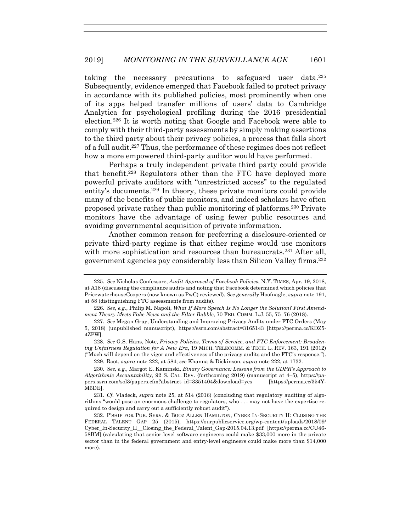taking the necessary precautions to safeguard user data.225 Subsequently, evidence emerged that Facebook failed to protect privacy in accordance with its published policies, most prominently when one of its apps helped transfer millions of users' data to Cambridge Analytica for psychological profiling during the 2016 presidential election.226 It is worth noting that Google and Facebook were able to comply with their third-party assessments by simply making assertions to the third party about their privacy policies, a process that falls short of a full audit.227 Thus, the performance of these regimes does not reflect how a more empowered third-party auditor would have performed.

Perhaps a truly independent private third party could provide that benefit.228 Regulators other than the FTC have deployed more powerful private auditors with "unrestricted access" to the regulated entity's documents.229 In theory, these private monitors could provide many of the benefits of public monitors, and indeed scholars have often proposed private rather than public monitoring of platforms.230 Private monitors have the advantage of using fewer public resources and avoiding governmental acquisition of private information.

Another common reason for preferring a disclosure-oriented or private third-party regime is that either regime would use monitors with more sophistication and resources than bureaucrats.<sup>231</sup> After all, government agencies pay considerably less than Silicon Valley firms.232

<sup>225</sup>*. See* Nicholas Confessore, *Audit Approved of Facebook Policies*, N.Y. TIMES, Apr. 19, 2018, at A18 (discussing the compliance audits and noting that Facebook determined which policies that PricewaterhouseCoopers (now known as PwC) reviewed). *See generally* Hoofnagle, *supra* note 191, at 58 (distinguishing FTC assessments from audits).

<sup>226</sup>*. See, e.g.*, Philip M. Napoli, *What If More Speech Is No Longer the Solution? First Amendment Theory Meets Fake News and the Filter Bubble*, 70 FED. COMM. L.J. 55, 75–76 (2018).

<sup>227</sup>*. See* Megan Gray, Understanding and Improving Privacy Audits under FTC Orders (May 5, 2018) (unpublished manuscript), https://ssrn.com/abstract=3165143 [https://perma.cc/KDZ5- 4ZPW].

 <sup>228.</sup> *See* G.S. Hans, Note, *Privacy Policies, Terms of Service, and FTC Enforcement: Broadening Unfairness Regulation for A New Era*, 19 MICH. TELECOMM. & TECH. L. REV. 163, 191 (2012) ("Much will depend on the vigor and effectiveness of the privacy audits and the FTC's response.").

 <sup>229.</sup> Root, *supra* note 222, at 584; *see* Khanna & Dickinson, *supra* note 222, at 1732.

<sup>230</sup>*. See, e.g.*, Margot E. Kaminski, *Binary Governance: Lessons from the GDPR's Approach to Algorithmic Accountability*, 92 S. CAL. REV. (forthcoming 2019) (manuscript at 4–5), https://papers.ssrn.com/sol3/papers.cfm?abstract\_id=3351404&download=yes [https://perma.cc/354Y-M6DE].

<sup>231</sup>*. Cf.* Vladeck, *supra* note 25, at 514 (2016) (concluding that regulatory auditing of algorithms "would pose an enormous challenge to regulators, who . . . may not have the expertise required to design and carry out a sufficiently robust audit").

 <sup>232.</sup> P'SHIP FOR PUB. SERV. & BOOZ ALLEN HAMILTON, CYBER IN-SECURITY II: CLOSING THE FEDERAL TALENT GAP 25 (2015), https://ourpublicservice.org/wp-content/uploads/2018/09/ Cyber\_In-Security\_II\_\_Closing\_the\_Federal\_Talent\_Gap-2015.04.13.pdf [https://perma.cc/CU46- 58BM] (calculating that senior-level software engineers could make \$33,000 more in the private sector than in the federal government and entry-level engineers could make more than \$14,000 more).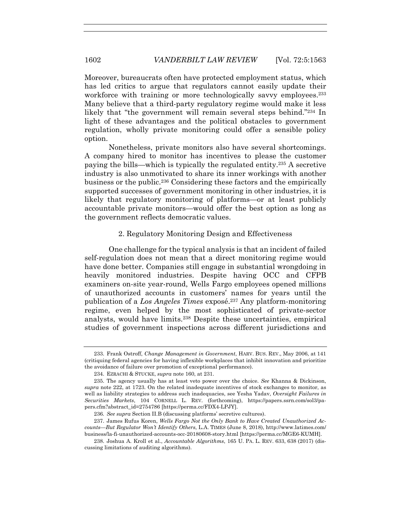Moreover, bureaucrats often have protected employment status, which has led critics to argue that regulators cannot easily update their workforce with training or more technologically savvy employees.<sup>233</sup> Many believe that a third-party regulatory regime would make it less likely that "the government will remain several steps behind."234 In light of these advantages and the political obstacles to government regulation, wholly private monitoring could offer a sensible policy option.

Nonetheless, private monitors also have several shortcomings. A company hired to monitor has incentives to please the customer paying the bills—which is typically the regulated entity.235 A secretive industry is also unmotivated to share its inner workings with another business or the public.236 Considering these factors and the empirically supported successes of government monitoring in other industries, it is likely that regulatory monitoring of platforms—or at least publicly accountable private monitors—would offer the best option as long as the government reflects democratic values.

#### 2. Regulatory Monitoring Design and Effectiveness

One challenge for the typical analysis is that an incident of failed self-regulation does not mean that a direct monitoring regime would have done better. Companies still engage in substantial wrongdoing in heavily monitored industries. Despite having OCC and CFPB examiners on-site year-round, Wells Fargo employees opened millions of unauthorized accounts in customers' names for years until the publication of a *Los Angeles Times* exposé.237 Any platform-monitoring regime, even helped by the most sophisticated of private-sector analysts, would have limits.238 Despite these uncertainties, empirical studies of government inspections across different jurisdictions and

 <sup>233.</sup> Frank Ostroff, *Change Management in Government*, HARV. BUS. REV., May 2006, at 141 (critiquing federal agencies for having inflexible workplaces that inhibit innovation and prioritize the avoidance of failure over promotion of exceptional performance).

 <sup>234.</sup> EZRACHI & STUCKE, *supra* note 160, at 231.

 <sup>235.</sup> The agency usually has at least veto power over the choice. *See* Khanna & Dickinson, *supra* note 222, at 1723. On the related inadequate incentives of stock exchanges to monitor, as well as liability strategies to address such inadequacies, see Yesha Yadav, *Oversight Failures in Securities Markets*, 104 CORNELL L. REV. (forthcoming), https://papers.ssrn.com/sol3/papers.cfm?abstract\_id=2754786 [https://perma.cc/FDX4-LPJY].

<sup>236</sup>*. See supra* Section II.B (discussing platforms' secretive cultures).

 <sup>237.</sup> James Rufus Koren, *Wells Fargo Not the Only Bank to Have Created Unauthorized Accounts—But Regulator Won't Identify Others*, L.A. TIMES (June 8, 2018), http://www.latimes.com/ business/la-fi-unauthorized-accounts-occ-20180608-story.html [https://perma.cc/MGE6-KUMH].

 <sup>238.</sup> Joshua A. Kroll et al., *Accountable Algorithms*, 165 U. PA. L. REV. 633, 638 (2017) (discussing limitations of auditing algorithms).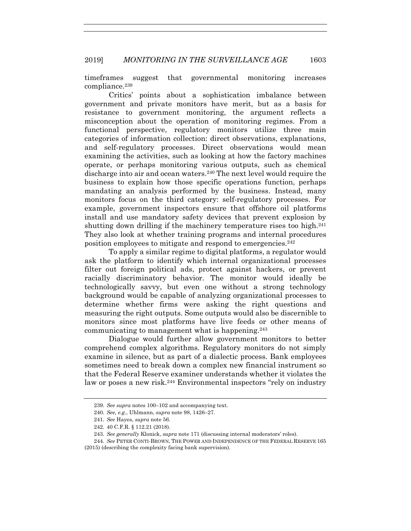timeframes suggest that governmental monitoring increases compliance.239

Critics' points about a sophistication imbalance between government and private monitors have merit, but as a basis for resistance to government monitoring, the argument reflects a misconception about the operation of monitoring regimes. From a functional perspective, regulatory monitors utilize three main categories of information collection: direct observations, explanations, and self-regulatory processes. Direct observations would mean examining the activities, such as looking at how the factory machines operate, or perhaps monitoring various outputs, such as chemical discharge into air and ocean waters.240 The next level would require the business to explain how those specific operations function, perhaps mandating an analysis performed by the business. Instead, many monitors focus on the third category: self-regulatory processes. For example, government inspectors ensure that offshore oil platforms install and use mandatory safety devices that prevent explosion by shutting down drilling if the machinery temperature rises too high.<sup>241</sup> They also look at whether training programs and internal procedures position employees to mitigate and respond to emergencies.242

To apply a similar regime to digital platforms, a regulator would ask the platform to identify which internal organizational processes filter out foreign political ads, protect against hackers, or prevent racially discriminatory behavior. The monitor would ideally be technologically savvy, but even one without a strong technology background would be capable of analyzing organizational processes to determine whether firms were asking the right questions and measuring the right outputs. Some outputs would also be discernible to monitors since most platforms have live feeds or other means of communicating to management what is happening.243

Dialogue would further allow government monitors to better comprehend complex algorithms. Regulatory monitors do not simply examine in silence, but as part of a dialectic process. Bank employees sometimes need to break down a complex new financial instrument so that the Federal Reserve examiner understands whether it violates the law or poses a new risk.244 Environmental inspectors "rely on industry

<sup>239</sup>*. See supra* notes 100–102 and accompanying text.

<sup>240</sup>*. See, e.g.*, Uhlmann, *supra* note 98, 1426–27.

<sup>241</sup>*. See* Hayes, *supra* note 56.

 <sup>242. 40</sup> C.F.R. § 112.21 (2018).

<sup>243</sup>*. See generally* Klonick, *supra* note 171 (discussing internal moderators' roles).

<sup>244</sup>*. See* PETER CONTI-BROWN, THE POWER AND INDEPENDENCE OF THE FEDERAL RESERVE 165 (2015) (describing the complexity facing bank supervision).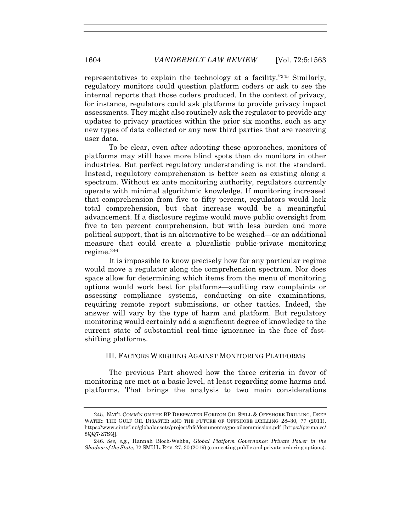representatives to explain the technology at a facility."245 Similarly, regulatory monitors could question platform coders or ask to see the internal reports that those coders produced. In the context of privacy, for instance, regulators could ask platforms to provide privacy impact assessments. They might also routinely ask the regulator to provide any updates to privacy practices within the prior six months, such as any new types of data collected or any new third parties that are receiving user data.

To be clear, even after adopting these approaches, monitors of platforms may still have more blind spots than do monitors in other industries. But perfect regulatory understanding is not the standard. Instead, regulatory comprehension is better seen as existing along a spectrum. Without ex ante monitoring authority, regulators currently operate with minimal algorithmic knowledge. If monitoring increased that comprehension from five to fifty percent, regulators would lack total comprehension, but that increase would be a meaningful advancement. If a disclosure regime would move public oversight from five to ten percent comprehension, but with less burden and more political support, that is an alternative to be weighed—or an additional measure that could create a pluralistic public-private monitoring regime.246

It is impossible to know precisely how far any particular regime would move a regulator along the comprehension spectrum. Nor does space allow for determining which items from the menu of monitoring options would work best for platforms—auditing raw complaints or assessing compliance systems, conducting on-site examinations, requiring remote report submissions, or other tactics. Indeed, the answer will vary by the type of harm and platform. But regulatory monitoring would certainly add a significant degree of knowledge to the current state of substantial real-time ignorance in the face of fastshifting platforms.

# III. FACTORS WEIGHING AGAINST MONITORING PLATFORMS

The previous Part showed how the three criteria in favor of monitoring are met at a basic level, at least regarding some harms and platforms. That brings the analysis to two main considerations

 <sup>245.</sup> NAT'L COMM'N ON THE BP DEEPWATER HORIZON OIL SPILL & OFFSHORE DRILLING, DEEP WATER: THE GULF OIL DISASTER AND THE FUTURE OF OFFSHORE DRILLING 28–30, 77 (2011), https://www.sintef.no/globalassets/project/hfc/documents/gpo-oilcommission.pdf [https://perma.cc/ 8QQ7-Z7SQ].

<sup>246</sup>*. See, e.g.*, Hannah Bloch-Wehba, *Global Platform Governance: Private Power in the Shadow of the State*, 72 SMU L. REV. 27, 30 (2019) (connecting public and private ordering options).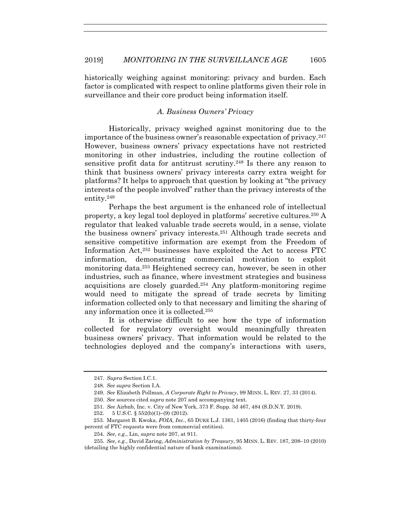historically weighing against monitoring: privacy and burden. Each factor is complicated with respect to online platforms given their role in surveillance and their core product being information itself.

# *A. Business Owners' Privacy*

Historically, privacy weighed against monitoring due to the importance of the business owner's reasonable expectation of privacy.247 However, business owners' privacy expectations have not restricted monitoring in other industries, including the routine collection of sensitive profit data for antitrust scrutiny.248 Is there any reason to think that business owners' privacy interests carry extra weight for platforms? It helps to approach that question by looking at "the privacy interests of the people involved" rather than the privacy interests of the entity.249

Perhaps the best argument is the enhanced role of intellectual property, a key legal tool deployed in platforms' secretive cultures.250 A regulator that leaked valuable trade secrets would, in a sense, violate the business owners' privacy interests.251 Although trade secrets and sensitive competitive information are exempt from the Freedom of Information Act,252 businesses have exploited the Act to access FTC information, demonstrating commercial motivation to exploit monitoring data.253 Heightened secrecy can, however, be seen in other industries, such as finance, where investment strategies and business acquisitions are closely guarded.254 Any platform-monitoring regime would need to mitigate the spread of trade secrets by limiting information collected only to that necessary and limiting the sharing of any information once it is collected.255

It is otherwise difficult to see how the type of information collected for regulatory oversight would meaningfully threaten business owners' privacy. That information would be related to the technologies deployed and the company's interactions with users,

<sup>247</sup>*. Supra* Section I.C.1.

<sup>248</sup>*. See supra* Section I.A.

<sup>249</sup>*. See* Elizabeth Pollman, *A Corporate Right to Privacy*, 99 MINN. L. REV. 27, 33 (2014).

<sup>250</sup>*. See* sources cited *supra* note 207 and accompanying text.

<sup>251</sup>*. See* Airbnb, Inc. v. City of New York, 373 F. Supp. 3d 467, 484 (S.D.N.Y. 2019).

<sup>252. 5</sup> U.S.C. § 552(b)(1)–(9) (2012).

<sup>253.</sup> Margaret B. Kwoka, *FOIA, Inc.*, 65 DUKE L.J. 1361, 1405 (2016) (finding that thirty-four percent of FTC requests were from commercial entities).

<sup>254</sup>*. See, e.g.*, Lin, *supra* note 207, at 911.

<sup>255</sup>*. See, e.g.*, David Zaring, *Administration by Treasury*, 95 MINN. L. REV. 187, 208–10 (2010) (detailing the highly confidential nature of bank examinations).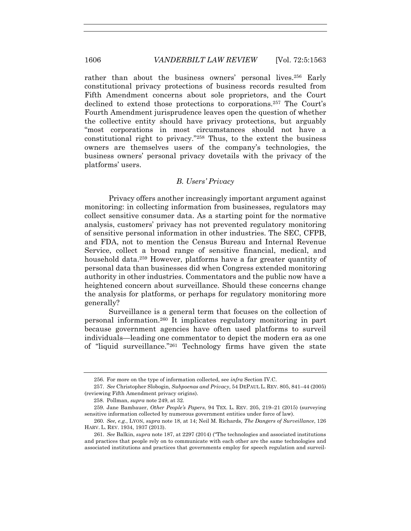rather than about the business owners' personal lives.<sup>256</sup> Early constitutional privacy protections of business records resulted from Fifth Amendment concerns about sole proprietors, and the Court declined to extend those protections to corporations.257 The Court's Fourth Amendment jurisprudence leaves open the question of whether the collective entity should have privacy protections, but arguably "most corporations in most circumstances should not have a constitutional right to privacy."258 Thus, to the extent the business owners are themselves users of the company's technologies, the business owners' personal privacy dovetails with the privacy of the platforms' users.

#### *B. Users' Privacy*

Privacy offers another increasingly important argument against monitoring: in collecting information from businesses, regulators may collect sensitive consumer data. As a starting point for the normative analysis, customers' privacy has not prevented regulatory monitoring of sensitive personal information in other industries. The SEC, CFPB, and FDA, not to mention the Census Bureau and Internal Revenue Service, collect a broad range of sensitive financial, medical, and household data.<sup>259</sup> However, platforms have a far greater quantity of personal data than businesses did when Congress extended monitoring authority in other industries. Commentators and the public now have a heightened concern about surveillance. Should these concerns change the analysis for platforms, or perhaps for regulatory monitoring more generally?

Surveillance is a general term that focuses on the collection of personal information.260 It implicates regulatory monitoring in part because government agencies have often used platforms to surveil individuals—leading one commentator to depict the modern era as one of "liquid surveillance."261 Technology firms have given the state

 <sup>256.</sup> For more on the type of information collected, see *infra* Section IV.C.

 <sup>257.</sup> *See* Christopher Slobogin, *Subpoenas and Privacy*, 54 DEPAUL L. REV. 805, 841–44 (2005) (reviewing Fifth Amendment privacy origins).

 <sup>258.</sup> Pollman, *supra* note 249, at 32.

 <sup>259.</sup> Jane Bambauer, *Other People's Papers*, 94 TEX. L. REV. 205, 219–21 (2015) (surveying sensitive information collected by numerous government entities under force of law).

<sup>260</sup>*. See, e.g.*, LYON, *supra* note 18, at 14; Neil M. Richards, *The Dangers of Surveillance*, 126 HARV. L. REV. 1934, 1937 (2013).

 <sup>261.</sup> *See* Balkin, *supra* note 187, at 2297 (2014) ("The technologies and associated institutions and practices that people rely on to communicate with each other are the same technologies and associated institutions and practices that governments employ for speech regulation and surveil-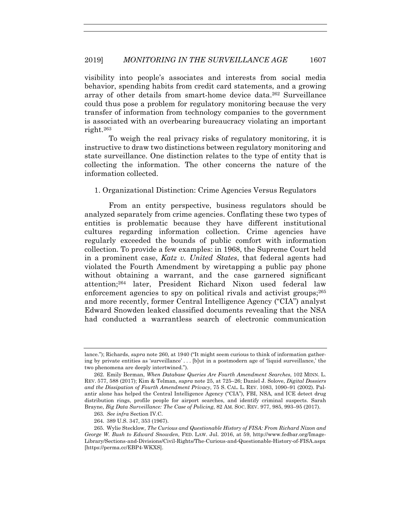# 2019] *MONITORING IN THE SURVEILLANCE AGE* 1607

visibility into people's associates and interests from social media behavior, spending habits from credit card statements, and a growing array of other details from smart-home device data.262 Surveillance could thus pose a problem for regulatory monitoring because the very transfer of information from technology companies to the government is associated with an overbearing bureaucracy violating an important right.263

To weigh the real privacy risks of regulatory monitoring, it is instructive to draw two distinctions between regulatory monitoring and state surveillance. One distinction relates to the type of entity that is collecting the information. The other concerns the nature of the information collected.

# 1. Organizational Distinction: Crime Agencies Versus Regulators

From an entity perspective, business regulators should be analyzed separately from crime agencies. Conflating these two types of entities is problematic because they have different institutional cultures regarding information collection. Crime agencies have regularly exceeded the bounds of public comfort with information collection. To provide a few examples: in 1968, the Supreme Court held in a prominent case, *Katz v. United States*, that federal agents had violated the Fourth Amendment by wiretapping a public pay phone without obtaining a warrant, and the case garnered significant attention;264 later, President Richard Nixon used federal law enforcement agencies to spy on political rivals and activist groups;<sup>265</sup> and more recently, former Central Intelligence Agency ("CIA") analyst Edward Snowden leaked classified documents revealing that the NSA had conducted a warrantless search of electronic communication

264. 389 U.S. 347, 353 (1967).

lance."); Richards, *supra* note 260*,* at 1940 ("It might seem curious to think of information gathering by private entities as 'surveillance' . . . [b]ut in a postmodern age of 'liquid surveillance,' the two phenomena are deeply intertwined.").

 <sup>262.</sup> Emily Berman, *When Database Queries Are Fourth Amendment Searches*, 102 MINN. L. REV. 577, 588 (2017); Kim & Telman, *supra* note 25, at 725–26; Daniel J. Solove, *Digital Dossiers and the Dissipation of Fourth Amendment Privacy*, 75 S. CAL. L. REV. 1083, 1090–91 (2002). Palantir alone has helped the Central Intelligence Agency ("CIA"), FBI, NSA, and ICE detect drug distribution rings, profile people for airport searches, and identify criminal suspects. Sarah Brayne, *Big Data Surveillance: The Case of Policing*, 82 AM. SOC. REV. 977, 985, 993–95 (2017).

<sup>263</sup>*. See infra* Section IV.C.

 <sup>265.</sup> Wylie Stecklow, *The Curious and Questionable History of FISA: From Richard Nixon and George W. Bush to Edward Snowden*, FED. LAW. Jul. 2016, at 59, http://www.fedbar.org/Image-Library/Sections-and-Divisions/Civil-Rights/The-Curious-and-Questionable-History-of-FISA.aspx [https://perma.cc/EBP4-WKXS].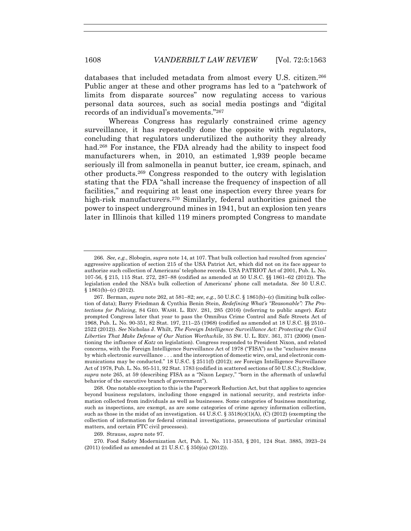databases that included metadata from almost every U.S. citizen.266 Public anger at these and other programs has led to a "patchwork of limits from disparate sources" now regulating access to various personal data sources, such as social media postings and "digital records of an individual's movements."267

Whereas Congress has regularly constrained crime agency surveillance, it has repeatedly done the opposite with regulators, concluding that regulators underutilized the authority they already had.<sup>268</sup> For instance, the FDA already had the ability to inspect food manufacturers when, in 2010, an estimated 1,939 people became seriously ill from salmonella in peanut butter, ice cream, spinach, and other products.269 Congress responded to the outcry with legislation stating that the FDA "shall increase the frequency of inspection of all facilities," and requiring at least one inspection every three years for high-risk manufacturers.<sup>270</sup> Similarly, federal authorities gained the power to inspect underground mines in 1941, but an explosion ten years later in Illinois that killed 119 miners prompted Congress to mandate

 268. One notable exception to this is the Paperwork Reduction Act, but that applies to agencies beyond business regulators, including those engaged in national security, and restricts information collected from individuals as well as businesses. Some categories of business monitoring, such as inspections, are exempt, as are some categories of crime agency information collection, such as those in the midst of an investigation.  $44 \text{ U.S.C.}$  §  $3518(c)(1)(A)$ , (C) (2012) (exempting the collection of information for federal criminal investigations, prosecutions of particular criminal matters, and certain FTC civil processes).

269. Strauss, *supra* note 97.

 270. Food Safety Modernization Act, Pub. L. No. 111-353, § 201, 124 Stat. 3885, 3923–24 (2011) (codified as amended at 21 U.S.C. § 350j(a) (2012)).

<sup>266</sup>*. See, e.g.*, Slobogin, *supra* note 14, at 107. That bulk collection had resulted from agencies' aggressive application of section 215 of the USA Patriot Act, which did not on its face appear to authorize such collection of Americans' telephone records. USA PATRIOT Act of 2001, Pub. L. No. 107-56, § 215, 115 Stat. 272, 287–88 (codified as amended at 50 U.S.C. §§ 1861–62 (2012)). The legislation ended the NSA's bulk collection of Americans' phone call metadata. *See* 50 U.S.C.  $§ 1861(b)–(c) (2012).$ 

<sup>267</sup>*.* Berman, *supra* note 262, at 581–82; *see, e.g.*, 50 U.S.C. § 1861(b)–(c) (limiting bulk collection of data); Barry Friedman & Cynthia Benin Stein, *Redefining What's "Reasonable": The Protections for Policing*, 84 GEO. WASH. L. REV. 281, 285 (2016) (referring to public anger). *Katz*  prompted Congress later that year to pass the Omnibus Crime Control and Safe Streets Act of 1968, Pub. L. No. 90-351, 82 Stat. 197, 211–25 (1968) (codified as amended at 18 U.S.C. §§ 2510– 2522 (2012)). *See* Nicholas J. Whilt, *The Foreign Intelligence Surveillance Act: Protecting the Civil Liberties That Make Defense of Our Nation Worthwhile*, 35 SW. U. L. REV. 361, 371 (2006) (mentioning the influence of *Katz* on legislation). Congress responded to President Nixon, and related concerns, with the Foreign Intelligence Surveillance Act of 1978 ("FISA") as the "exclusive means by which electronic surveillance . . . and the interception of domestic wire, oral, and electronic communications may be conducted." 18 U.S.C. § 2511(f) (2012); *see* Foreign Intelligence Surveillance Act of 1978, Pub. L. No. 95-511, 92 Stat. 1783 (codified in scattered sections of 50 U.S.C.); Stecklow, *supra* note 265, at 59 (describing FISA as a "Nixon Legacy," "born in the aftermath of unlawful behavior of the executive branch of government").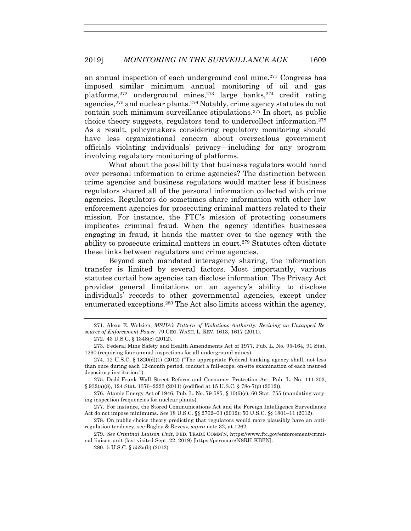an annual inspection of each underground coal mine.271 Congress has imposed similar minimum annual monitoring of oil and gas platforms,<sup>272</sup> underground mines,<sup>273</sup> large banks,<sup>274</sup> credit rating agencies,275 and nuclear plants.276 Notably, crime agency statutes do not contain such minimum surveillance stipulations.277 In short, as public choice theory suggests, regulators tend to undercollect information.278 As a result, policymakers considering regulatory monitoring should have less organizational concern about overzealous government officials violating individuals' privacy—including for any program involving regulatory monitoring of platforms.

What about the possibility that business regulators would hand over personal information to crime agencies? The distinction between crime agencies and business regulators would matter less if business regulators shared all of the personal information collected with crime agencies. Regulators do sometimes share information with other law enforcement agencies for prosecuting criminal matters related to their mission. For instance, the FTC's mission of protecting consumers implicates criminal fraud. When the agency identifies businesses engaging in fraud, it hands the matter over to the agency with the ability to prosecute criminal matters in court.279 Statutes often dictate these links between regulators and crime agencies.

Beyond such mandated interagency sharing, the information transfer is limited by several factors. Most importantly, various statutes curtail how agencies can disclose information. The Privacy Act provides general limitations on an agency's ability to disclose individuals' records to other governmental agencies, except under enumerated exceptions.280 The Act also limits access within the agency,

 <sup>271.</sup> Alexa E. Welzien, *MSHA's Pattern of Violations Authority: Reviving an Untapped Resource of Enforcement Power*, 79 GEO. WASH. L. REV. 1613, 1617 (2011).

 <sup>272. 43</sup> U.S.C. § 1348(c) (2012).

 <sup>273.</sup> Federal Mine Safety and Health Amendments Act of 1977, Pub. L. No. 95-164, 91 Stat. 1290 (requiring four annual inspections for all underground mines).

 <sup>274. 12</sup> U.S.C. § 1820(d)(1) (2012) ("The appropriate Federal banking agency shall, not less than once during each 12-month period, conduct a full-scope, on-site examination of each insured depository institution.").

 <sup>275.</sup> Dodd-Frank Wall Street Reform and Consumer Protection Act, Pub. L. No. 111-203, § 932(a)(8), 124 Stat. 1376–2223 (2011) (codified at 15 U.S.C. § 78o-7(p) (2012)).

 <sup>276.</sup> Atomic Energy Act of 1946, Pub. L. No. 79-585, § 10(6)(c), 60 Stat. 755 (mandating varying inspection frequencies for nuclear plants).

 <sup>277.</sup> For instance, the Stored Communications Act and the Foreign Intelligence Surveillance Act do not impose minimums. *See* 18 U.S.C. §§ 2702–03 (2012); 50 U.S.C. §§ 1801–11 (2012).

 <sup>278.</sup> On public choice theory predicting that regulators would more plausibly have an antiregulation tendency, see Bagley & Revesz, *supra* note 32, at 1262.

 <sup>279.</sup> *See Criminal Liaison Unit*, FED. TRADE COMM'N, https://www.ftc.gov/enforcement/criminal-liaison-unit (last visited Sept. 22, 2019) [https://perma.cc/N8RH-KBFN].

 <sup>280. 5</sup> U.S.C. § 552a(b) (2012).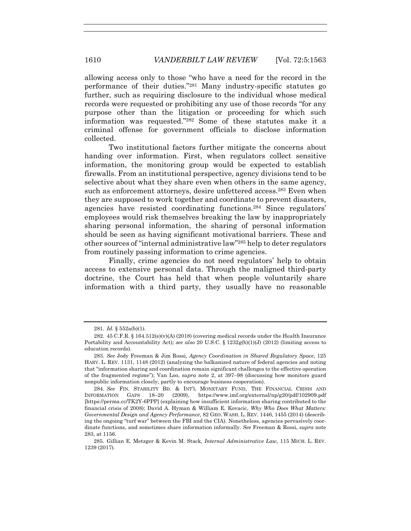allowing access only to those "who have a need for the record in the performance of their duties."281 Many industry-specific statutes go further, such as requiring disclosure to the individual whose medical records were requested or prohibiting any use of those records "for any purpose other than the litigation or proceeding for which such information was requested."282 Some of these statutes make it a criminal offense for government officials to disclose information collected.

Two institutional factors further mitigate the concerns about handing over information. First, when regulators collect sensitive information, the monitoring group would be expected to establish firewalls. From an institutional perspective, agency divisions tend to be selective about what they share even when others in the same agency, such as enforcement attorneys, desire unfettered access.<sup>283</sup> Even when they are supposed to work together and coordinate to prevent disasters, agencies have resisted coordinating functions.284 Since regulators' employees would risk themselves breaking the law by inappropriately sharing personal information, the sharing of personal information should be seen as having significant motivational barriers. These and other sources of "internal administrative law"285 help to deter regulators from routinely passing information to crime agencies.

Finally, crime agencies do not need regulators' help to obtain access to extensive personal data. Through the maligned third-party doctrine, the Court has held that when people voluntarily share information with a third party, they usually have no reasonable

<sup>281</sup>*. Id.* § 552a(b)(1).

 <sup>282. 45</sup> C.F.R. § 164.512(e)(v)(A) (2018) (covering medical records under the Health Insurance Portability and Accountability Act); *see also* 20 U.S.C. § 1232g(b)(1)(J) (2012) (limiting access to education records).

 <sup>283.</sup> *See* Jody Freeman & Jim Rossi, *Agency Coordination in Shared Regulatory Space*, 125 HARV. L. REV. 1131, 1148 (2012) (analyzing the balkanized nature of federal agencies and noting that "information sharing and coordination remain significant challenges to the effective operation of the fragmented regime"); Van Loo, *supra* note 2, at 397–98 (discussing how monitors guard nonpublic information closely, partly to encourage business cooperation).

<sup>284</sup>*. See* FIN. STABILITY BD. & INT'L MONETARY FUND, THE FINANCIAL CRISIS AND INFORMATION GAPS 18–20 (2009), https://www.imf.org/external/np/g20/pdf/102909.pdf [https://perma.cc/TK2Y-6PPP] (explaining how insufficient information sharing contributed to the financial crisis of 2008); David A. Hyman & William E. Kovacic, *Why Who Does What Matters: Governmental Design and Agency Performance*, 82 GEO. WASH. L. REV. 1446, 1455 (2014) (describing the ongoing "turf war" between the FBI and the CIA). Nonetheless, agencies pervasively coordinate functions, and sometimes share information informally. *See* Freeman & Rossi, *supra* note 283, at 1156.

 <sup>285.</sup> Gillian E. Metzger & Kevin M. Stack, *Internal Administrative Law*, 115 MICH. L. REV. 1239 (2017).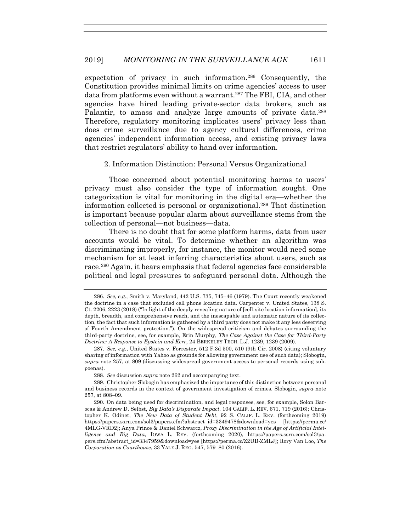expectation of privacy in such information.286 Consequently, the Constitution provides minimal limits on crime agencies' access to user data from platforms even without a warrant.287 The FBI, CIA, and other agencies have hired leading private-sector data brokers, such as Palantir, to amass and analyze large amounts of private data.<sup>288</sup> Therefore, regulatory monitoring implicates users' privacy less than does crime surveillance due to agency cultural differences, crime agencies' independent information access, and existing privacy laws that restrict regulators' ability to hand over information.

# 2. Information Distinction: Personal Versus Organizational

Those concerned about potential monitoring harms to users' privacy must also consider the type of information sought. One categorization is vital for monitoring in the digital era—whether the information collected is personal or organizational.289 That distinction is important because popular alarm about surveillance stems from the collection of personal—not business—data.

There is no doubt that for some platform harms, data from user accounts would be vital. To determine whether an algorithm was discriminating improperly, for instance, the monitor would need some mechanism for at least inferring characteristics about users, such as race.290 Again, it bears emphasis that federal agencies face considerable political and legal pressures to safeguard personal data. Although the

<sup>286</sup>*. See*, *e.g.*, Smith v. Maryland, 442 U.S. 735, 745–46 (1979). The Court recently weakened the doctrine in a case that excluded cell phone location data. Carpenter v. United States, 138 S. Ct. 2206, 2223 (2018) ("In light of the deeply revealing nature of [cell-site location information], its depth, breadth, and comprehensive reach, and the inescapable and automatic nature of its collection, the fact that such information is gathered by a third party does not make it any less deserving of Fourth Amendment protection."). On the widespread criticism and debates surrounding the third-party doctrine, see, for example, Erin Murphy, *The Case Against the Case for Third-Party Doctrine: A Response to Epstein and Kerr*, 24 BERKELEY TECH. L.J. 1239, 1239 (2009).

<sup>287</sup>*. See, e.g.*, United States v. Forrester, 512 F.3d 500, 510 (9th Cir. 2008) (citing voluntary sharing of information with Yahoo as grounds for allowing government use of such data); Slobogin, *supra* note 257, at 809 (discussing widespread government access to personal records using subpoenas).

<sup>288</sup>*. See* discussion *supra* note 262 and accompanying text.

 <sup>289.</sup> Christopher Slobogin has emphasized the importance of this distinction between personal and business records in the context of government investigation of crimes. Slobogin, *supra* note 257, at 808–09.

 <sup>290.</sup> On data being used for discrimination, and legal responses, see, for example, Solon Barocas & Andrew D. Selbst, *Big Data's Disparate Impact*, 104 CALIF. L. REV. 671, 719 (2016); Christopher K. Odinet, *The New Data of Student Debt*, 92 S. CALIF. L. REV. (forthcoming 2019) https://papers.ssrn.com/sol3/papers.cfm?abstract\_id=3349478&download=yes [https://perma.cc/ 4MLG-VRD2]; Anya Prince & Daniel Schwarcz, *Proxy Discrimination in the Age of Artificial Intelligence and Big Data*, IOWA L. REV. (forthcoming 2020), https://papers.ssrn.com/sol3/papers.cfm?abstract\_id=3347959&download=yes [https://perma.cc/Z2UB-ZMLJ]; Rory Van Loo, *The Corporation as Courthouse*, 33 YALE J. REG. 547, 579–80 (2016).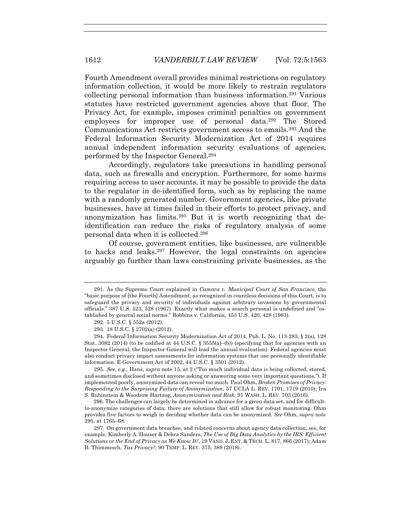Fourth Amendment overall provides minimal restrictions on regulatory information collection, it would be more likely to restrain regulators collecting personal information than business information.291 Various statutes have restricted government agencies above that floor. The Privacy Act, for example, imposes criminal penalties on government employees for improper use of personal data.292 The Stored Communications Act restricts government access to emails.293 And the Federal Information Security Modernization Act of 2014 requires annual independent information security evaluations of agencies, performed by the Inspector General.294

Accordingly, regulators take precautions in handling personal data, such as firewalls and encryption. Furthermore, for some harms requiring access to user accounts, it may be possible to provide the data to the regulator in de-identified form, such as by replacing the name with a randomly generated number. Government agencies, like private businesses, have at times failed in their efforts to protect privacy, and anonymization has limits.295 But it is worth recognizing that deidentification can reduce the risks of regulatory analysis of some personal data when it is collected.296

Of course, government entities, like businesses, are vulnerable to hacks and leaks.297 However, the legal constraints on agencies arguably go further than laws constraining private businesses, as the

295*. See, e.g.*, Hans, *supra* note 15, at 2 ("Too much individual data is being collected, stored, and sometimes disclosed without anyone asking or answering some very important questions."). If implemented poorly, anonymized data can reveal too much. Paul Ohm, *Broken Promises of Privacy: Responding to the Surprising Failure of Anonymization*, 57 UCLA L. REV. 1701, 1719 (2010); Ira S. Rubinstein & Woodrow Hartzog, *Anonymization and Risk*, 91 WASH. L. REV. 703 (2016).

296. The challenges can largely be determined in advance for a given data set, and for difficultto-anonymize categories of data, there are solutions that still allow for robust monitoring. Ohm provides five factors to weigh in deciding whether data can be anonymized. *See* Ohm, *supra* note 295, at 1765–68.

 297. On government data breaches, and related concerns about agency data collection, see, for example, Kimberly A. Houser & Debra Sanders, *The Use of Big Data Analytics by the IRS: Efficient Solutions or the End of Privacy as We Know It?*, 19 VAND. J. ENT. & TECH. L. 817, 866 (2017); Adam B. Thimmesch, *Tax Privacy?*, 90 TEMP. L. REV. 375, 389 (2018).

 <sup>291.</sup> As the Supreme Court explained in *Camara v. Municipal Court of San Francisco*, the "basic purpose of [the Fourth] Amendment, as recognized in countless decisions of this Court, is to safeguard the privacy and security of individuals against arbitrary invasions by governmental officials." 387 U.S. 523, 528 (1967). Exactly what makes a search personal is undefined and "established by general social norms." Robbins v. California, 453 U.S. 420, 428 (1981).

 <sup>292. 5</sup> U.S.C. § 552a (2012).

 <sup>293. 18</sup> U.S.C. § 2702(a) (2012).

 <sup>294.</sup> Federal Information Security Modernization Act of 2014, Pub. L. No. 113-283, § 2(a), 128 Stat. 3082 (2014) (to be codified at 44 U.S.C. § 3555(a)–(b)) (specifying that for agencies with an Inspector General, the Inspector General will lead the annual evaluation). Federal agencies must also conduct privacy impact assessments for information systems that use personally identifiable information. E-Government Act of 2002, 44 U.S.C. § 3501 (2012).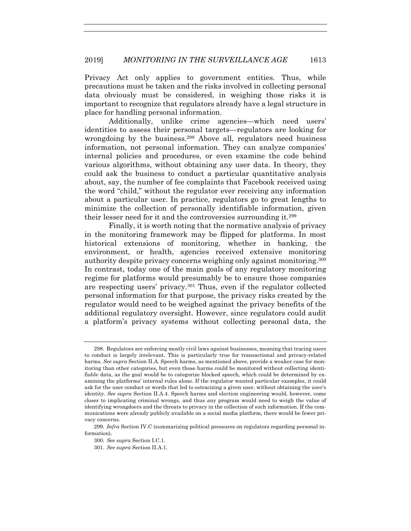Privacy Act only applies to government entities. Thus, while precautions must be taken and the risks involved in collecting personal data obviously must be considered, in weighing those risks it is important to recognize that regulators already have a legal structure in place for handling personal information.

Additionally, unlike crime agencies—which need users' identities to assess their personal targets—regulators are looking for wrongdoing by the business.<sup>298</sup> Above all, regulators need business information, not personal information. They can analyze companies' internal policies and procedures, or even examine the code behind various algorithms, without obtaining any user data. In theory, they could ask the business to conduct a particular quantitative analysis about, say, the number of fee complaints that Facebook received using the word "child," without the regulator ever receiving any information about a particular user. In practice, regulators go to great lengths to minimize the collection of personally identifiable information, given their lesser need for it and the controversies surrounding it.299

Finally, it is worth noting that the normative analysis of privacy in the monitoring framework may be flipped for platforms. In most historical extensions of monitoring, whether in banking, the environment, or health, agencies received extensive monitoring authority despite privacy concerns weighing only against monitoring.300 In contrast, today one of the main goals of any regulatory monitoring regime for platforms would presumably be to ensure those companies are respecting users' privacy.301 Thus, even if the regulator collected personal information for that purpose, the privacy risks created by the regulator would need to be weighed against the privacy benefits of the additional regulatory oversight. However, since regulators could audit a platform's privacy systems without collecting personal data, the

 <sup>298.</sup> Regulators are enforcing mostly civil laws against businesses, meaning that tracing users to conduct is largely irrelevant. This is particularly true for transactional and privacy-related harms. *See supra* Section II.A. Speech harms, as mentioned above, provide a weaker case for monitoring than other categories, but even those harms could be monitored without collecting identifiable data, as the goal would be to categorize blocked speech, which could be determined by examining the platforms' internal rules alone. If the regulator wanted particular examples, it could ask for the user conduct or words that led to ostracizing a given user, without obtaining the user's identity. *See supra* Section II.A.4. Speech harms and election engineering would, however, come closer to implicating criminal wrongs, and thus any program would need to weigh the value of identifying wrongdoers and the threats to privacy in the collection of such information. If the communications were already publicly available on a social media platform, there would be fewer privacy concerns.

<sup>299</sup>*. Infra* Section IV.C (summarizing political pressures on regulators regarding personal information).

<sup>300</sup>*. See supra* Section I.C.1.

<sup>301</sup>*. See supra* Section II.A.1.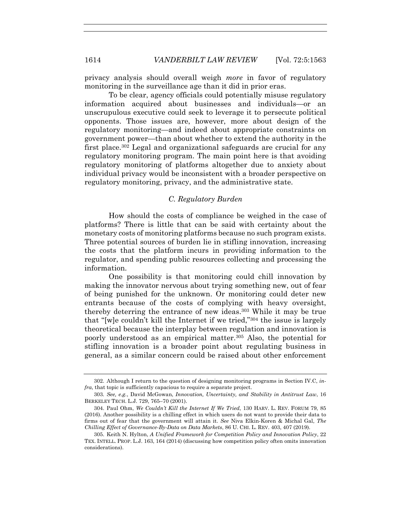privacy analysis should overall weigh *more* in favor of regulatory monitoring in the surveillance age than it did in prior eras.

To be clear, agency officials could potentially misuse regulatory information acquired about businesses and individuals—or an unscrupulous executive could seek to leverage it to persecute political opponents. Those issues are, however, more about design of the regulatory monitoring—and indeed about appropriate constraints on government power—than about whether to extend the authority in the first place.<sup>302</sup> Legal and organizational safeguards are crucial for any regulatory monitoring program. The main point here is that avoiding regulatory monitoring of platforms altogether due to anxiety about individual privacy would be inconsistent with a broader perspective on regulatory monitoring, privacy, and the administrative state.

# *C. Regulatory Burden*

How should the costs of compliance be weighed in the case of platforms? There is little that can be said with certainty about the monetary costs of monitoring platforms because no such program exists. Three potential sources of burden lie in stifling innovation, increasing the costs that the platform incurs in providing information to the regulator, and spending public resources collecting and processing the information.

One possibility is that monitoring could chill innovation by making the innovator nervous about trying something new, out of fear of being punished for the unknown. Or monitoring could deter new entrants because of the costs of complying with heavy oversight, thereby deterring the entrance of new ideas.303 While it may be true that "[w]e couldn't kill the Internet if we tried,"304 the issue is largely theoretical because the interplay between regulation and innovation is poorly understood as an empirical matter.305 Also, the potential for stifling innovation is a broader point about regulating business in general, as a similar concern could be raised about other enforcement

 <sup>302.</sup> Although I return to the question of designing monitoring programs in Section IV.C, *infra*, that topic is sufficiently capacious to require a separate project.

<sup>303</sup>*. See, e.g.*, David McGowan, *Innovation, Uncertainty, and Stability in Antitrust Law*, 16 BERKELEY TECH. L.J. 729, 765–70 (2001).

 <sup>304.</sup> Paul Ohm, *We Couldn't Kill the Internet If We Tried*, 130 HARV. L. REV. FORUM 79, 85 (2016). Another possibility is a chilling effect in which users do not want to provide their data to firms out of fear that the government will attain it. *See* Niva Elkin-Koren & Michal Gal, *The Chilling Effect of Governance-By-Data on Data Markets*, 86 U. CHI. L. REV. 403, 407 (2019).

 <sup>305.</sup> Keith N. Hylton, *A Unified Framework for Competition Policy and Innovation Policy*, 22 TEX. INTELL. PROP. L.J. 163, 164 (2014) (discussing how competition policy often omits innovation considerations).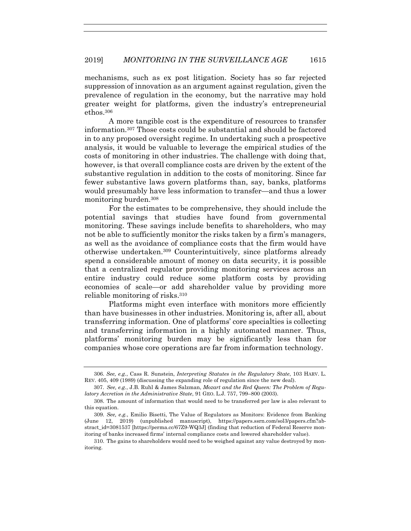mechanisms, such as ex post litigation. Society has so far rejected suppression of innovation as an argument against regulation, given the prevalence of regulation in the economy, but the narrative may hold greater weight for platforms, given the industry's entrepreneurial ethos.306

A more tangible cost is the expenditure of resources to transfer information.307 Those costs could be substantial and should be factored in to any proposed oversight regime. In undertaking such a prospective analysis, it would be valuable to leverage the empirical studies of the costs of monitoring in other industries. The challenge with doing that, however, is that overall compliance costs are driven by the extent of the substantive regulation in addition to the costs of monitoring. Since far fewer substantive laws govern platforms than, say, banks, platforms would presumably have less information to transfer—and thus a lower monitoring burden.308

For the estimates to be comprehensive, they should include the potential savings that studies have found from governmental monitoring. These savings include benefits to shareholders, who may not be able to sufficiently monitor the risks taken by a firm's managers, as well as the avoidance of compliance costs that the firm would have otherwise undertaken.309 Counterintuitively, since platforms already spend a considerable amount of money on data security, it is possible that a centralized regulator providing monitoring services across an entire industry could reduce some platform costs by providing economies of scale—or add shareholder value by providing more reliable monitoring of risks.310

Platforms might even interface with monitors more efficiently than have businesses in other industries. Monitoring is, after all, about transferring information. One of platforms' core specialties is collecting and transferring information in a highly automated manner. Thus, platforms' monitoring burden may be significantly less than for companies whose core operations are far from information technology.

<sup>306.</sup> *See, e.g.*, Cass R. Sunstein, *Interpreting Statutes in the Regulatory State*, 103 HARV. L. REV. 405, 409 (1989) (discussing the expanding role of regulation since the new deal).

 <sup>307.</sup> *See, e.g.*, J.B. Ruhl & James Salzman, *Mozart and the Red Queen: The Problem of Regulatory Accretion in the Administrative State*, 91 GEO. L.J. 757, 799–800 (2003).

 <sup>308.</sup> The amount of information that would need to be transferred per law is also relevant to this equation.

<sup>309</sup>*. See, e.g.*, Emilio Bisetti, The Value of Regulators as Monitors: Evidence from Banking (June 12, 2019) (unpublished manuscript), https://papers.ssrn.com/sol3/papers.cfm?abstract\_id=3081537 [https://perma.cc/67Z9-WQ3J] (finding that reduction of Federal Reserve monitoring of banks increased firms' internal compliance costs and lowered shareholder value).

 <sup>310.</sup> The gains to shareholders would need to be weighed against any value destroyed by monitoring.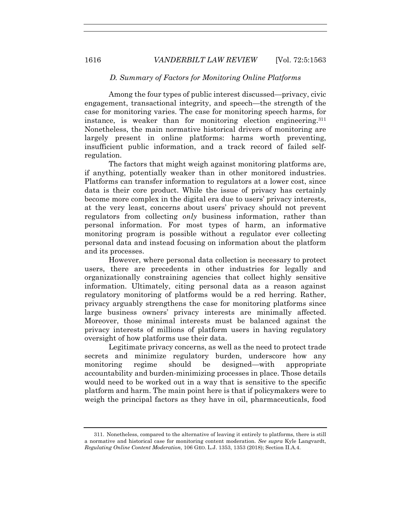# *D. Summary of Factors for Monitoring Online Platforms*

Among the four types of public interest discussed—privacy, civic engagement, transactional integrity, and speech—the strength of the case for monitoring varies. The case for monitoring speech harms, for instance, is weaker than for monitoring election engineering.311 Nonetheless, the main normative historical drivers of monitoring are largely present in online platforms: harms worth preventing, insufficient public information, and a track record of failed selfregulation.

The factors that might weigh against monitoring platforms are, if anything, potentially weaker than in other monitored industries. Platforms can transfer information to regulators at a lower cost, since data is their core product. While the issue of privacy has certainly become more complex in the digital era due to users' privacy interests, at the very least, concerns about users' privacy should not prevent regulators from collecting *only* business information, rather than personal information. For most types of harm, an informative monitoring program is possible without a regulator ever collecting personal data and instead focusing on information about the platform and its processes.

However, where personal data collection is necessary to protect users, there are precedents in other industries for legally and organizationally constraining agencies that collect highly sensitive information. Ultimately, citing personal data as a reason against regulatory monitoring of platforms would be a red herring. Rather, privacy arguably strengthens the case for monitoring platforms since large business owners' privacy interests are minimally affected. Moreover, those minimal interests must be balanced against the privacy interests of millions of platform users in having regulatory oversight of how platforms use their data.

Legitimate privacy concerns, as well as the need to protect trade secrets and minimize regulatory burden, underscore how any monitoring regime should be designed—with appropriate accountability and burden-minimizing processes in place. Those details would need to be worked out in a way that is sensitive to the specific platform and harm. The main point here is that if policymakers were to weigh the principal factors as they have in oil, pharmaceuticals, food

 <sup>311.</sup> Nonetheless, compared to the alternative of leaving it entirely to platforms, there is still a normative and historical case for monitoring content moderation. *See supra* Kyle Langvardt, *Regulating Online Content Moderation*, 106 GEO. L.J. 1353, 1353 (2018); Section II.A.4.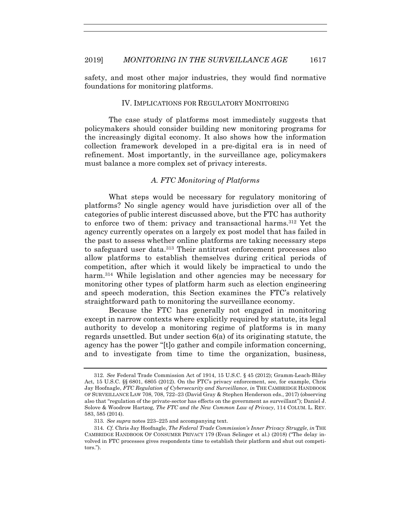safety, and most other major industries, they would find normative foundations for monitoring platforms.

#### IV. IMPLICATIONS FOR REGULATORY MONITORING

The case study of platforms most immediately suggests that policymakers should consider building new monitoring programs for the increasingly digital economy. It also shows how the information collection framework developed in a pre-digital era is in need of refinement. Most importantly, in the surveillance age, policymakers must balance a more complex set of privacy interests.

# *A. FTC Monitoring of Platforms*

What steps would be necessary for regulatory monitoring of platforms? No single agency would have jurisdiction over all of the categories of public interest discussed above, but the FTC has authority to enforce two of them: privacy and transactional harms.312 Yet the agency currently operates on a largely ex post model that has failed in the past to assess whether online platforms are taking necessary steps to safeguard user data.313 Their antitrust enforcement processes also allow platforms to establish themselves during critical periods of competition, after which it would likely be impractical to undo the harm.<sup>314</sup> While legislation and other agencies may be necessary for monitoring other types of platform harm such as election engineering and speech moderation, this Section examines the FTC's relatively straightforward path to monitoring the surveillance economy.

Because the FTC has generally not engaged in monitoring except in narrow contexts where explicitly required by statute, its legal authority to develop a monitoring regime of platforms is in many regards unsettled. But under section 6(a) of its originating statute, the agency has the power "[t]o gather and compile information concerning, and to investigate from time to time the organization, business,

<sup>312</sup>*. See* Federal Trade Commission Act of 1914, 15 U.S.C. § 45 (2012); Gramm-Leach-Bliley Act, 15 U.S.C. §§ 6801, 6805 (2012). On the FTC's privacy enforcement, see, for example, Chris Jay Hoofnagle, *FTC Regulation of Cybersecurity and Surveillance*, *in* THE CAMBRIDGE HANDBOOK OF SURVEILLANCE LAW 708, 708, 722–23 (David Gray & Stephen Henderson eds., 2017) (observing also that "regulation of the private-sector has effects on the government as surveillant"); Daniel J. Solove & Woodrow Hartzog, *The FTC and the New Common Law of Privacy*, 114 COLUM. L. REV. 583, 585 (2014).

<sup>313</sup>*. See supra* notes 223–225 and accompanying text.

<sup>314</sup>*. Cf.* Chris Jay Hoofnagle, *The Federal Trade Commission's Inner Privacy Struggle*, *in* THE CAMBRIDGE HANDBOOK OF CONSUMER PRIVACY 179 (Evan Selinger et al.) (2018) ("The delay involved in FTC processes gives respondents time to establish their platform and shut out competitors.").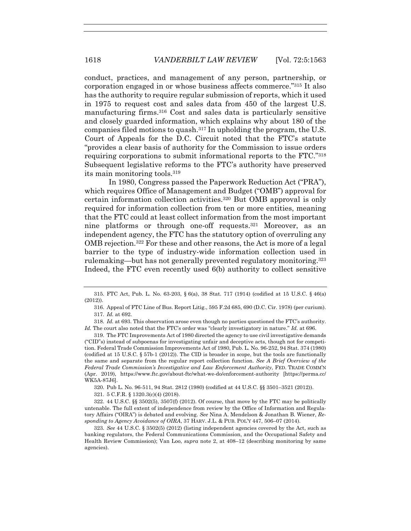conduct, practices, and management of any person, partnership, or corporation engaged in or whose business affects commerce."315 It also has the authority to require regular submission of reports, which it used in 1975 to request cost and sales data from 450 of the largest U.S. manufacturing firms.316 Cost and sales data is particularly sensitive and closely guarded information, which explains why about 180 of the companies filed motions to quash.317 In upholding the program, the U.S. Court of Appeals for the D.C. Circuit noted that the FTC's statute "provides a clear basis of authority for the Commission to issue orders requiring corporations to submit informational reports to the FTC."318 Subsequent legislative reforms to the FTC's authority have preserved its main monitoring tools.319

In 1980, Congress passed the Paperwork Reduction Act ("PRA"), which requires Office of Management and Budget ("OMB") approval for certain information collection activities.320 But OMB approval is only required for information collection from ten or more entities, meaning that the FTC could at least collect information from the most important nine platforms or through one-off requests.321 Moreover, as an independent agency, the FTC has the statutory option of overruling any OMB rejection.322 For these and other reasons, the Act is more of a legal barrier to the type of industry-wide information collection used in rulemaking—but has not generally prevented regulatory monitoring.<sup>323</sup> Indeed, the FTC even recently used 6(b) authority to collect sensitive

318*. Id.* at 693. This observation arose even though no parties questioned the FTC's authority. *Id.* The court also noted that the FTC's order was "clearly investigatory in nature." *Id.* at 696.

 319. The FTC Improvements Act of 1980 directed the agency to use civil investigative demands ("CID"s) instead of subpoenas for investigating unfair and deceptive acts, though not for competition. Federal Trade Commission Improvements Act of 1980, Pub. L. No. 96-252, 94 Stat. 374 (1980) (codified at 15 U.S.C. § 57b-1 (2012)). The CID is broader in scope, but the tools are functionally the same and separate from the regular report collection function. *See A Brief Overview of the Federal Trade Commission's Investigative and Law Enforcement Authority*, FED. TRADE COMM'N (Apr. 2019), https://www.ftc.gov/about-ftc/what-we-do/enforcement-authority [https://perma.cc/ WK5A-87J6].

320. Pub L. No. 96-511, 94 Stat. 2812 (1980) (codified at 44 U.S.C. §§ 3501–3521 (2012)).

321. 5 C.F.R. § 1320.3(c)(4) (2018).

 322. 44 U.S.C. §§ 3502(5), 3507(f) (2012). Of course, that move by the FTC may be politically untenable. The full extent of independence from review by the Office of Information and Regulatory Affairs ("OIRA") is debated and evolving. *See* Nina A. Mendelson & Jonathan B. Wiener, *Responding to Agency Avoidance of OIRA*, 37 HARV. J.L. & PUB. POL'Y 447, 506–07 (2014).

323*. See* 44 U.S.C. § 3502(5) (2012) (listing independent agencies covered by the Act, such as banking regulators, the Federal Communications Commission, and the Occupational Safety and Health Review Commission); Van Loo, *supra* note 2, at 408–12 (describing monitoring by same agencies).

 <sup>315.</sup> FTC Act, Pub. L. No. 63-203, § 6(a), 38 Stat. 717 (1914) (codified at 15 U.S.C. § 46(a) (2012)).

 <sup>316.</sup> Appeal of FTC Line of Bus. Report Litig., 595 F.2d 685, 690 (D.C. Cir. 1978) (per curium). 317*. Id.* at 692.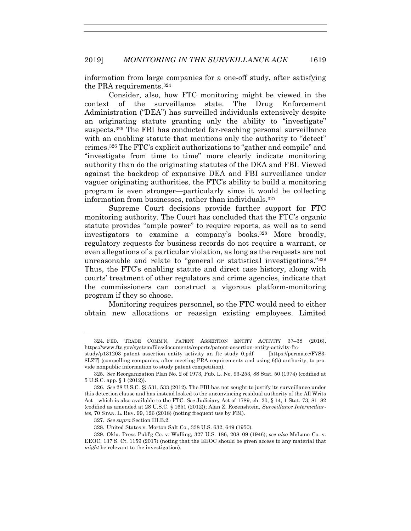information from large companies for a one-off study, after satisfying the PRA requirements.324

Consider, also, how FTC monitoring might be viewed in the context of the surveillance state. The Drug Enforcement Administration ("DEA") has surveilled individuals extensively despite an originating statute granting only the ability to "investigate" suspects.325 The FBI has conducted far-reaching personal surveillance with an enabling statute that mentions only the authority to "detect" crimes.326 The FTC's explicit authorizations to "gather and compile" and "investigate from time to time" more clearly indicate monitoring authority than do the originating statutes of the DEA and FBI. Viewed against the backdrop of expansive DEA and FBI surveillance under vaguer originating authorities, the FTC's ability to build a monitoring program is even stronger—particularly since it would be collecting information from businesses, rather than individuals.327

Supreme Court decisions provide further support for FTC monitoring authority. The Court has concluded that the FTC's organic statute provides "ample power" to require reports, as well as to send investigators to examine a company's books.328 More broadly, regulatory requests for business records do not require a warrant, or even allegations of a particular violation, as long as the requests are not unreasonable and relate to "general or statistical investigations."329 Thus, the FTC's enabling statute and direct case history, along with courts' treatment of other regulators and crime agencies, indicate that the commissioners can construct a vigorous platform-monitoring program if they so choose.

Monitoring requires personnel, so the FTC would need to either obtain new allocations or reassign existing employees. Limited

 <sup>324.</sup> FED. TRADE COMM'N, PATENT ASSERTION ENTITY ACTIVITY 37–38 (2016), https://www.ftc.gov/system/files/documents/reports/patent-assertion-entity-activity-ftc-

study/p131203\_patent\_assertion\_entity\_activity\_an\_ftc\_study\_0.pdf [https://perma.cc/F7S3- 8LZT] (compelling companies, after meeting PRA requirements and using 6(b) authority, to provide nonpublic information to study patent competition).

<sup>325</sup>*. See* Reorganization Plan No. 2 of 1973, Pub. L. No. 93-253, 88 Stat. 50 (1974) (codified at 5 U.S.C. app. § 1 (2012)).

<sup>326</sup>*. See* 28 U.S.C. §§ 531, 533 (2012). The FBI has not sought to justify its surveillance under this detection clause and has instead looked to the unconvincing residual authority of the All Writs Act—which is also available to the FTC. *See* Judiciary Act of 1789, ch. 20, § 14, 1 Stat. 73, 81–82 (codified as amended at 28 U.S.C. § 1651 (2012)); Alan Z. Rozenshtein, *Surveillance Intermediaries*, 70 STAN. L. REV. 99, 126 (2018) (noting frequent use by FBI).

<sup>327</sup>*. See supra* Section III.B.2.

 <sup>328.</sup> United States v. Morton Salt Co., 338 U.S. 632, 649 (1950).

 <sup>329.</sup> Okla. Press Publ'g Co. v. Walling, 327 U.S. 186, 208–09 (1946); *see also* McLane Co. v. EEOC, 137 S. Ct. 1159 (2017) (noting that the EEOC should be given access to any material that *might* be relevant to the investigation).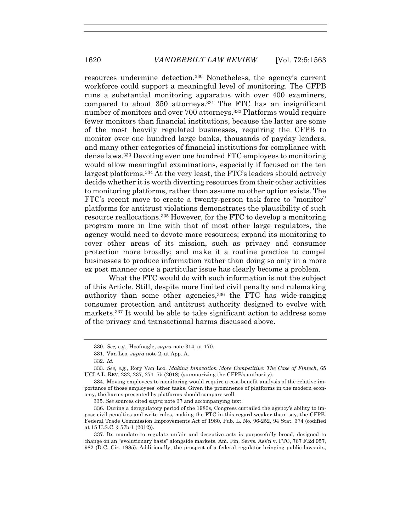resources undermine detection.330 Nonetheless, the agency's current workforce could support a meaningful level of monitoring. The CFPB runs a substantial monitoring apparatus with over 400 examiners, compared to about 350 attorneys.331 The FTC has an insignificant number of monitors and over 700 attorneys.332 Platforms would require fewer monitors than financial institutions, because the latter are some of the most heavily regulated businesses, requiring the CFPB to monitor over one hundred large banks, thousands of payday lenders, and many other categories of financial institutions for compliance with dense laws.333 Devoting even one hundred FTC employees to monitoring would allow meaningful examinations, especially if focused on the ten largest platforms.334 At the very least, the FTC's leaders should actively decide whether it is worth diverting resources from their other activities to monitoring platforms, rather than assume no other option exists. The FTC's recent move to create a twenty-person task force to "monitor" platforms for antitrust violations demonstrates the plausibility of such resource reallocations.335 However, for the FTC to develop a monitoring program more in line with that of most other large regulators, the agency would need to devote more resources; expand its monitoring to cover other areas of its mission, such as privacy and consumer protection more broadly; and make it a routine practice to compel businesses to produce information rather than doing so only in a more ex post manner once a particular issue has clearly become a problem.

What the FTC would do with such information is not the subject of this Article. Still, despite more limited civil penalty and rulemaking authority than some other agencies,336 the FTC has wide-ranging consumer protection and antitrust authority designed to evolve with markets.337 It would be able to take significant action to address some of the privacy and transactional harms discussed above.

<sup>330</sup>*. See, e.g.*, Hoofnagle, *supra* note 314, at 170.

 <sup>331.</sup> Van Loo, *supra* note 2, at App. A.

<sup>332</sup>*. Id.*

<sup>333</sup>*. See, e.g.*, Rory Van Loo, *Making Innovation More Competitive: The Case of Fintech*, 65 UCLA L. REV. 232, 237, 271–75 (2018) (summarizing the CFPB's authority).

 <sup>334.</sup> Moving employees to monitoring would require a cost-benefit analysis of the relative importance of those employees' other tasks. Given the prominence of platforms in the modern economy, the harms presented by platforms should compare well.

<sup>335.</sup> *See* sources cited *supra* note 37 and accompanying text.

 <sup>336.</sup> During a deregulatory period of the 1980s, Congress curtailed the agency's ability to impose civil penalties and write rules, making the FTC in this regard weaker than, say, the CFPB. Federal Trade Commission Improvements Act of 1980, Pub. L. No. 96-252, 94 Stat. 374 (codified at 15 U.S.C. § 57b-1 (2012)).

 <sup>337.</sup> Its mandate to regulate unfair and deceptive acts is purposefully broad, designed to change on an "evolutionary basis" alongside markets. Am. Fin. Servs. Ass'n v. FTC, 767 F.2d 957, 982 (D.C. Cir. 1985). Additionally, the prospect of a federal regulator bringing public lawsuits,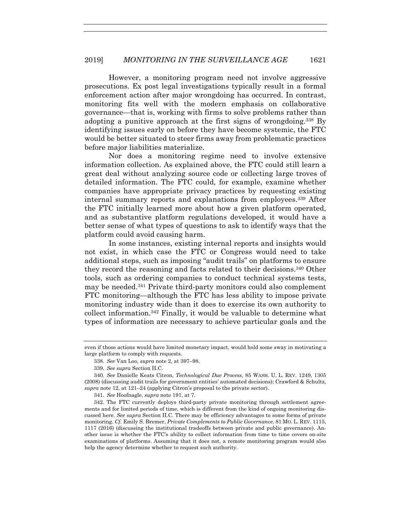However, a monitoring program need not involve aggressive prosecutions. Ex post legal investigations typically result in a formal enforcement action after major wrongdoing has occurred. In contrast, monitoring fits well with the modern emphasis on collaborative governance—that is, working with firms to solve problems rather than adopting a punitive approach at the first signs of wrongdoing.338 By identifying issues early on before they have become systemic, the FTC would be better situated to steer firms away from problematic practices before major liabilities materialize.

Nor does a monitoring regime need to involve extensive information collection. As explained above, the FTC could still learn a great deal without analyzing source code or collecting large troves of detailed information. The FTC could, for example, examine whether companies have appropriate privacy practices by requesting existing internal summary reports and explanations from employees.339 After the FTC initially learned more about how a given platform operated, and as substantive platform regulations developed, it would have a better sense of what types of questions to ask to identify ways that the platform could avoid causing harm.

In some instances, existing internal reports and insights would not exist, in which case the FTC or Congress would need to take additional steps, such as imposing "audit trails" on platforms to ensure they record the reasoning and facts related to their decisions.340 Other tools, such as ordering companies to conduct technical systems tests, may be needed.341 Private third-party monitors could also complement FTC monitoring—although the FTC has less ability to impose private monitoring industry wide than it does to exercise its own authority to collect information.342 Finally, it would be valuable to determine what types of information are necessary to achieve particular goals and the

341*. See* Hoofnagle, *supra* note 191, at 7.

even if those actions would have limited monetary impact, would hold some sway in motivating a large platform to comply with requests.

<sup>338</sup>*. See* Van Loo, *supra* note 2, at 397–98.

<sup>339</sup>*. See supra* Section II.C.

<sup>340</sup>*. See* Danielle Keats Citron, *Technological Due Process*, 85 WASH. U. L. REV. 1249, 1305 (2008) (discussing audit trails for government entities' automated decisions); Crawford & Schultz, *supra* note 12, at 121–24 (applying Citron's proposal to the private sector).

 <sup>342.</sup> The FTC currently deploys third-party private monitoring through settlement agreements and for limited periods of time, which is different from the kind of ongoing monitoring discussed here. *See supra* Section II.C. There may be efficiency advantages to some forms of private monitoring. *Cf.* Emily S. Bremer, *Private Complements to Public Governance*, 81 MO. L. REV. 1115, 1117 (2016) (discussing the institutional tradeoffs between private and public governance). Another issue is whether the FTC's ability to collect information from time to time covers on-site examinations of platforms. Assuming that it does not, a remote monitoring program would also help the agency determine whether to request such authority.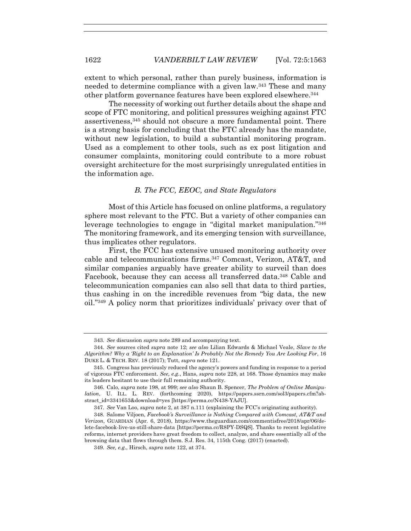extent to which personal, rather than purely business, information is needed to determine compliance with a given law.343 These and many other platform governance features have been explored elsewhere.344

The necessity of working out further details about the shape and scope of FTC monitoring, and political pressures weighing against FTC assertiveness,345 should not obscure a more fundamental point. There is a strong basis for concluding that the FTC already has the mandate, without new legislation, to build a substantial monitoring program. Used as a complement to other tools, such as ex post litigation and consumer complaints, monitoring could contribute to a more robust oversight architecture for the most surprisingly unregulated entities in the information age.

#### *B. The FCC, EEOC, and State Regulators*

Most of this Article has focused on online platforms, a regulatory sphere most relevant to the FTC. But a variety of other companies can leverage technologies to engage in "digital market manipulation."346 The monitoring framework, and its emerging tension with surveillance, thus implicates other regulators.

First, the FCC has extensive unused monitoring authority over cable and telecommunications firms.347 Comcast, Verizon, AT&T, and similar companies arguably have greater ability to surveil than does Facebook, because they can access all transferred data.348 Cable and telecommunication companies can also sell that data to third parties, thus cashing in on the incredible revenues from "big data, the new oil."349 A policy norm that prioritizes individuals' privacy over that of

<sup>343</sup>*. See* discussion *supra* note 289 and accompanying text.

<sup>344</sup>*. See* sources cited *supra* note 12; *see also* Lilian Edwards & Michael Veale, *Slave to the Algorithm? Why a 'Right to an Explanation' Is Probably Not the Remedy You Are Looking For*, 16 DUKE L. & TECH. REV. 18 (2017); Tutt, *supra* note 121.

 <sup>345.</sup> Congress has previously reduced the agency's powers and funding in response to a period of vigorous FTC enforcement. *See, e.g.*, Hans, *supra* note 228, at 168. Those dynamics may make its leaders hesitant to use their full remaining authority.

 <sup>346.</sup> Calo, *supra* note 198, at 999; *see also* Shaun B. Spencer, *The Problem of Online Manipulation*, U. ILL. L. REV. (forthcoming 2020), https://papers.ssrn.com/sol3/papers.cfm?abstract\_id=3341653&download=yes [https://perma.cc/N438-YAJU].

<sup>347</sup>*. See* Van Loo, *supra* note 2, at 387 n.111 (explaining the FCC's originating authority).

 <sup>348.</sup> Salome Viljoen, *Facebook's Surveillance is Nothing Compared with Comcast, AT&T and Verizon*, GUARDIAN (Apr. 6, 2018), https://www.theguardian.com/commentisfree/2018/apr/06/delete-facebook-live-us-still-share-data [https://perma.cc/R8PY-DSQS]. Thanks to recent legislative reforms, internet providers have great freedom to collect, analyze, and share essentially all of the browsing data that flows through them. S.J. Res. 34, 115th Cong. (2017) (enacted).

<sup>349</sup>*. See, e.g.*, Hirsch, *supra* note 122, at 374.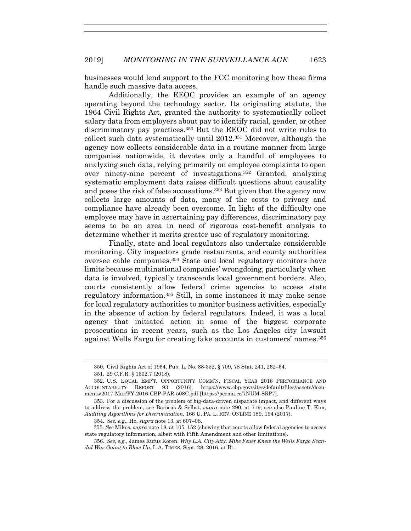businesses would lend support to the FCC monitoring how these firms handle such massive data access.

Additionally, the EEOC provides an example of an agency operating beyond the technology sector. Its originating statute, the 1964 Civil Rights Act, granted the authority to systematically collect salary data from employers about pay to identify racial, gender, or other discriminatory pay practices.350 But the EEOC did not write rules to collect such data systematically until 2012.351 Moreover, although the agency now collects considerable data in a routine manner from large companies nationwide, it devotes only a handful of employees to analyzing such data, relying primarily on employee complaints to open over ninety-nine percent of investigations.352 Granted, analyzing systematic employment data raises difficult questions about causality and poses the risk of false accusations.353 But given that the agency now collects large amounts of data, many of the costs to privacy and compliance have already been overcome. In light of the difficulty one employee may have in ascertaining pay differences, discriminatory pay seems to be an area in need of rigorous cost-benefit analysis to determine whether it merits greater use of regulatory monitoring.

Finally, state and local regulators also undertake considerable monitoring. City inspectors grade restaurants, and county authorities oversee cable companies.354 State and local regulatory monitors have limits because multinational companies' wrongdoing, particularly when data is involved, typically transcends local government borders. Also, courts consistently allow federal crime agencies to access state regulatory information.355 Still, in some instances it may make sense for local regulatory authorities to monitor business activities, especially in the absence of action by federal regulators. Indeed, it was a local agency that initiated action in some of the biggest corporate prosecutions in recent years, such as the Los Angeles city lawsuit against Wells Fargo for creating fake accounts in customers' names.356

 <sup>350.</sup> Civil Rights Act of 1964, Pub. L. No. 88-352, § 709, 78 Stat. 241, 262–64.

 <sup>351. 29</sup> C.F.R. § 1602.7 (2018).

 <sup>352.</sup> U.S. EQUAL EMP'T. OPPORTUNITY COMM'N, FISCAL YEAR 2016 PERFORMANCE AND ACCOUNTABILITY REPORT 93 (2016), https://www.cbp.gov/sites/default/files/assets/documents/2017-Mar/FY-2016-CBP-PAR-508C.pdf [https://perma.cc/7NUM-SRP7].

 <sup>353.</sup> For a discussion of the problem of big-data-driven disparate impact, and different ways to address the problem, see Barocas & Selbst, *supra* note 290, at 719; see also Pauline T. Kim, *Auditing Algorithms for Discrimination*, 166 U. PA. L. REV. ONLINE 189, 194 (2017).

<sup>354</sup>*. See, e.g.*, Ho, *supra* note 13, at 607–08.

<sup>355.</sup> *See* Mikos, *supra* note 18, at 105, 152 (showing that courts allow federal agencies to access state regulatory information, albeit with Fifth Amendment and other limitations).

<sup>356</sup>*. See, e.g.*, James Rufus Koren. *Why L.A. City Atty. Mike Feuer Knew the Wells Fargo Scandal Was Going to Blow Up*, L.A. TIMES, Sept. 28, 2016, at B1.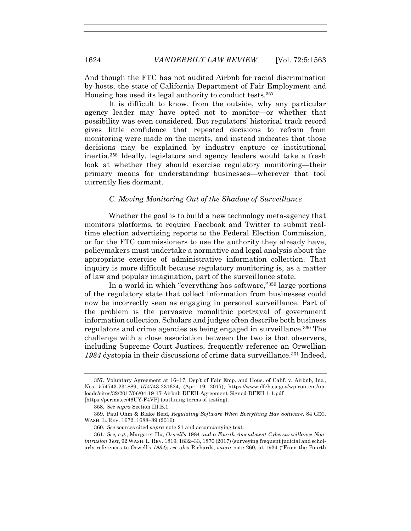And though the FTC has not audited Airbnb for racial discrimination by hosts, the state of California Department of Fair Employment and Housing has used its legal authority to conduct tests.357

It is difficult to know, from the outside, why any particular agency leader may have opted not to monitor—or whether that possibility was even considered. But regulators' historical track record gives little confidence that repeated decisions to refrain from monitoring were made on the merits, and instead indicates that those decisions may be explained by industry capture or institutional inertia.358 Ideally, legislators and agency leaders would take a fresh look at whether they should exercise regulatory monitoring—their primary means for understanding businesses—wherever that tool currently lies dormant.

# *C. Moving Monitoring Out of the Shadow of Surveillance*

Whether the goal is to build a new technology meta-agency that monitors platforms, to require Facebook and Twitter to submit realtime election advertising reports to the Federal Election Commission, or for the FTC commissioners to use the authority they already have, policymakers must undertake a normative and legal analysis about the appropriate exercise of administrative information collection. That inquiry is more difficult because regulatory monitoring is, as a matter of law and popular imagination, part of the surveillance state.

In a world in which "everything has software,"359 large portions of the regulatory state that collect information from businesses could now be incorrectly seen as engaging in personal surveillance. Part of the problem is the pervasive monolithic portrayal of government information collection. Scholars and judges often describe both business regulators and crime agencies as being engaged in surveillance.360 The challenge with a close association between the two is that observers, including Supreme Court Justices, frequently reference an Orwellian 1984 dystopia in their discussions of crime data surveillance.<sup>361</sup> Indeed,

 <sup>357.</sup> Voluntary Agreement at 16–17, Dep't of Fair Emp. and Hous. of Calif. v. Airbnb, Inc., Nos. 574743-231889, 574743-231624, (Apr. 19, 2017), https://www.dfeh.ca.gov/wp-content/uploads/sites/32/2017/06/04-19-17-Airbnb-DFEH-Agreement-Signed-DFEH-1-1.pdf [https://perma.cc/46UY-F4VP] (outlining terms of testing).

<sup>358</sup>*. See supra* Section III.B.1.

 <sup>359.</sup> Paul Ohm & Blake Reid, *Regulating Software When Everything Has Software*, 84 GEO. WASH. L. REV. 1672, 1688–89 (2016).

<sup>360</sup>*. See* sources cited *supra* note 21 and accompanying text.

<sup>361</sup>*. See, e.g.*, Margaret Hu, *Orwell's* 1984 *and a Fourth Amendment Cybersurveillance Nonintrusion Test*, 92 WASH.L. REV. 1819, 1832–33, 1870 (2017) (surveying frequent judicial and scholarly references to Orwell's *1984*); *see also* Richards, *supra* note 260, at 1934 ("From the Fourth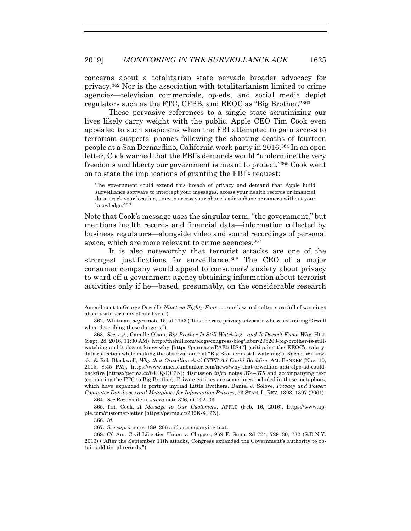concerns about a totalitarian state pervade broader advocacy for privacy.362 Nor is the association with totalitarianism limited to crime agencies—television commercials, op-eds, and social media depict regulators such as the FTC, CFPB, and EEOC as "Big Brother."363

These pervasive references to a single state scrutinizing our lives likely carry weight with the public. Apple CEO Tim Cook even appealed to such suspicions when the FBI attempted to gain access to terrorism suspects' phones following the shooting deaths of fourteen people at a San Bernardino, California work party in 2016.364 In an open letter, Cook warned that the FBI's demands would "undermine the very freedoms and liberty our government is meant to protect."365 Cook went on to state the implications of granting the FBI's request:

The government could extend this breach of privacy and demand that Apple build surveillance software to intercept your messages, access your health records or financial data, track your location, or even access your phone's microphone or camera without your knowledge.366

Note that Cook's message uses the singular term, "the government," but mentions health records and financial data—information collected by business regulators—alongside video and sound recordings of personal space, which are more relevant to crime agencies.<sup>367</sup>

It is also noteworthy that terrorist attacks are one of the strongest justifications for surveillance.<sup>368</sup> The CEO of a major consumer company would appeal to consumers' anxiety about privacy to ward off a government agency obtaining information about terrorist activities only if he—based, presumably, on the considerable research

364*. See* Rozenshtein, *supra* note 326, at 102–03.

 365. Tim Cook, *A Message to Our Customers*, APPLE (Feb. 16, 2016), https://www.apple.com/customer-letter [https://perma.cc/239E-XF2N].

366*. Id.* 

367*. See supra* notes 189–206 and accompanying text.

Amendment to George Orwell's *Nineteen Eighty-Four* . . . our law and culture are full of warnings about state scrutiny of our lives.").

 <sup>362.</sup> Whitman, *supra* note 15, at 1153 ("It is the rare privacy advocate who resists citing Orwell when describing these dangers.").

<sup>363</sup>*. See, e.g.*, Camille Olson, *Big Brother Is Still Watching—and It Doesn't Know Why*, HILL (Sept. 28, 2016, 11:30 AM), http://thehill.com/blogs/congress-blog/labor/298203-big-brother-is-stillwatching-and-it-doesnt-know-why [https://perma.cc/PAE5-HS47] (critiquing the EEOC's salarydata collection while making the observation that "Big Brother is still watching"); Rachel Witkowski & Rob Blackwell, *Why that Orwellian Anti-CFPB Ad Could Backfire*, AM. BANKER (Nov. 10, 2015, 8:45 PM), https://www.americanbanker.com/news/why-that-orwellian-anti-cfpb-ad-couldbackfire [https://perma.cc/84EQ-DC3N]; discussion *infra* notes 374–375 and accompanying text (comparing the FTC to Big Brother). Private entities are sometimes included in these metaphors, which have expanded to portray myriad Little Brothers. Daniel J. Solove, *Privacy and Power: Computer Databases and Metaphors for Information Privacy*, 53 STAN. L. REV. 1393, 1397 (2001).

<sup>368</sup>*. Cf.* Am. Civil Liberties Union v. Clapper, 959 F. Supp. 2d 724, 729–30, 732 (S.D.N.Y. 2013) ("After the September 11th attacks, Congress expanded the Government's authority to obtain additional records.").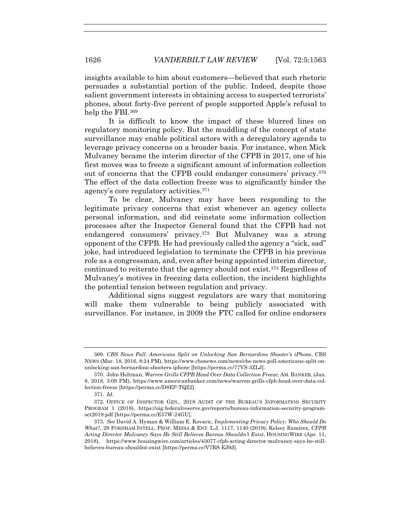insights available to him about customers—believed that such rhetoric persuades a substantial portion of the public. Indeed, despite those salient government interests in obtaining access to suspected terrorists' phones, about forty-five percent of people supported Apple's refusal to help the FBI.<sup>369</sup>

It is difficult to know the impact of these blurred lines on regulatory monitoring policy. But the muddling of the concept of state surveillance may enable political actors with a deregulatory agenda to leverage privacy concerns on a broader basis. For instance, when Mick Mulvaney became the interim director of the CFPB in 2017, one of his first moves was to freeze a significant amount of information collection out of concerns that the CFPB could endanger consumers' privacy.370 The effect of the data collection freeze was to significantly hinder the agency's core regulatory activities.371

To be clear, Mulvaney may have been responding to the legitimate privacy concerns that exist whenever an agency collects personal information, and did reinstate some information collection processes after the Inspector General found that the CFPB had not endangered consumers' privacy.372 But Mulvaney was a strong opponent of the CFPB. He had previously called the agency a "sick, sad" joke, had introduced legislation to terminate the CFPB in his previous role as a congressman, and, even after being appointed interim director, continued to reiterate that the agency should not exist.373 Regardless of Mulvaney's motives in freezing data collection, the incident highlights the potential tension between regulation and privacy.

Additional signs suggest regulators are wary that monitoring will make them vulnerable to being publicly associated with surveillance. For instance, in 2009 the FTC called for online endorsers

<sup>369</sup>*. CBS News Poll: Americans Split on Unlocking San Bernardino Shooter's iPhone*, CBS NEWS (Mar. 18, 2016, 8:24 PM), https://www.cbsnews.com/news/cbs-news-poll-americans-split-onunlocking-san-bernardino-shooters-iphone [https://perma.cc/77VS-3ZLJ].

 <sup>370.</sup> John Heltman, *Warren Grills CFPB Head Over Data Collection Freeze*, AM. BANKER, (Jan. 8, 2018, 3:09 PM), https://www.americanbanker.com/news/warren-grills-cfpb-head-over-data-collection-freeze [https://perma.cc/D8EP-TQZ2].

<sup>371</sup>*. Id*.

 <sup>372.</sup> OFFICE OF INSPECTOR GEN., 2018 AUDIT OF THE BUREAU'S INFORMATION SECURITY PROGRAM 1 (2018), https://oig.federalreserve.gov/reports/bureau-information-security-programoct2018.pdf [https://perma.cc/E57W-24GU].

<sup>373</sup>*. See* David A. Hyman & William E. Kovacic, *Implementing Privacy Policy: Who Should Do What?*, 29 FORDHAM INTELL. PROP. MEDIA & ENT. L.J. 1117, 1140 (2019); Kelsey Ramirez, *CFPB Acting Director Mulvaney Says He Still Believes Bureau Shouldn't Exist*, HOUSINGWIRE (Apr. 11, 2018), https://www.housingwire.com/articles/43077-cfpb-acting-director-mulvaney-says-he-stillbelieves-bureau-shouldnt-exist [https://perma.cc/V7RS-EJ9J].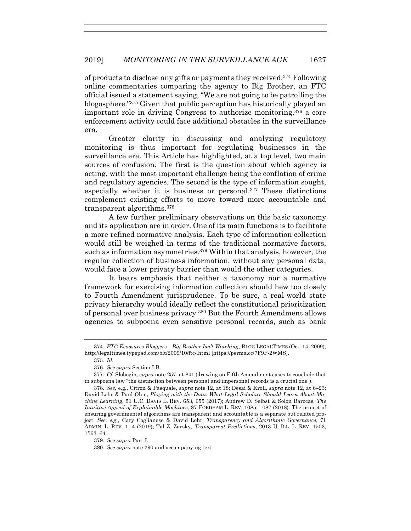of products to disclose any gifts or payments they received.374 Following online commentaries comparing the agency to Big Brother, an FTC official issued a statement saying, "We are not going to be patrolling the blogosphere."375 Given that public perception has historically played an important role in driving Congress to authorize monitoring,<sup>376</sup> a core enforcement activity could face additional obstacles in the surveillance era.

Greater clarity in discussing and analyzing regulatory monitoring is thus important for regulating businesses in the surveillance era. This Article has highlighted, at a top level, two main sources of confusion. The first is the question about which agency is acting, with the most important challenge being the conflation of crime and regulatory agencies. The second is the type of information sought, especially whether it is business or personal.377 These distinctions complement existing efforts to move toward more accountable and transparent algorithms.378

A few further preliminary observations on this basic taxonomy and its application are in order. One of its main functions is to facilitate a more refined normative analysis. Each type of information collection would still be weighed in terms of the traditional normative factors, such as information asymmetries.379 Within that analysis, however, the regular collection of business information, without any personal data, would face a lower privacy barrier than would the other categories.

It bears emphasis that neither a taxonomy nor a normative framework for exercising information collection should hew too closely to Fourth Amendment jurisprudence. To be sure, a real-world state privacy hierarchy would ideally reflect the constitutional prioritization of personal over business privacy.380 But the Fourth Amendment allows agencies to subpoena even sensitive personal records, such as bank

<sup>374</sup>*. FTC Reassures Bloggers—Big Brother Isn't Watching*, BLOG LEGALTIMES (Oct. 14, 2009), http://legaltimes.typepad.com/blt/2009/10/ftc-.html [https://perma.cc/7F9P-2WMS].

<sup>375</sup>*. Id.*

<sup>376</sup>*. See supra* Section I.B.

 <sup>377.</sup> *Cf.* Slobogin, *supra* note 257, at 841 (drawing on Fifth Amendment cases to conclude that in subpoena law "the distinction between personal and impersonal records is a crucial one").

<sup>378</sup>*. See,* e.g*.*, Citron & Pasquale, *supra* note 12, at 18; Desai & Kroll, *supra* note 12, at 6–23; David Lehr & Paul Ohm, *Playing with the Data: What Legal Scholars Should Learn About Machine Learning*, 51 U.C. DAVIS L. REV. 653, 655 (2017); Andrew D. Selbst & Solon Barocas, *The Intuitive Appeal of Explainable Machines*, 87 FORDHAM L. REV. 1085, 1087 (2018). The project of ensuring governmental algorithms are transparent and accountable is a separate but related project. *See, e.g.*, Cary Coglianese & David Lehr, *Transparency and Algorithmic Governance*, 71 ADMIN. L. REV. 1, 4 (2019); Tal Z. Zarsky, *Transparent Predictions*, 2013 U. ILL. L. REV. 1503, 1563–64.

<sup>379</sup>*. See supra* Part I.

<sup>380</sup>*. See supra* note 290 and accompanying text.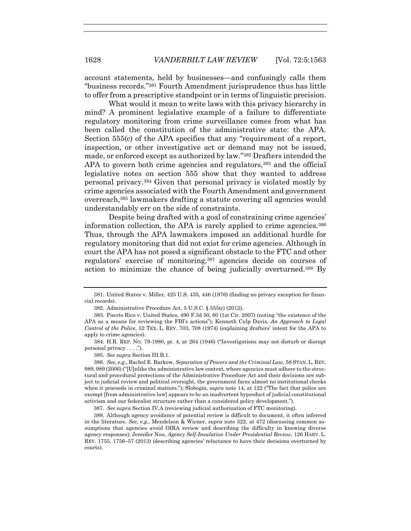account statements, held by businesses—and confusingly calls them "business records."381 Fourth Amendment jurisprudence thus has little to offer from a prescriptive standpoint or in terms of linguistic precision.

What would it mean to write laws with this privacy hierarchy in mind? A prominent legislative example of a failure to differentiate regulatory monitoring from crime surveillance comes from what has been called the constitution of the administrative state: the APA. Section 555(c) of the APA specifies that any "requirement of a report, inspection, or other investigative act or demand may not be issued, made, or enforced except as authorized by law."382 Drafters intended the APA to govern both crime agencies and regulators,<sup>383</sup> and the official legislative notes on section 555 show that they wanted to address personal privacy.384 Given that personal privacy is violated mostly by crime agencies associated with the Fourth Amendment and government overreach,385 lawmakers drafting a statute covering all agencies would understandably err on the side of constraints.

Despite being drafted with a goal of constraining crime agencies' information collection, the APA is rarely applied to crime agencies.386 Thus, through the APA lawmakers imposed an additional hurdle for regulatory monitoring that did not exist for crime agencies. Although in court the APA has not posed a significant obstacle to the FTC and other regulators' exercise of monitoring,<sup>387</sup> agencies decide on courses of action to minimize the chance of being judicially overturned.388 By

 384. H.R. REP. NO. 79-1980, pt. 4, at 264 (1946) ("Investigations may not disturb or disrupt personal privacy . . . .").

385*. See supra* Section III.B.1.

 386. *See, e.g.*, Rachel E. Barkow, *Separation of Powers and the Criminal Law*, 58 STAN. L. REV. 989, 989 (2006) ("[U]nlike the administrative law context, where agencies must adhere to the structural and procedural protections of the Administrative Procedure Act and their decisions are subject to judicial review and political oversight, the government faces almost no institutional checks when it proceeds in criminal matters."); Slobogin, *supra* note 14, at 122 ("The fact that police are exempt [from administrative law] appears to be an inadvertent byproduct of judicial constitutional activism and our federalist structure rather than a considered policy development.").

387. *See supra* Section IV.A (reviewing judicial authorization of FTC monitoring).

 <sup>381.</sup> United States v. Miller, 425 U.S. 435, 446 (1976) (finding no privacy exception for financial records).

 <sup>382.</sup> Administrative Procedure Act, 5 U.S.C. § 555(c) (2012).

 <sup>383.</sup> Puerto Rico v. United States, 490 F.3d 50, 60 (1st Cir. 2007) (noting "the existence of the APA as a means for reviewing the FBI's actions"); Kenneth Culp Davis, *An Approach to Legal Control of the Police*, 52 TEX. L. REV. 703, 708 (1974) (explaining drafters' intent for the APA to apply to crime agencies).

 <sup>388.</sup> Although agency avoidance of potential review is difficult to document, it often inferred in the literature. *See, e.g.*, Mendelson & Wiener, *supra* note 322, at 472 (discussing common assumptions that agencies avoid OIRA review and describing the difficulty in knowing diverse agency responses); Jennifer Nou, *Agency Self-Insulation Under Presidential Review*, 126 HARV. L. REV. 1755, 1756–57 (2013) (describing agencies' reluctance to have their decisions overturned by courts).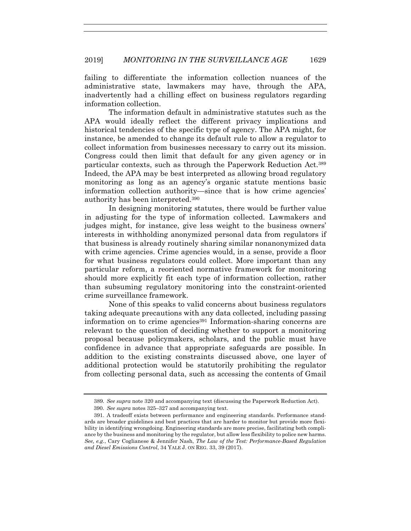failing to differentiate the information collection nuances of the administrative state, lawmakers may have, through the APA, inadvertently had a chilling effect on business regulators regarding information collection.

The information default in administrative statutes such as the APA would ideally reflect the different privacy implications and historical tendencies of the specific type of agency. The APA might, for instance, be amended to change its default rule to allow a regulator to collect information from businesses necessary to carry out its mission. Congress could then limit that default for any given agency or in particular contexts, such as through the Paperwork Reduction Act.389 Indeed, the APA may be best interpreted as allowing broad regulatory monitoring as long as an agency's organic statute mentions basic information collection authority—since that is how crime agencies' authority has been interpreted.390

In designing monitoring statutes, there would be further value in adjusting for the type of information collected. Lawmakers and judges might, for instance, give less weight to the business owners' interests in withholding anonymized personal data from regulators if that business is already routinely sharing similar nonanonymized data with crime agencies. Crime agencies would, in a sense, provide a floor for what business regulators could collect. More important than any particular reform, a reoriented normative framework for monitoring should more explicitly fit each type of information collection, rather than subsuming regulatory monitoring into the constraint-oriented crime surveillance framework.

None of this speaks to valid concerns about business regulators taking adequate precautions with any data collected, including passing information on to crime agencies<sup>391</sup> Information-sharing concerns are relevant to the question of deciding whether to support a monitoring proposal because policymakers, scholars, and the public must have confidence in advance that appropriate safeguards are possible. In addition to the existing constraints discussed above, one layer of additional protection would be statutorily prohibiting the regulator from collecting personal data, such as accessing the contents of Gmail

<sup>389</sup>*. See supra* note 320 and accompanying text (discussing the Paperwork Reduction Act).

 <sup>390.</sup> *See supra* notes 325–327 and accompanying text.

 <sup>391.</sup> A tradeoff exists between performance and engineering standards. Performance standards are broader guidelines and best practices that are harder to monitor but provide more flexibility in identifying wrongdoing. Engineering standards are more precise, facilitating both compliance by the business and monitoring by the regulator, but allow less flexibility to police new harms. *See, e.g.*, Cary Coglianese & Jennifer Nash, *The Law of the Test: Performance-Based Regulation and Diesel Emissions Control*, 34 YALE J. ON REG. 33, 39 (2017).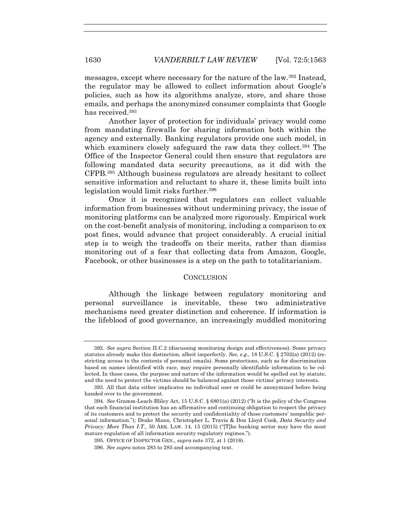messages, except where necessary for the nature of the law.392 Instead, the regulator may be allowed to collect information about Google's policies, such as how its algorithms analyze, store, and share those emails, and perhaps the anonymized consumer complaints that Google has received.393

Another layer of protection for individuals' privacy would come from mandating firewalls for sharing information both within the agency and externally. Banking regulators provide one such model, in which examiners closely safeguard the raw data they collect.<sup>394</sup> The Office of the Inspector General could then ensure that regulators are following mandated data security precautions, as it did with the CFPB.395 Although business regulators are already hesitant to collect sensitive information and reluctant to share it, these limits built into legislation would limit risks further.<sup>396</sup>

Once it is recognized that regulators can collect valuable information from businesses without undermining privacy, the issue of monitoring platforms can be analyzed more rigorously. Empirical work on the cost-benefit analysis of monitoring, including a comparison to ex post fines, would advance that project considerably. A crucial initial step is to weigh the tradeoffs on their merits, rather than dismiss monitoring out of a fear that collecting data from Amazon, Google, Facebook, or other businesses is a step on the path to totalitarianism.

#### **CONCLUSION**

Although the linkage between regulatory monitoring and personal surveillance is inevitable, these two administrative mechanisms need greater distinction and coherence. If information is the lifeblood of good governance, an increasingly muddled monitoring

 <sup>392.</sup> *See supra* Section II.C.2 (discussing monitoring design and effectiveness). Some privacy statutes already make this distinction, albeit imperfectly. *See, e.g.*, 18 U.S.C. § 2702(a) (2012) (restricting access to the contents of personal emails). Some protections, such as for discrimination based on names identified with race, may require personally identifiable information to be collected. In those cases, the purpose and nature of the information would be spelled out by statute, and the need to protect the victims should be balanced against those victims' privacy interests.

 <sup>393.</sup> All that data either implicates no individual user or could be anonymized before being handed over to the government.

<sup>394</sup>*. See* Gramm-Leach-Bliley Act, 15 U.S.C. § 6801(a) (2012) ("It is the policy of the Congress that each financial institution has an affirmative and continuing obligation to respect the privacy of its customers and to protect the security and confidentiality of those customers' nonpublic personal information."); Drake Mann, Christopher L. Travis & Don Lloyd Cook, *Data Security and Privacy: More Than I.T.*, 50 ARK. LAW. 14, 15 (2015) ("[T]he banking sector may have the most mature regulation of all information security regulatory regimes.").

 <sup>395.</sup> OFFICE OF INSPECTOR GEN., *supra* note 372, at 1 (2018).

<sup>396</sup>*. See supra* notes 283 to 285 and accompanying text.